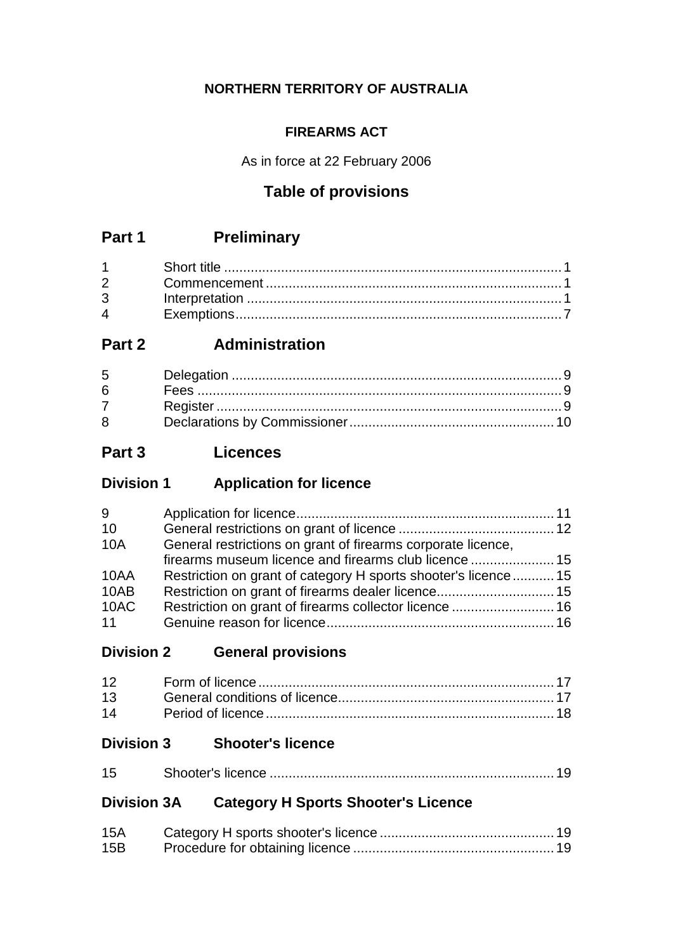## **NORTHERN TERRITORY OF AUSTRALIA**

## **FIREARMS ACT**

As in force at 22 February 2006

# **Table of provisions**

# **Part 1 Preliminary**

| $\mathbf 4$ |  |
|-------------|--|

# **Part 2 Administration**

| $5^{\circ}$ |  |
|-------------|--|
| $6 -$       |  |
| $7 \quad$   |  |
| 8           |  |

# **Part 3 Licences**

# **Division 1 Application for licence**

| 9    |                                                               |  |
|------|---------------------------------------------------------------|--|
| 10   |                                                               |  |
| 10A  | General restrictions on grant of firearms corporate licence,  |  |
|      | firearms museum licence and firearms club licence  15         |  |
| 10AA | Restriction on grant of category H sports shooter's licence15 |  |
| 10AB |                                                               |  |
| 10AC | Restriction on grant of firearms collector licence  16        |  |
| 11   |                                                               |  |

# **Division 2 General provisions**

# **Division 3 Shooter's licence**

| 15 |  |
|----|--|
|----|--|

# **Division 3A Category H Sports Shooter's Licence**

| 15A |  |
|-----|--|
| 15B |  |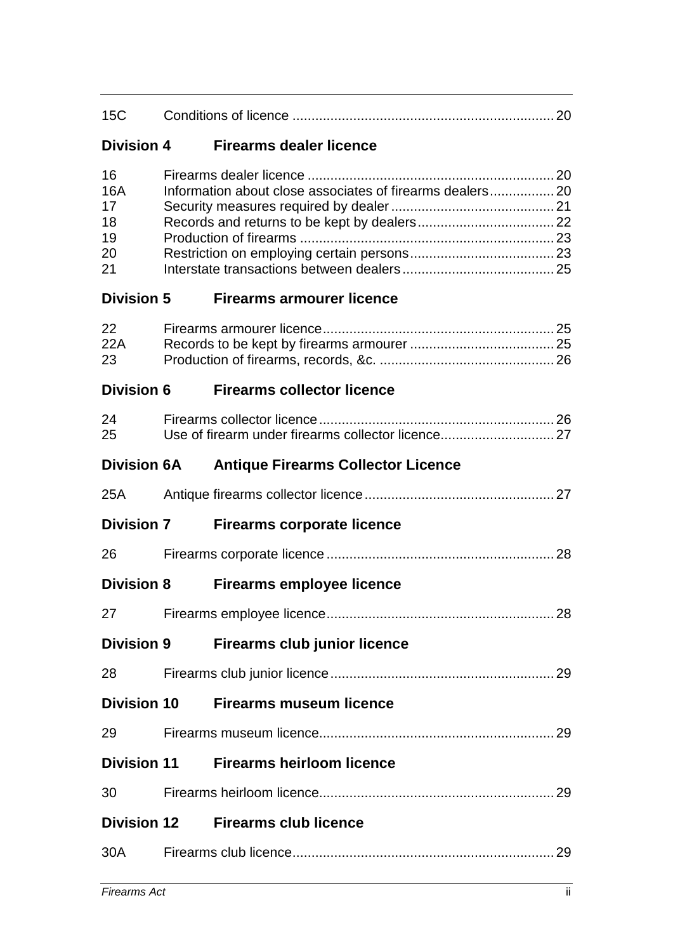| 15C                                            |                                                           |  |
|------------------------------------------------|-----------------------------------------------------------|--|
| <b>Division 4</b>                              | <b>Firearms dealer licence</b>                            |  |
| 16<br><b>16A</b><br>17<br>18<br>19<br>20<br>21 | Information about close associates of firearms dealers 20 |  |
| <b>Division 5</b>                              | <b>Firearms armourer licence</b>                          |  |
| 22<br>22A<br>23                                |                                                           |  |
| <b>Division 6</b>                              | <b>Firearms collector licence</b>                         |  |
| 24<br>25                                       |                                                           |  |
| <b>Division 6A</b>                             | <b>Antique Firearms Collector Licence</b>                 |  |
| 25A                                            |                                                           |  |
| <b>Division 7</b>                              | <b>Firearms corporate licence</b>                         |  |
| 26                                             |                                                           |  |
| <b>Division 8</b>                              | <b>Firearms employee licence</b>                          |  |
|                                                |                                                           |  |
| <b>Division 9</b>                              | <b>Firearms club junior licence</b>                       |  |
| 28                                             |                                                           |  |
| <b>Division 10</b>                             | <b>Firearms museum licence</b>                            |  |
|                                                |                                                           |  |
| <b>Division 11</b>                             | <b>Firearms heirloom licence</b>                          |  |
| 30                                             |                                                           |  |
| <b>Division 12</b>                             | <b>Firearms club licence</b>                              |  |
| 30A                                            |                                                           |  |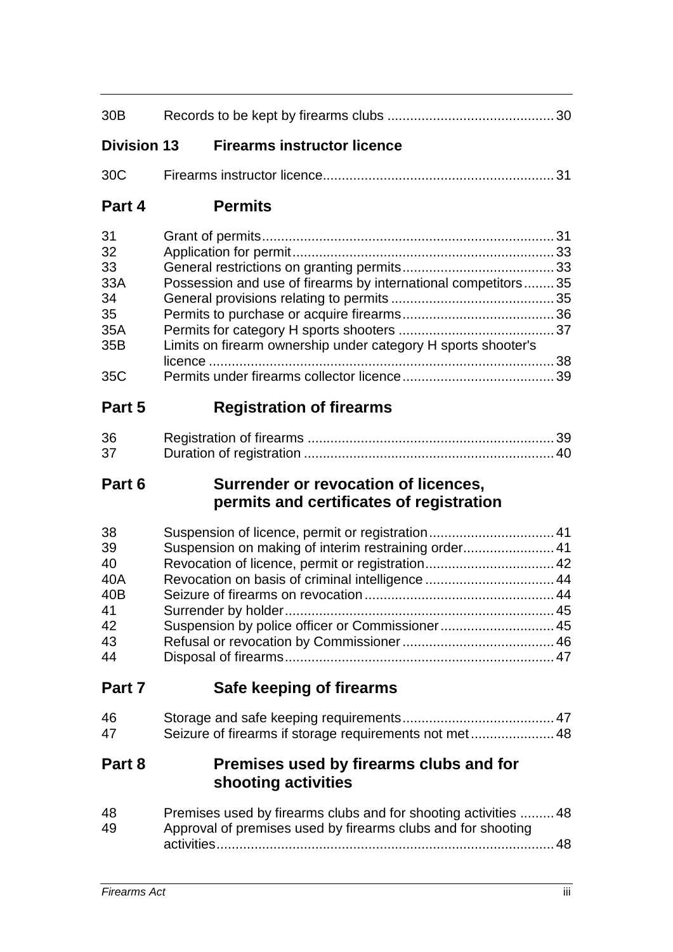| 30 <sub>B</sub>                                        |                                                                                                                                 |
|--------------------------------------------------------|---------------------------------------------------------------------------------------------------------------------------------|
| <b>Division 13</b>                                     | <b>Firearms instructor licence</b>                                                                                              |
| 30C                                                    |                                                                                                                                 |
| Part 4                                                 | <b>Permits</b>                                                                                                                  |
| 31<br>32<br>33<br>33A<br>34<br>35<br>35A<br>35B<br>35C | Possession and use of firearms by international competitors35<br>Limits on firearm ownership under category H sports shooter's  |
| Part 5                                                 | <b>Registration of firearms</b>                                                                                                 |
| 36<br>37                                               |                                                                                                                                 |
| Part 6                                                 | Surrender or revocation of licences,<br>permits and certificates of registration                                                |
| 38<br>39<br>40<br>40A<br>40B<br>41<br>42<br>43<br>44   | Suspension on making of interim restraining order 41                                                                            |
| Part 7                                                 | Safe keeping of firearms                                                                                                        |
| 46<br>47                                               | Seizure of firearms if storage requirements not met 48                                                                          |
| Part 8                                                 | Premises used by firearms clubs and for<br>shooting activities                                                                  |
| 48<br>49                                               | Premises used by firearms clubs and for shooting activities  48<br>Approval of premises used by firearms clubs and for shooting |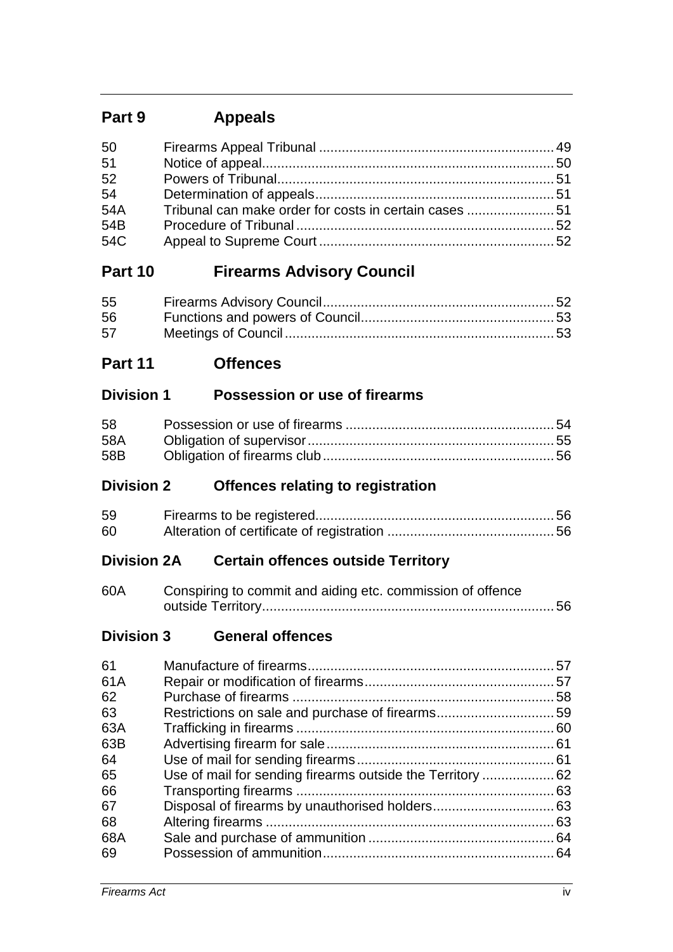# **Part 9 Appeals**

# **Part 10 Firearms Advisory Council**

| 55 |  |
|----|--|
| 56 |  |
| 57 |  |

**Part 11 Offences**

# **Division 1 Possession or use of firearms**

| 58  |  |
|-----|--|
| 58A |  |
| 58B |  |

# **Division 2 Offences relating to registration**

| 59 |  |
|----|--|
| 60 |  |

# **Division 2A Certain offences outside Territory**

| 60A | Conspiring to commit and aiding etc. commission of offence |  |
|-----|------------------------------------------------------------|--|
|     |                                                            |  |

## **Division 3 General offences**

| 61  |  |
|-----|--|
| 61A |  |
| 62  |  |
| 63  |  |
| 63A |  |
| 63B |  |
| 64  |  |
| 65  |  |
| 66  |  |
| 67  |  |
| 68  |  |
| 68A |  |
| 69  |  |
|     |  |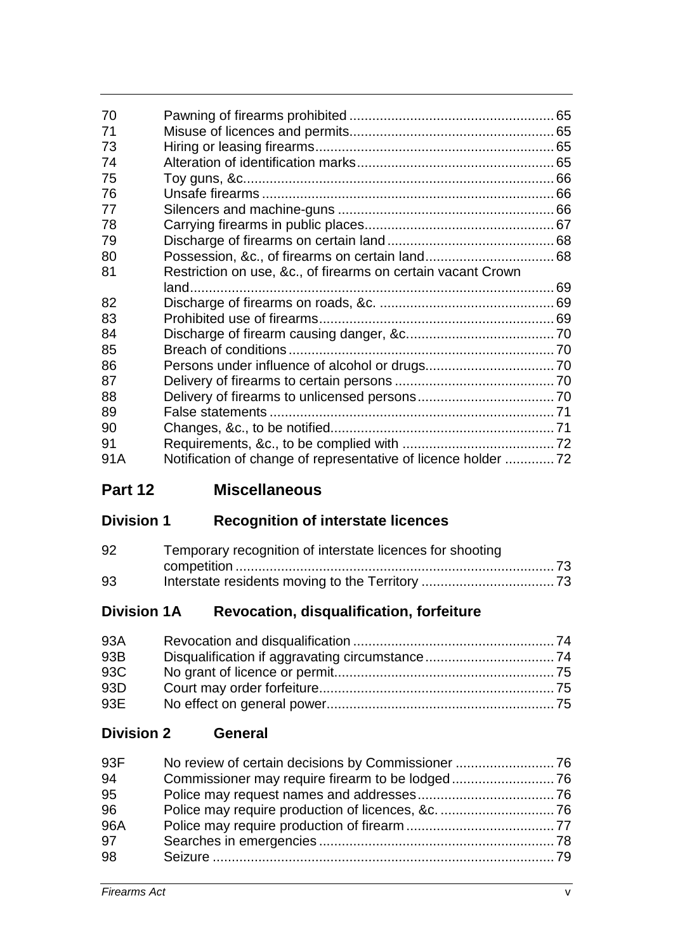| 70  |                                                                |  |
|-----|----------------------------------------------------------------|--|
| 71  |                                                                |  |
| 73  |                                                                |  |
| 74  |                                                                |  |
| 75  |                                                                |  |
| 76  |                                                                |  |
| 77  |                                                                |  |
| 78  |                                                                |  |
| 79  |                                                                |  |
| 80  |                                                                |  |
| 81  | Restriction on use, &c., of firearms on certain vacant Crown   |  |
|     |                                                                |  |
| 82  |                                                                |  |
| 83  |                                                                |  |
| 84  |                                                                |  |
| 85  |                                                                |  |
| 86  |                                                                |  |
| 87  |                                                                |  |
| 88  |                                                                |  |
| 89  |                                                                |  |
| 90  |                                                                |  |
| 91  |                                                                |  |
| 91A | Notification of change of representative of licence holder  72 |  |

# **Part 12 Miscellaneous**

# **Division 1 Recognition of interstate licences**

| 92 | Temporary recognition of interstate licences for shooting |  |
|----|-----------------------------------------------------------|--|
|    |                                                           |  |
| 93 |                                                           |  |

# **Division 1A Revocation, disqualification, forfeiture**

| 93A |  |
|-----|--|
| 93B |  |
| 93C |  |
| 93D |  |
| 93E |  |

# **Division 2 General**

| 93F |  |
|-----|--|
| 94  |  |
| 95  |  |
| 96  |  |
| 96A |  |
| 97  |  |
| 98  |  |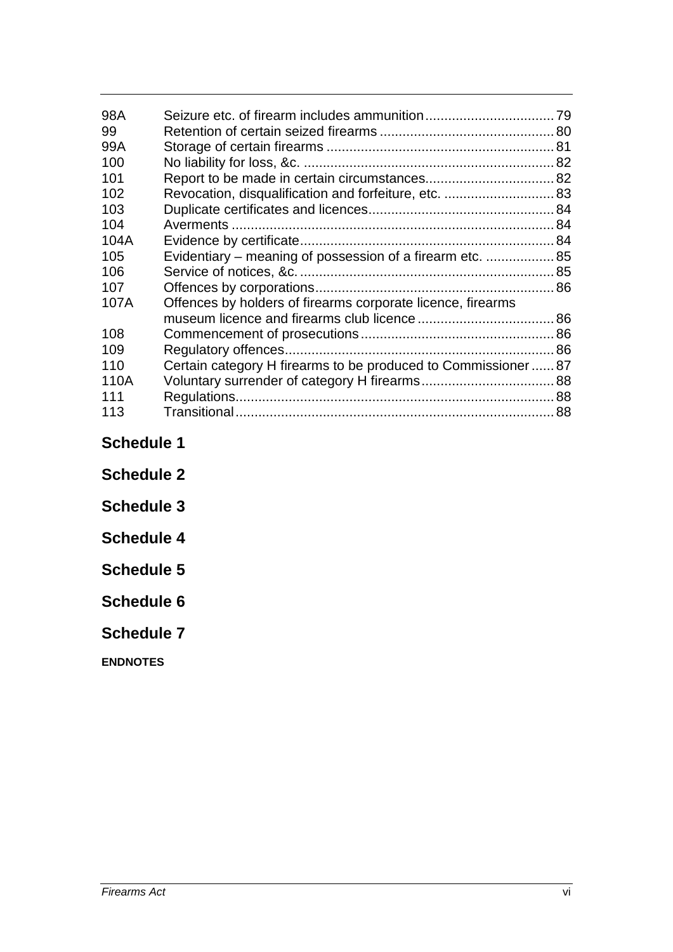| 98A               |                                                              |  |  |
|-------------------|--------------------------------------------------------------|--|--|
| 99                |                                                              |  |  |
| 99A               |                                                              |  |  |
| 100               |                                                              |  |  |
| 101               |                                                              |  |  |
| 102               | Revocation, disqualification and forfeiture, etc.  83        |  |  |
| 103               |                                                              |  |  |
| 104               |                                                              |  |  |
| 104A              |                                                              |  |  |
| 105               | Evidentiary – meaning of possession of a firearm etc.  85    |  |  |
| 106               |                                                              |  |  |
| 107               |                                                              |  |  |
| 107A              | Offences by holders of firearms corporate licence, firearms  |  |  |
|                   |                                                              |  |  |
| 108               |                                                              |  |  |
| 109               |                                                              |  |  |
| 110               | Certain category H firearms to be produced to Commissioner87 |  |  |
| 110A              |                                                              |  |  |
| 111               |                                                              |  |  |
| 113               |                                                              |  |  |
|                   |                                                              |  |  |
| <b>Schedule 1</b> |                                                              |  |  |

**Schedule 2**

**Schedule 3**

**Schedule 4**

**Schedule 5**

**Schedule 6**

**Schedule 7**

**ENDNOTES**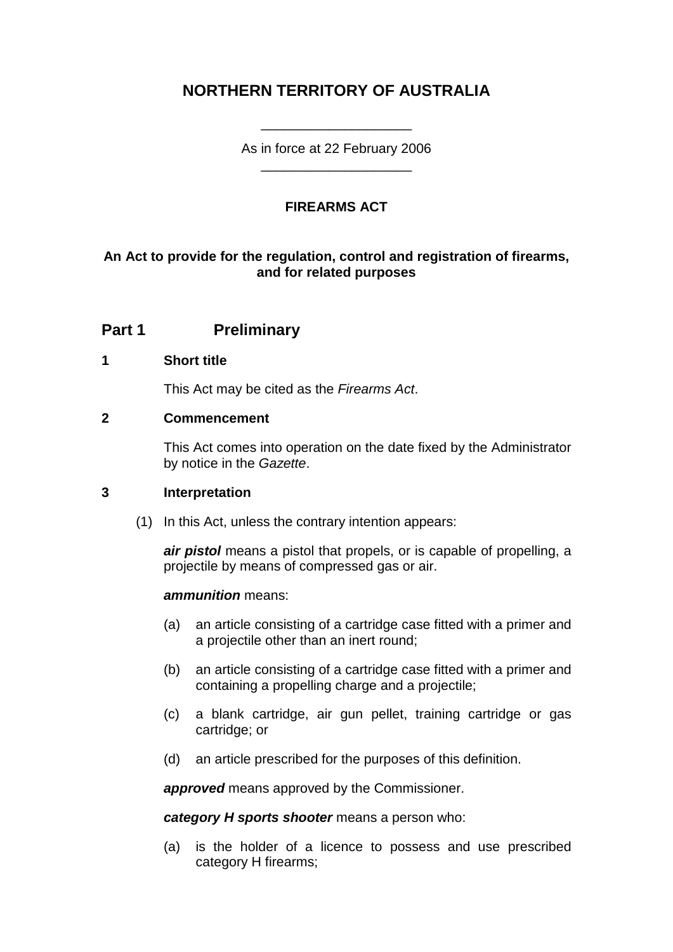# **NORTHERN TERRITORY OF AUSTRALIA**

As in force at 22 February 2006 \_\_\_\_\_\_\_\_\_\_\_\_\_\_\_\_\_\_\_\_

\_\_\_\_\_\_\_\_\_\_\_\_\_\_\_\_\_\_\_\_

## **FIREARMS ACT**

## **An Act to provide for the regulation, control and registration of firearms, and for related purposes**

## **Part 1 Preliminary**

### **1 Short title**

This Act may be cited as the *Firearms Act*.

### **2 Commencement**

This Act comes into operation on the date fixed by the Administrator by notice in the *Gazette*.

### **3 Interpretation**

(1) In this Act, unless the contrary intention appears:

*air pistol* means a pistol that propels, or is capable of propelling, a projectile by means of compressed gas or air.

#### *ammunition* means:

- (a) an article consisting of a cartridge case fitted with a primer and a projectile other than an inert round;
- (b) an article consisting of a cartridge case fitted with a primer and containing a propelling charge and a projectile;
- (c) a blank cartridge, air gun pellet, training cartridge or gas cartridge; or
- (d) an article prescribed for the purposes of this definition.

*approved* means approved by the Commissioner.

*category H sports shooter* means a person who:

(a) is the holder of a licence to possess and use prescribed category H firearms;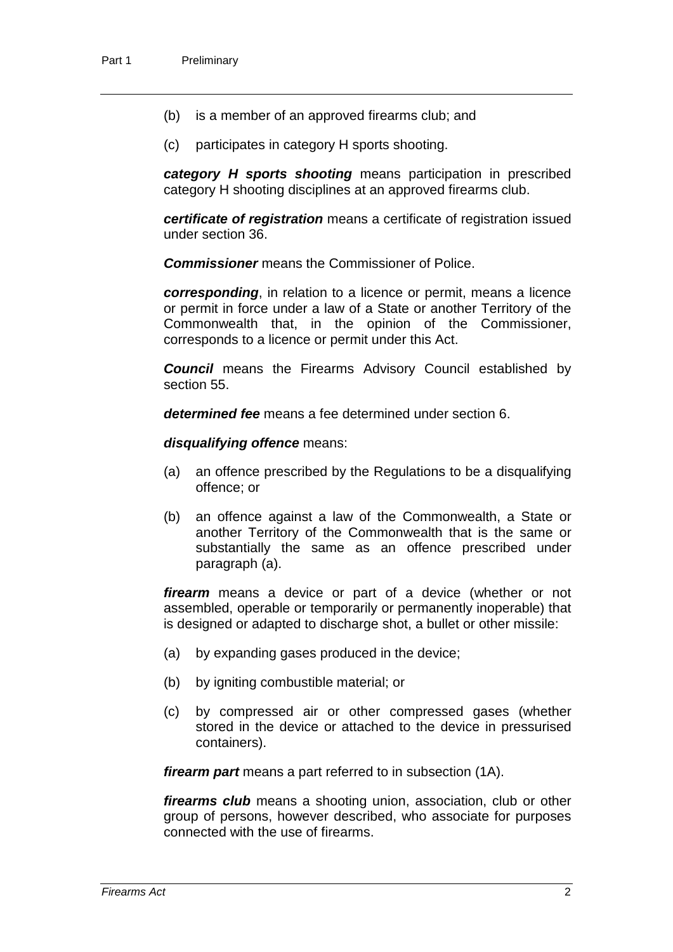- (b) is a member of an approved firearms club; and
- (c) participates in category H sports shooting.

*category H sports shooting* means participation in prescribed category H shooting disciplines at an approved firearms club.

*certificate of registration* means a certificate of registration issued under section 36.

*Commissioner* means the Commissioner of Police.

*corresponding*, in relation to a licence or permit, means a licence or permit in force under a law of a State or another Territory of the Commonwealth that, in the opinion of the Commissioner, corresponds to a licence or permit under this Act.

*Council* means the Firearms Advisory Council established by section 55.

*determined fee* means a fee determined under section 6.

*disqualifying offence* means:

- (a) an offence prescribed by the Regulations to be a disqualifying offence; or
- (b) an offence against a law of the Commonwealth, a State or another Territory of the Commonwealth that is the same or substantially the same as an offence prescribed under paragraph (a).

*firearm* means a device or part of a device (whether or not assembled, operable or temporarily or permanently inoperable) that is designed or adapted to discharge shot, a bullet or other missile:

- (a) by expanding gases produced in the device;
- (b) by igniting combustible material; or
- (c) by compressed air or other compressed gases (whether stored in the device or attached to the device in pressurised containers).

*firearm part* means a part referred to in subsection (1A).

*firearms club* means a shooting union, association, club or other group of persons, however described, who associate for purposes connected with the use of firearms.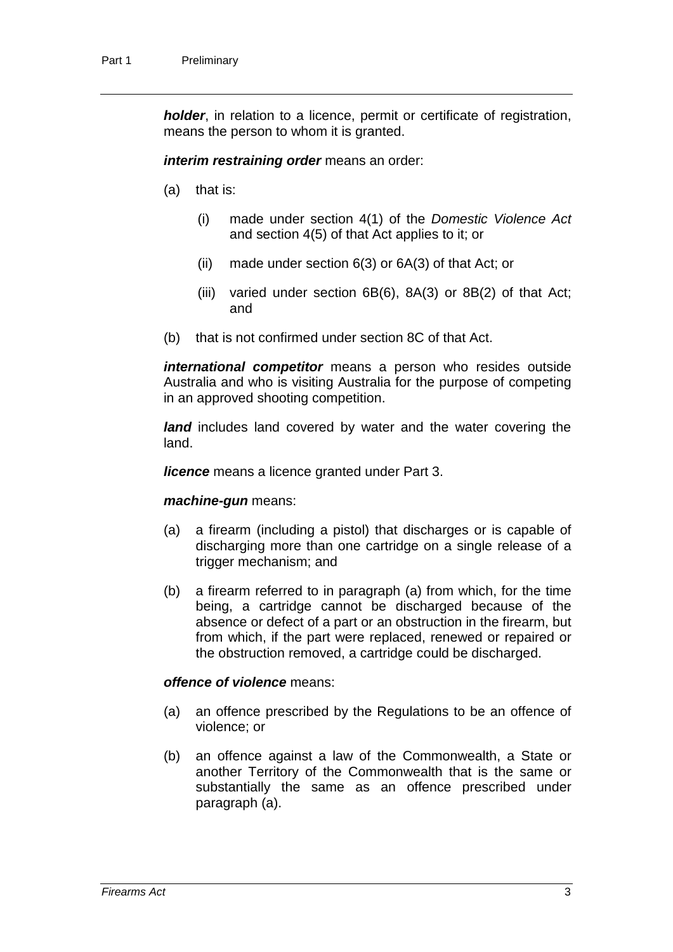*holder*, in relation to a licence, permit or certificate of registration, means the person to whom it is granted.

*interim restraining order* means an order:

- (a) that is:
	- (i) made under section 4(1) of the *Domestic Violence Act* and section 4(5) of that Act applies to it; or
	- (ii) made under section 6(3) or 6A(3) of that Act; or
	- (iii) varied under section 6B(6), 8A(3) or 8B(2) of that Act; and
- (b) that is not confirmed under section 8C of that Act.

*international competitor* means a person who resides outside Australia and who is visiting Australia for the purpose of competing in an approved shooting competition.

*land* includes land covered by water and the water covering the land.

*licence* means a licence granted under Part 3.

#### *machine-gun* means:

- (a) a firearm (including a pistol) that discharges or is capable of discharging more than one cartridge on a single release of a trigger mechanism; and
- (b) a firearm referred to in paragraph (a) from which, for the time being, a cartridge cannot be discharged because of the absence or defect of a part or an obstruction in the firearm, but from which, if the part were replaced, renewed or repaired or the obstruction removed, a cartridge could be discharged.

#### *offence of violence* means:

- (a) an offence prescribed by the Regulations to be an offence of violence; or
- (b) an offence against a law of the Commonwealth, a State or another Territory of the Commonwealth that is the same or substantially the same as an offence prescribed under paragraph (a).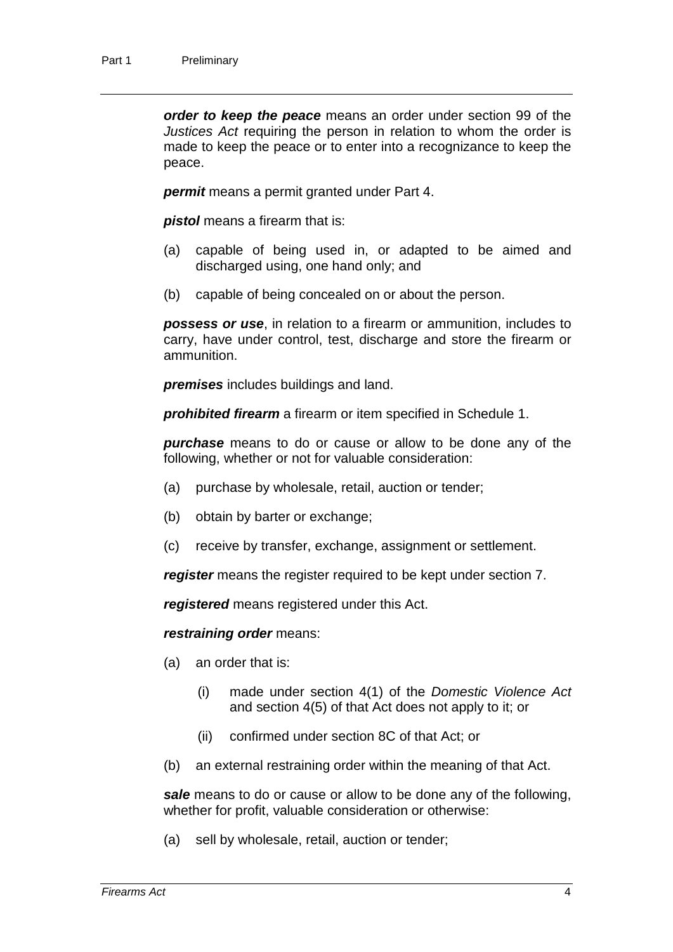*order to keep the peace* means an order under section 99 of the *Justices Act* requiring the person in relation to whom the order is made to keep the peace or to enter into a recognizance to keep the peace.

*permit* means a permit granted under Part 4.

*pistol* means a firearm that is:

- (a) capable of being used in, or adapted to be aimed and discharged using, one hand only; and
- (b) capable of being concealed on or about the person.

*possess or use*, in relation to a firearm or ammunition, includes to carry, have under control, test, discharge and store the firearm or ammunition.

*premises* includes buildings and land.

*prohibited firearm* a firearm or item specified in Schedule 1.

*purchase* means to do or cause or allow to be done any of the following, whether or not for valuable consideration:

- (a) purchase by wholesale, retail, auction or tender;
- (b) obtain by barter or exchange;
- (c) receive by transfer, exchange, assignment or settlement.

*register* means the register required to be kept under section 7.

*registered* means registered under this Act.

#### *restraining order* means:

- (a) an order that is:
	- (i) made under section 4(1) of the *Domestic Violence Act* and section 4(5) of that Act does not apply to it; or
	- (ii) confirmed under section 8C of that Act; or
- (b) an external restraining order within the meaning of that Act.

*sale* means to do or cause or allow to be done any of the following, whether for profit, valuable consideration or otherwise:

(a) sell by wholesale, retail, auction or tender;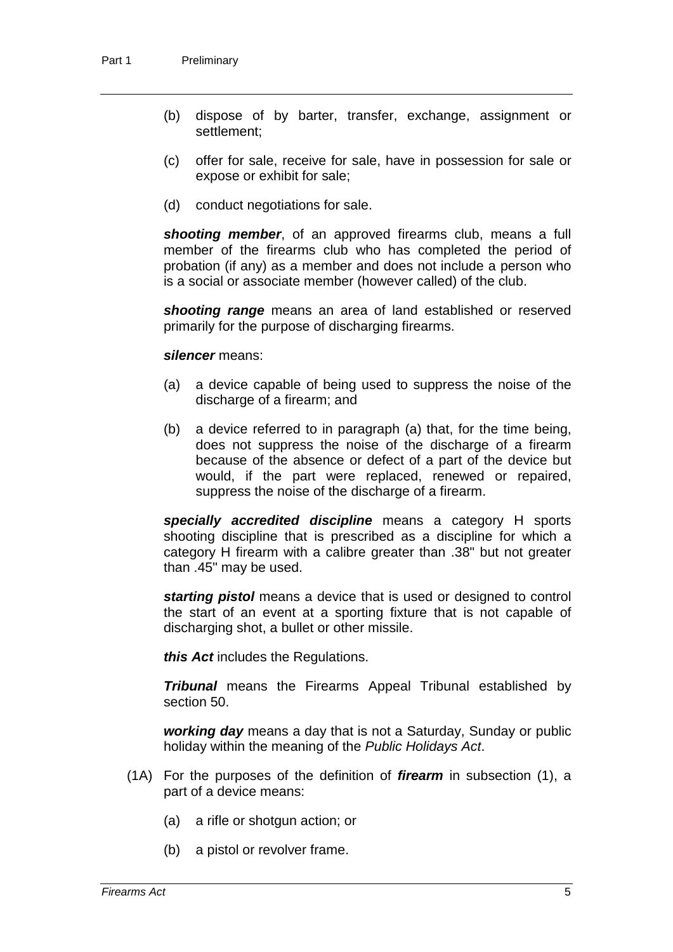- (b) dispose of by barter, transfer, exchange, assignment or settlement;
- (c) offer for sale, receive for sale, have in possession for sale or expose or exhibit for sale;
- (d) conduct negotiations for sale.

*shooting member*, of an approved firearms club, means a full member of the firearms club who has completed the period of probation (if any) as a member and does not include a person who is a social or associate member (however called) of the club.

*shooting range* means an area of land established or reserved primarily for the purpose of discharging firearms.

#### *silencer* means:

- (a) a device capable of being used to suppress the noise of the discharge of a firearm; and
- (b) a device referred to in paragraph (a) that, for the time being, does not suppress the noise of the discharge of a firearm because of the absence or defect of a part of the device but would, if the part were replaced, renewed or repaired, suppress the noise of the discharge of a firearm.

*specially accredited discipline* means a category H sports shooting discipline that is prescribed as a discipline for which a category H firearm with a calibre greater than .38" but not greater than .45" may be used.

*starting pistol* means a device that is used or designed to control the start of an event at a sporting fixture that is not capable of discharging shot, a bullet or other missile.

*this Act* includes the Regulations.

*Tribunal* means the Firearms Appeal Tribunal established by section 50.

*working day* means a day that is not a Saturday, Sunday or public holiday within the meaning of the *Public Holidays Act*.

- (1A) For the purposes of the definition of *firearm* in subsection (1), a part of a device means:
	- (a) a rifle or shotgun action; or
	- (b) a pistol or revolver frame.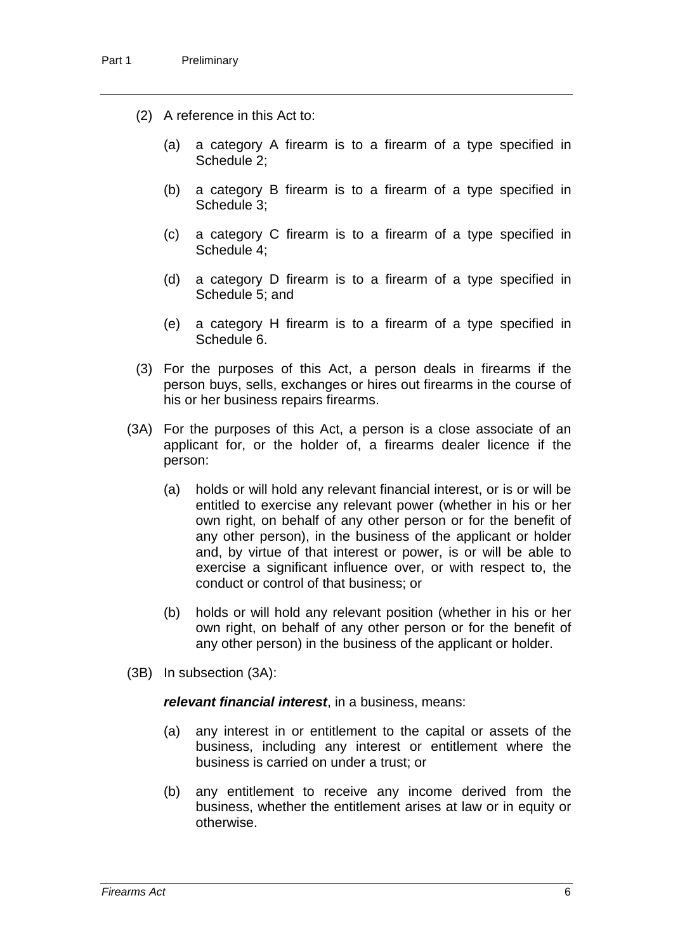- (2) A reference in this Act to:
	- (a) a category A firearm is to a firearm of a type specified in Schedule 2;
	- (b) a category B firearm is to a firearm of a type specified in Schedule 3;
	- (c) a category C firearm is to a firearm of a type specified in Schedule 4;
	- (d) a category D firearm is to a firearm of a type specified in Schedule 5; and
	- (e) a category H firearm is to a firearm of a type specified in Schedule 6.
- (3) For the purposes of this Act, a person deals in firearms if the person buys, sells, exchanges or hires out firearms in the course of his or her business repairs firearms.
- (3A) For the purposes of this Act, a person is a close associate of an applicant for, or the holder of, a firearms dealer licence if the person:
	- (a) holds or will hold any relevant financial interest, or is or will be entitled to exercise any relevant power (whether in his or her own right, on behalf of any other person or for the benefit of any other person), in the business of the applicant or holder and, by virtue of that interest or power, is or will be able to exercise a significant influence over, or with respect to, the conduct or control of that business; or
	- (b) holds or will hold any relevant position (whether in his or her own right, on behalf of any other person or for the benefit of any other person) in the business of the applicant or holder.
- (3B) In subsection (3A):

#### *relevant financial interest*, in a business, means:

- (a) any interest in or entitlement to the capital or assets of the business, including any interest or entitlement where the business is carried on under a trust; or
- (b) any entitlement to receive any income derived from the business, whether the entitlement arises at law or in equity or otherwise.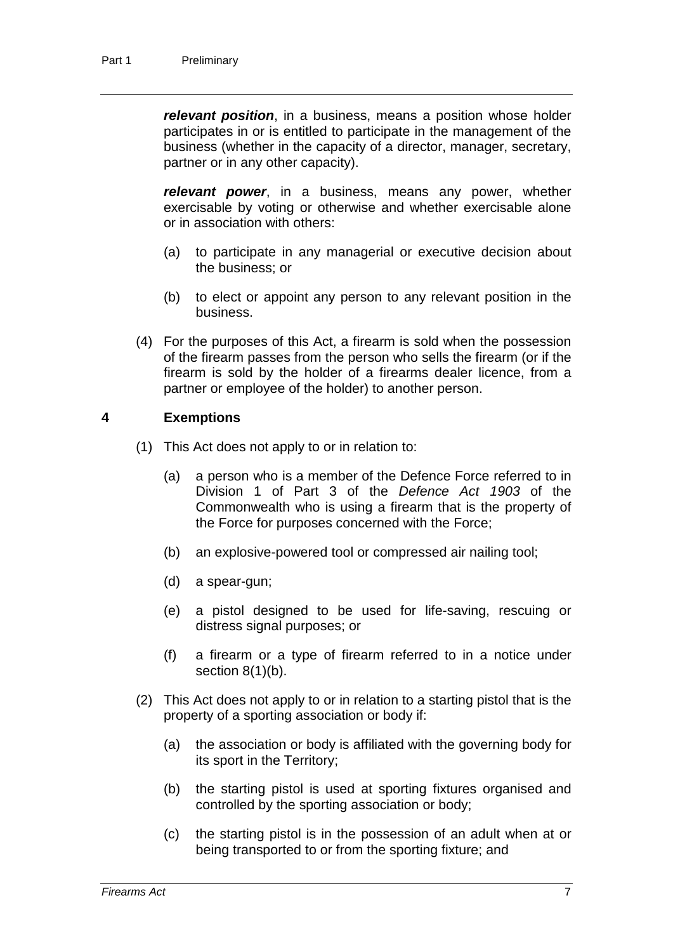*relevant position*, in a business, means a position whose holder participates in or is entitled to participate in the management of the business (whether in the capacity of a director, manager, secretary, partner or in any other capacity).

*relevant power*, in a business, means any power, whether exercisable by voting or otherwise and whether exercisable alone or in association with others:

- (a) to participate in any managerial or executive decision about the business; or
- (b) to elect or appoint any person to any relevant position in the business.
- (4) For the purposes of this Act, a firearm is sold when the possession of the firearm passes from the person who sells the firearm (or if the firearm is sold by the holder of a firearms dealer licence, from a partner or employee of the holder) to another person.

### **4 Exemptions**

- (1) This Act does not apply to or in relation to:
	- (a) a person who is a member of the Defence Force referred to in Division 1 of Part 3 of the *Defence Act 1903* of the Commonwealth who is using a firearm that is the property of the Force for purposes concerned with the Force;
	- (b) an explosive-powered tool or compressed air nailing tool;
	- (d) a spear-gun;
	- (e) a pistol designed to be used for life-saving, rescuing or distress signal purposes; or
	- (f) a firearm or a type of firearm referred to in a notice under section  $8(1)(b)$ .
- (2) This Act does not apply to or in relation to a starting pistol that is the property of a sporting association or body if:
	- (a) the association or body is affiliated with the governing body for its sport in the Territory;
	- (b) the starting pistol is used at sporting fixtures organised and controlled by the sporting association or body;
	- (c) the starting pistol is in the possession of an adult when at or being transported to or from the sporting fixture; and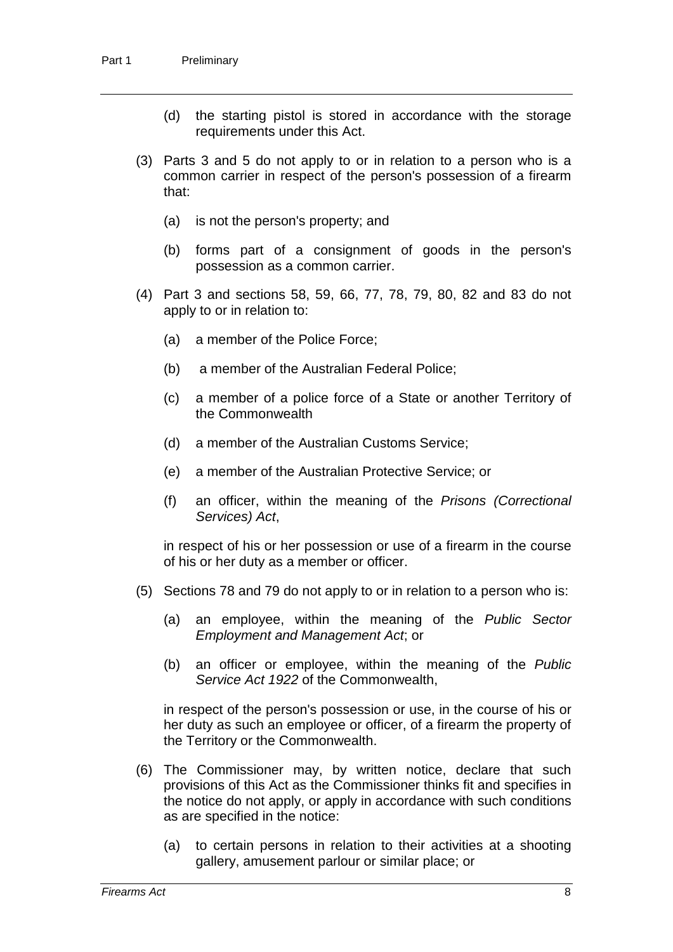- (d) the starting pistol is stored in accordance with the storage requirements under this Act.
- (3) Parts 3 and 5 do not apply to or in relation to a person who is a common carrier in respect of the person's possession of a firearm that:
	- (a) is not the person's property; and
	- (b) forms part of a consignment of goods in the person's possession as a common carrier.
- (4) Part 3 and sections 58, 59, 66, 77, 78, 79, 80, 82 and 83 do not apply to or in relation to:
	- (a) a member of the Police Force;
	- (b) a member of the Australian Federal Police;
	- (c) a member of a police force of a State or another Territory of the Commonwealth
	- (d) a member of the Australian Customs Service;
	- (e) a member of the Australian Protective Service; or
	- (f) an officer, within the meaning of the *Prisons (Correctional Services) Act*,

in respect of his or her possession or use of a firearm in the course of his or her duty as a member or officer.

- (5) Sections 78 and 79 do not apply to or in relation to a person who is:
	- (a) an employee, within the meaning of the *Public Sector Employment and Management Act*; or
	- (b) an officer or employee, within the meaning of the *Public Service Act 1922* of the Commonwealth,

in respect of the person's possession or use, in the course of his or her duty as such an employee or officer, of a firearm the property of the Territory or the Commonwealth.

- (6) The Commissioner may, by written notice, declare that such provisions of this Act as the Commissioner thinks fit and specifies in the notice do not apply, or apply in accordance with such conditions as are specified in the notice:
	- (a) to certain persons in relation to their activities at a shooting gallery, amusement parlour or similar place; or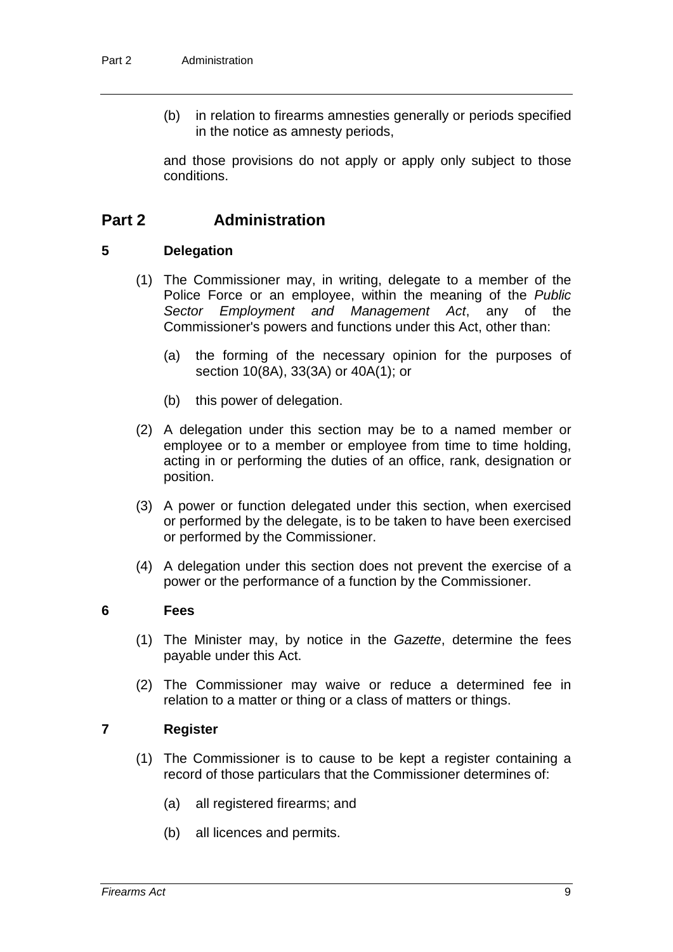(b) in relation to firearms amnesties generally or periods specified in the notice as amnesty periods,

and those provisions do not apply or apply only subject to those conditions.

## **Part 2 Administration**

#### **5 Delegation**

- (1) The Commissioner may, in writing, delegate to a member of the Police Force or an employee, within the meaning of the *Public Sector Employment and Management Act*, any of the Commissioner's powers and functions under this Act, other than:
	- (a) the forming of the necessary opinion for the purposes of section 10(8A), 33(3A) or 40A(1); or
	- (b) this power of delegation.
- (2) A delegation under this section may be to a named member or employee or to a member or employee from time to time holding, acting in or performing the duties of an office, rank, designation or position.
- (3) A power or function delegated under this section, when exercised or performed by the delegate, is to be taken to have been exercised or performed by the Commissioner.
- (4) A delegation under this section does not prevent the exercise of a power or the performance of a function by the Commissioner.

#### **6 Fees**

- (1) The Minister may, by notice in the *Gazette*, determine the fees payable under this Act.
- (2) The Commissioner may waive or reduce a determined fee in relation to a matter or thing or a class of matters or things.

### **7 Register**

- (1) The Commissioner is to cause to be kept a register containing a record of those particulars that the Commissioner determines of:
	- (a) all registered firearms; and
	- (b) all licences and permits.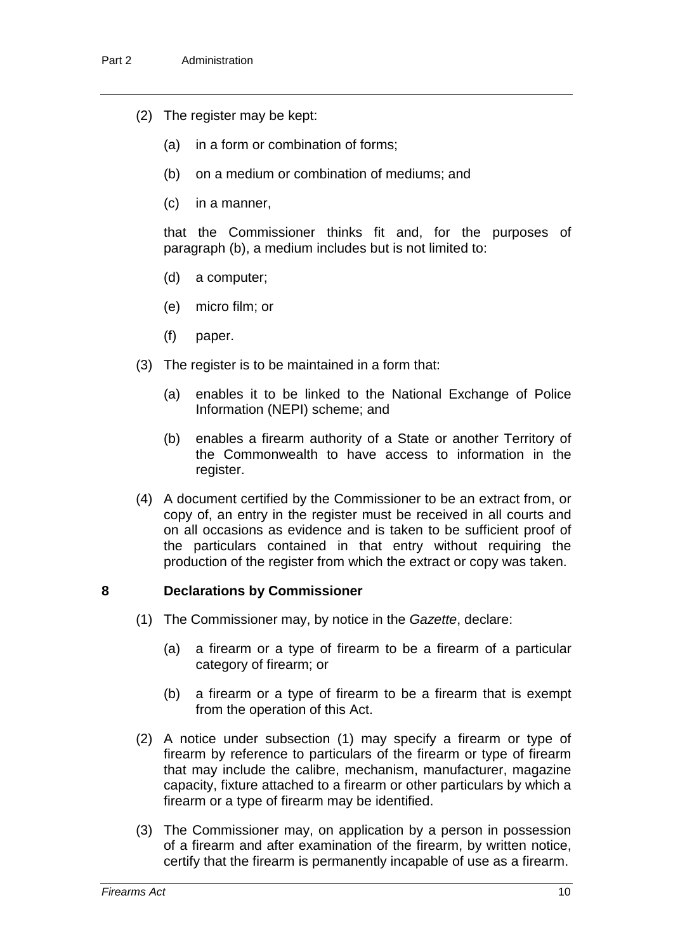- (2) The register may be kept:
	- (a) in a form or combination of forms;
	- (b) on a medium or combination of mediums; and
	- (c) in a manner,

that the Commissioner thinks fit and, for the purposes of paragraph (b), a medium includes but is not limited to:

- (d) a computer;
- (e) micro film; or
- (f) paper.
- (3) The register is to be maintained in a form that:
	- (a) enables it to be linked to the National Exchange of Police Information (NEPI) scheme; and
	- (b) enables a firearm authority of a State or another Territory of the Commonwealth to have access to information in the register.
- (4) A document certified by the Commissioner to be an extract from, or copy of, an entry in the register must be received in all courts and on all occasions as evidence and is taken to be sufficient proof of the particulars contained in that entry without requiring the production of the register from which the extract or copy was taken.

### **8 Declarations by Commissioner**

- (1) The Commissioner may, by notice in the *Gazette*, declare:
	- (a) a firearm or a type of firearm to be a firearm of a particular category of firearm; or
	- (b) a firearm or a type of firearm to be a firearm that is exempt from the operation of this Act.
- (2) A notice under subsection (1) may specify a firearm or type of firearm by reference to particulars of the firearm or type of firearm that may include the calibre, mechanism, manufacturer, magazine capacity, fixture attached to a firearm or other particulars by which a firearm or a type of firearm may be identified.
- (3) The Commissioner may, on application by a person in possession of a firearm and after examination of the firearm, by written notice, certify that the firearm is permanently incapable of use as a firearm.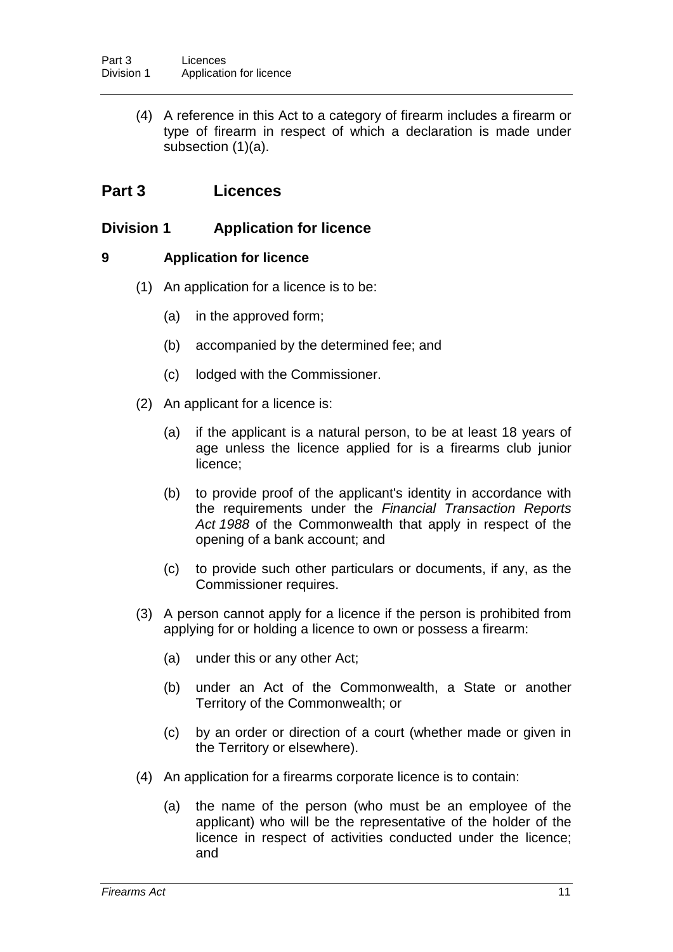(4) A reference in this Act to a category of firearm includes a firearm or type of firearm in respect of which a declaration is made under subsection (1)(a).

## **Part 3 Licences**

## **Division 1 Application for licence**

### **9 Application for licence**

- (1) An application for a licence is to be:
	- (a) in the approved form;
	- (b) accompanied by the determined fee; and
	- (c) lodged with the Commissioner.
- (2) An applicant for a licence is:
	- (a) if the applicant is a natural person, to be at least 18 years of age unless the licence applied for is a firearms club junior licence;
	- (b) to provide proof of the applicant's identity in accordance with the requirements under the *Financial Transaction Reports Act 1988* of the Commonwealth that apply in respect of the opening of a bank account; and
	- (c) to provide such other particulars or documents, if any, as the Commissioner requires.
- (3) A person cannot apply for a licence if the person is prohibited from applying for or holding a licence to own or possess a firearm:
	- (a) under this or any other Act;
	- (b) under an Act of the Commonwealth, a State or another Territory of the Commonwealth; or
	- (c) by an order or direction of a court (whether made or given in the Territory or elsewhere).
- (4) An application for a firearms corporate licence is to contain:
	- (a) the name of the person (who must be an employee of the applicant) who will be the representative of the holder of the licence in respect of activities conducted under the licence; and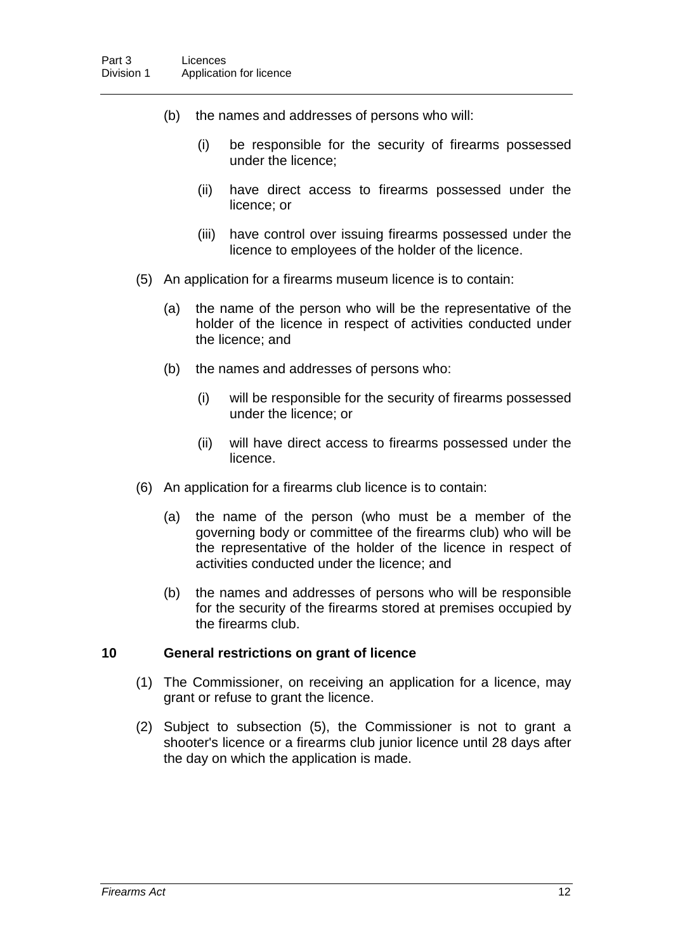- (b) the names and addresses of persons who will:
	- (i) be responsible for the security of firearms possessed under the licence;
	- (ii) have direct access to firearms possessed under the licence; or
	- (iii) have control over issuing firearms possessed under the licence to employees of the holder of the licence.
- (5) An application for a firearms museum licence is to contain:
	- (a) the name of the person who will be the representative of the holder of the licence in respect of activities conducted under the licence; and
	- (b) the names and addresses of persons who:
		- (i) will be responsible for the security of firearms possessed under the licence; or
		- (ii) will have direct access to firearms possessed under the licence.
- (6) An application for a firearms club licence is to contain:
	- (a) the name of the person (who must be a member of the governing body or committee of the firearms club) who will be the representative of the holder of the licence in respect of activities conducted under the licence; and
	- (b) the names and addresses of persons who will be responsible for the security of the firearms stored at premises occupied by the firearms club.

### **10 General restrictions on grant of licence**

- (1) The Commissioner, on receiving an application for a licence, may grant or refuse to grant the licence.
- (2) Subject to subsection (5), the Commissioner is not to grant a shooter's licence or a firearms club junior licence until 28 days after the day on which the application is made.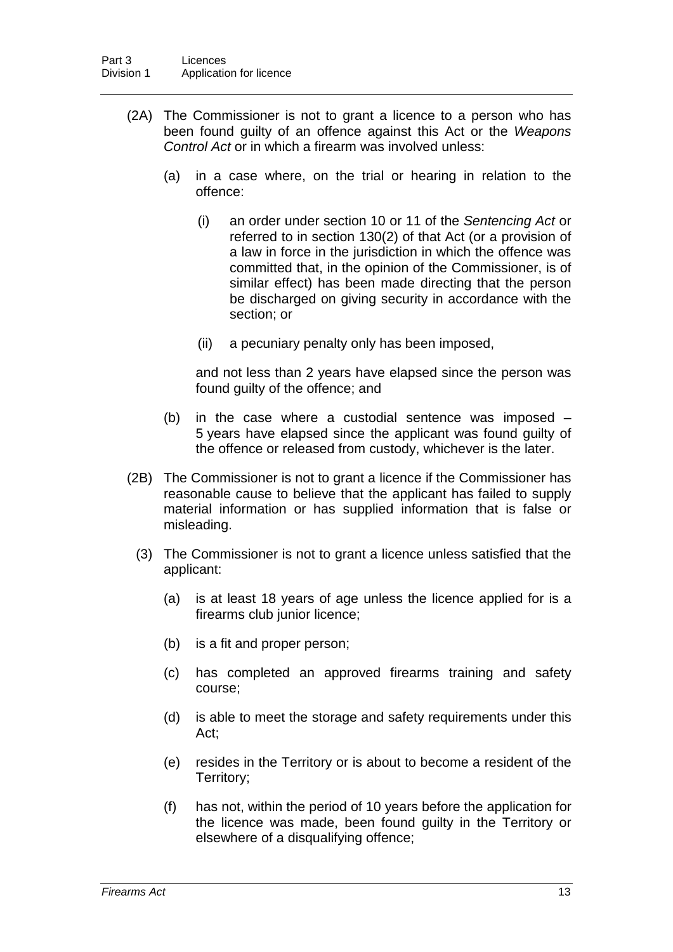- (2A) The Commissioner is not to grant a licence to a person who has been found guilty of an offence against this Act or the *Weapons Control Act* or in which a firearm was involved unless:
	- (a) in a case where, on the trial or hearing in relation to the offence:
		- (i) an order under section 10 or 11 of the *Sentencing Act* or referred to in section 130(2) of that Act (or a provision of a law in force in the jurisdiction in which the offence was committed that, in the opinion of the Commissioner, is of similar effect) has been made directing that the person be discharged on giving security in accordance with the section; or
		- (ii) a pecuniary penalty only has been imposed,

and not less than 2 years have elapsed since the person was found guilty of the offence; and

- (b) in the case where a custodial sentence was imposed 5 years have elapsed since the applicant was found guilty of the offence or released from custody, whichever is the later.
- (2B) The Commissioner is not to grant a licence if the Commissioner has reasonable cause to believe that the applicant has failed to supply material information or has supplied information that is false or misleading.
	- (3) The Commissioner is not to grant a licence unless satisfied that the applicant:
		- (a) is at least 18 years of age unless the licence applied for is a firearms club junior licence;
		- (b) is a fit and proper person;
		- (c) has completed an approved firearms training and safety course;
		- (d) is able to meet the storage and safety requirements under this Act;
		- (e) resides in the Territory or is about to become a resident of the Territory;
		- (f) has not, within the period of 10 years before the application for the licence was made, been found guilty in the Territory or elsewhere of a disqualifying offence;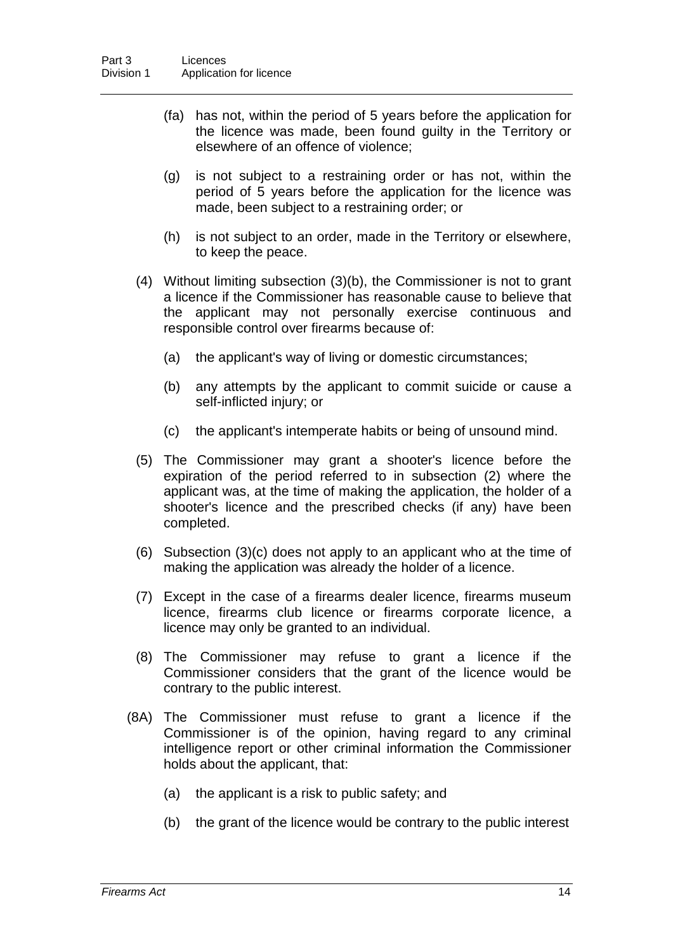- (fa) has not, within the period of 5 years before the application for the licence was made, been found guilty in the Territory or elsewhere of an offence of violence;
- (g) is not subject to a restraining order or has not, within the period of 5 years before the application for the licence was made, been subject to a restraining order; or
- (h) is not subject to an order, made in the Territory or elsewhere, to keep the peace.
- (4) Without limiting subsection (3)(b), the Commissioner is not to grant a licence if the Commissioner has reasonable cause to believe that the applicant may not personally exercise continuous and responsible control over firearms because of:
	- (a) the applicant's way of living or domestic circumstances;
	- (b) any attempts by the applicant to commit suicide or cause a self-inflicted injury; or
	- (c) the applicant's intemperate habits or being of unsound mind.
- (5) The Commissioner may grant a shooter's licence before the expiration of the period referred to in subsection (2) where the applicant was, at the time of making the application, the holder of a shooter's licence and the prescribed checks (if any) have been completed.
- (6) Subsection (3)(c) does not apply to an applicant who at the time of making the application was already the holder of a licence.
- (7) Except in the case of a firearms dealer licence, firearms museum licence, firearms club licence or firearms corporate licence, a licence may only be granted to an individual.
- (8) The Commissioner may refuse to grant a licence if the Commissioner considers that the grant of the licence would be contrary to the public interest.
- (8A) The Commissioner must refuse to grant a licence if the Commissioner is of the opinion, having regard to any criminal intelligence report or other criminal information the Commissioner holds about the applicant, that:
	- (a) the applicant is a risk to public safety; and
	- (b) the grant of the licence would be contrary to the public interest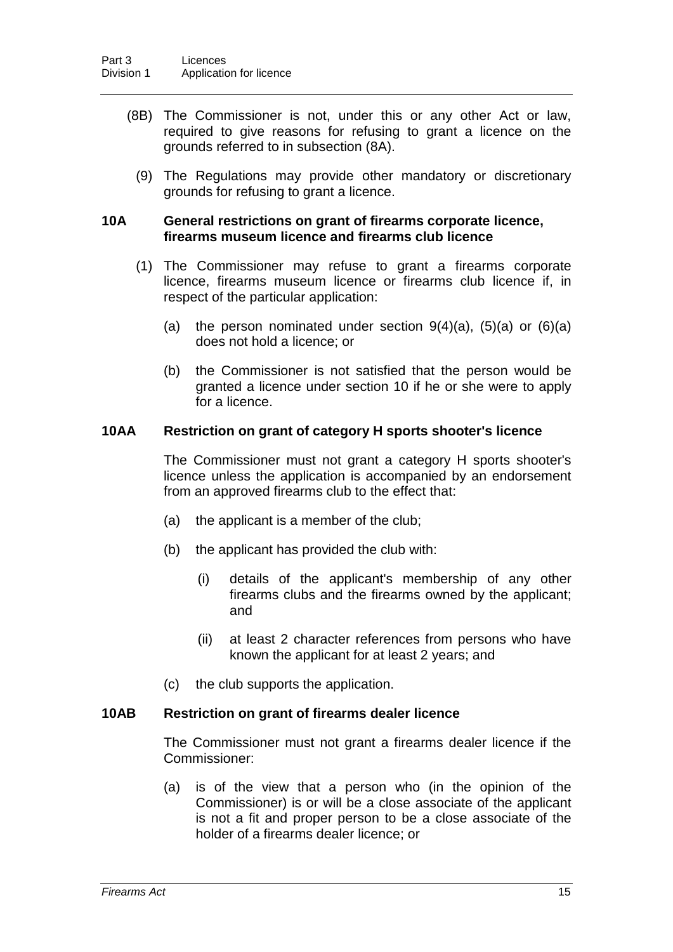- (8B) The Commissioner is not, under this or any other Act or law, required to give reasons for refusing to grant a licence on the grounds referred to in subsection (8A).
	- (9) The Regulations may provide other mandatory or discretionary grounds for refusing to grant a licence.

#### **10A General restrictions on grant of firearms corporate licence, firearms museum licence and firearms club licence**

- (1) The Commissioner may refuse to grant a firearms corporate licence, firearms museum licence or firearms club licence if, in respect of the particular application:
	- (a) the person nominated under section  $9(4)(a)$ ,  $(5)(a)$  or  $(6)(a)$ does not hold a licence; or
	- (b) the Commissioner is not satisfied that the person would be granted a licence under section 10 if he or she were to apply for a licence.

### **10AA Restriction on grant of category H sports shooter's licence**

The Commissioner must not grant a category H sports shooter's licence unless the application is accompanied by an endorsement from an approved firearms club to the effect that:

- (a) the applicant is a member of the club;
- (b) the applicant has provided the club with:
	- (i) details of the applicant's membership of any other firearms clubs and the firearms owned by the applicant; and
	- (ii) at least 2 character references from persons who have known the applicant for at least 2 years; and
- (c) the club supports the application.

#### **10AB Restriction on grant of firearms dealer licence**

The Commissioner must not grant a firearms dealer licence if the Commissioner:

(a) is of the view that a person who (in the opinion of the Commissioner) is or will be a close associate of the applicant is not a fit and proper person to be a close associate of the holder of a firearms dealer licence; or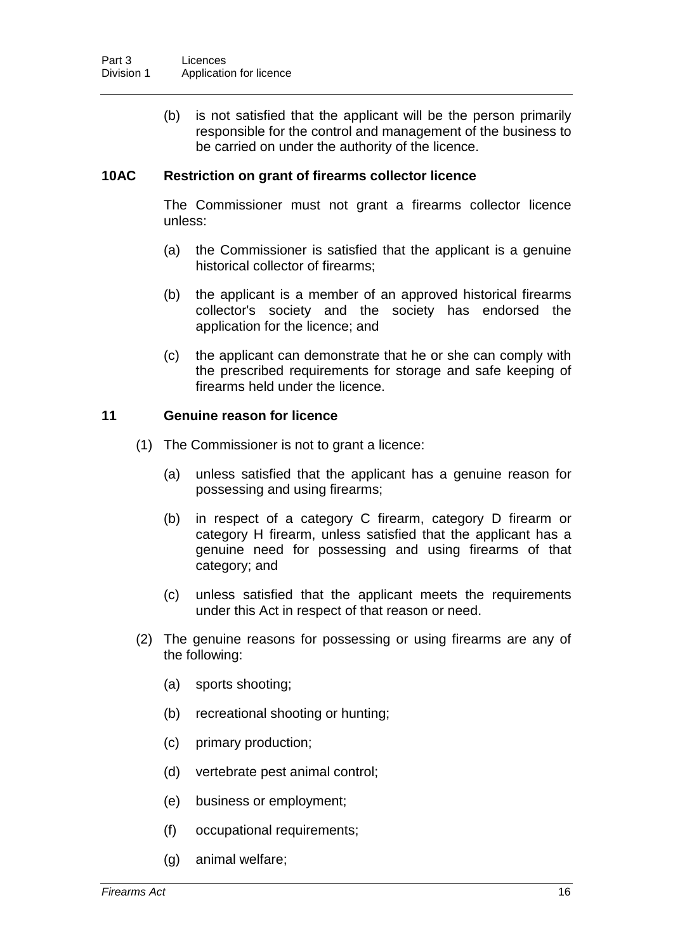(b) is not satisfied that the applicant will be the person primarily responsible for the control and management of the business to be carried on under the authority of the licence.

### **10AC Restriction on grant of firearms collector licence**

The Commissioner must not grant a firearms collector licence unless:

- (a) the Commissioner is satisfied that the applicant is a genuine historical collector of firearms;
- (b) the applicant is a member of an approved historical firearms collector's society and the society has endorsed the application for the licence; and
- (c) the applicant can demonstrate that he or she can comply with the prescribed requirements for storage and safe keeping of firearms held under the licence.

#### **11 Genuine reason for licence**

- (1) The Commissioner is not to grant a licence:
	- (a) unless satisfied that the applicant has a genuine reason for possessing and using firearms;
	- (b) in respect of a category C firearm, category D firearm or category H firearm, unless satisfied that the applicant has a genuine need for possessing and using firearms of that category; and
	- (c) unless satisfied that the applicant meets the requirements under this Act in respect of that reason or need.
- (2) The genuine reasons for possessing or using firearms are any of the following:
	- (a) sports shooting;
	- (b) recreational shooting or hunting;
	- (c) primary production;
	- (d) vertebrate pest animal control;
	- (e) business or employment;
	- (f) occupational requirements;
	- (g) animal welfare;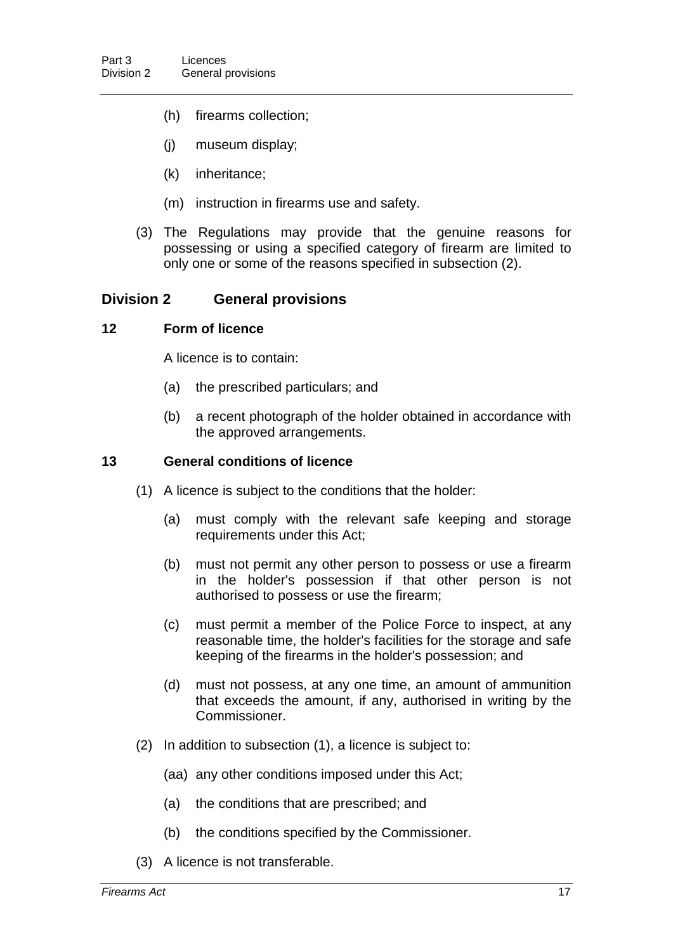- (h) firearms collection;
- (j) museum display;
- (k) inheritance;
- (m) instruction in firearms use and safety.
- (3) The Regulations may provide that the genuine reasons for possessing or using a specified category of firearm are limited to only one or some of the reasons specified in subsection (2).

### **Division 2 General provisions**

#### **12 Form of licence**

A licence is to contain:

- (a) the prescribed particulars; and
- (b) a recent photograph of the holder obtained in accordance with the approved arrangements.

#### **13 General conditions of licence**

- (1) A licence is subject to the conditions that the holder:
	- (a) must comply with the relevant safe keeping and storage requirements under this Act;
	- (b) must not permit any other person to possess or use a firearm in the holder's possession if that other person is not authorised to possess or use the firearm;
	- (c) must permit a member of the Police Force to inspect, at any reasonable time, the holder's facilities for the storage and safe keeping of the firearms in the holder's possession; and
	- (d) must not possess, at any one time, an amount of ammunition that exceeds the amount, if any, authorised in writing by the Commissioner.
- (2) In addition to subsection (1), a licence is subject to:
	- (aa) any other conditions imposed under this Act;
	- (a) the conditions that are prescribed; and
	- (b) the conditions specified by the Commissioner.
- (3) A licence is not transferable.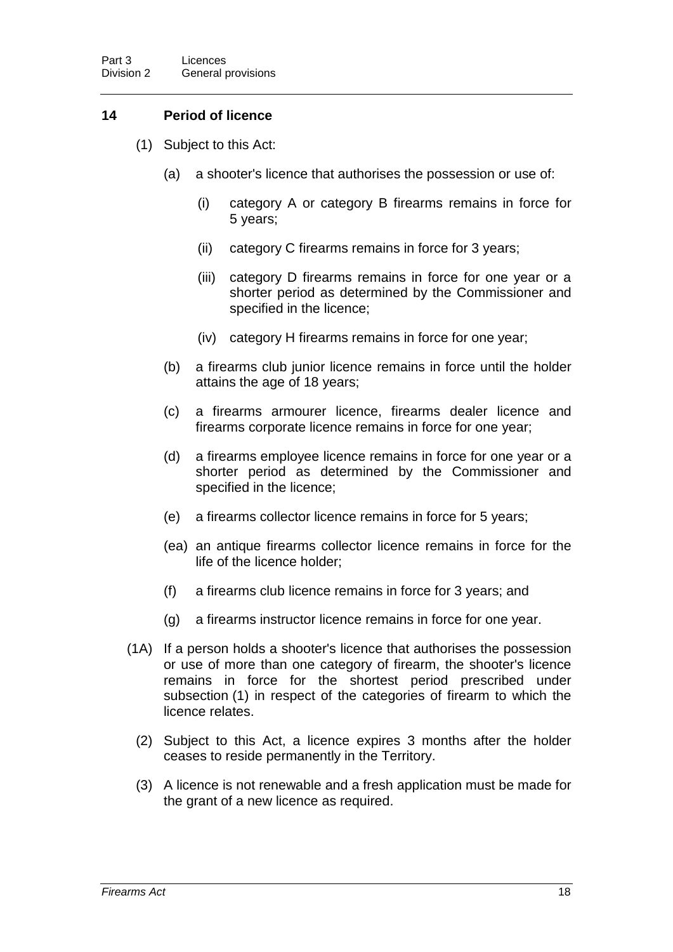## **14 Period of licence**

- (1) Subject to this Act:
	- (a) a shooter's licence that authorises the possession or use of:
		- (i) category A or category B firearms remains in force for 5 years;
		- (ii) category C firearms remains in force for 3 years;
		- (iii) category D firearms remains in force for one year or a shorter period as determined by the Commissioner and specified in the licence;
		- (iv) category H firearms remains in force for one year;
	- (b) a firearms club junior licence remains in force until the holder attains the age of 18 years;
	- (c) a firearms armourer licence, firearms dealer licence and firearms corporate licence remains in force for one year;
	- (d) a firearms employee licence remains in force for one year or a shorter period as determined by the Commissioner and specified in the licence;
	- (e) a firearms collector licence remains in force for 5 years;
	- (ea) an antique firearms collector licence remains in force for the life of the licence holder;
	- (f) a firearms club licence remains in force for 3 years; and
	- (g) a firearms instructor licence remains in force for one year.
- (1A) If a person holds a shooter's licence that authorises the possession or use of more than one category of firearm, the shooter's licence remains in force for the shortest period prescribed under subsection (1) in respect of the categories of firearm to which the licence relates.
	- (2) Subject to this Act, a licence expires 3 months after the holder ceases to reside permanently in the Territory.
	- (3) A licence is not renewable and a fresh application must be made for the grant of a new licence as required.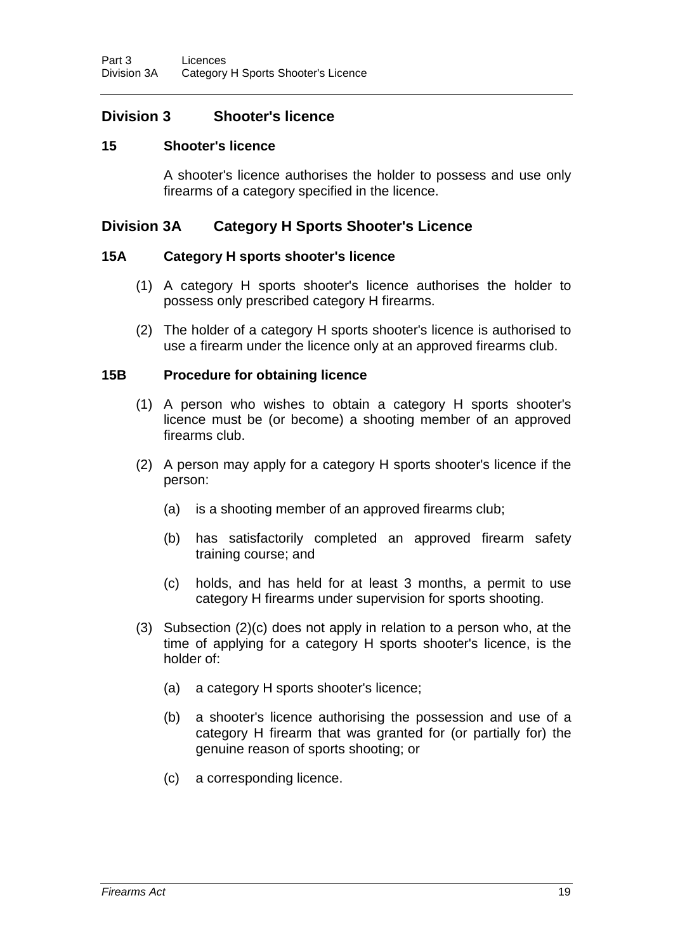## **Division 3 Shooter's licence**

### **15 Shooter's licence**

A shooter's licence authorises the holder to possess and use only firearms of a category specified in the licence.

## **Division 3A Category H Sports Shooter's Licence**

### **15A Category H sports shooter's licence**

- (1) A category H sports shooter's licence authorises the holder to possess only prescribed category H firearms.
- (2) The holder of a category H sports shooter's licence is authorised to use a firearm under the licence only at an approved firearms club.

#### **15B Procedure for obtaining licence**

- (1) A person who wishes to obtain a category H sports shooter's licence must be (or become) a shooting member of an approved firearms club.
- (2) A person may apply for a category H sports shooter's licence if the person:
	- (a) is a shooting member of an approved firearms club;
	- (b) has satisfactorily completed an approved firearm safety training course; and
	- (c) holds, and has held for at least 3 months, a permit to use category H firearms under supervision for sports shooting.
- (3) Subsection (2)(c) does not apply in relation to a person who, at the time of applying for a category H sports shooter's licence, is the holder of:
	- (a) a category H sports shooter's licence;
	- (b) a shooter's licence authorising the possession and use of a category H firearm that was granted for (or partially for) the genuine reason of sports shooting; or
	- (c) a corresponding licence.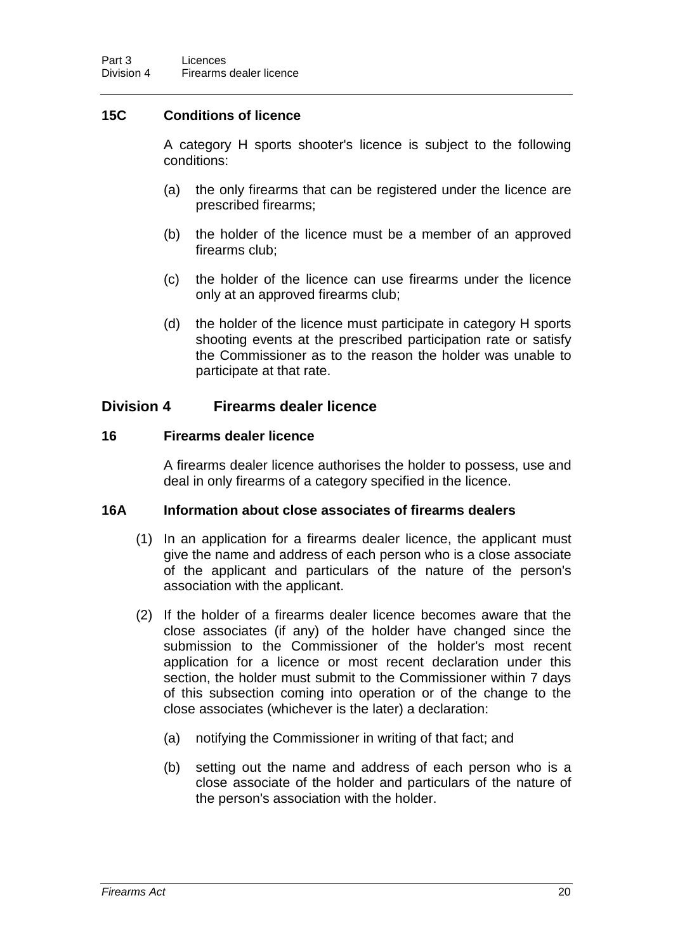## **15C Conditions of licence**

A category H sports shooter's licence is subject to the following conditions:

- (a) the only firearms that can be registered under the licence are prescribed firearms;
- (b) the holder of the licence must be a member of an approved firearms club;
- (c) the holder of the licence can use firearms under the licence only at an approved firearms club;
- (d) the holder of the licence must participate in category H sports shooting events at the prescribed participation rate or satisfy the Commissioner as to the reason the holder was unable to participate at that rate.

## **Division 4 Firearms dealer licence**

#### **16 Firearms dealer licence**

A firearms dealer licence authorises the holder to possess, use and deal in only firearms of a category specified in the licence.

#### **16A Information about close associates of firearms dealers**

- (1) In an application for a firearms dealer licence, the applicant must give the name and address of each person who is a close associate of the applicant and particulars of the nature of the person's association with the applicant.
- (2) If the holder of a firearms dealer licence becomes aware that the close associates (if any) of the holder have changed since the submission to the Commissioner of the holder's most recent application for a licence or most recent declaration under this section, the holder must submit to the Commissioner within 7 days of this subsection coming into operation or of the change to the close associates (whichever is the later) a declaration:
	- (a) notifying the Commissioner in writing of that fact; and
	- (b) setting out the name and address of each person who is a close associate of the holder and particulars of the nature of the person's association with the holder.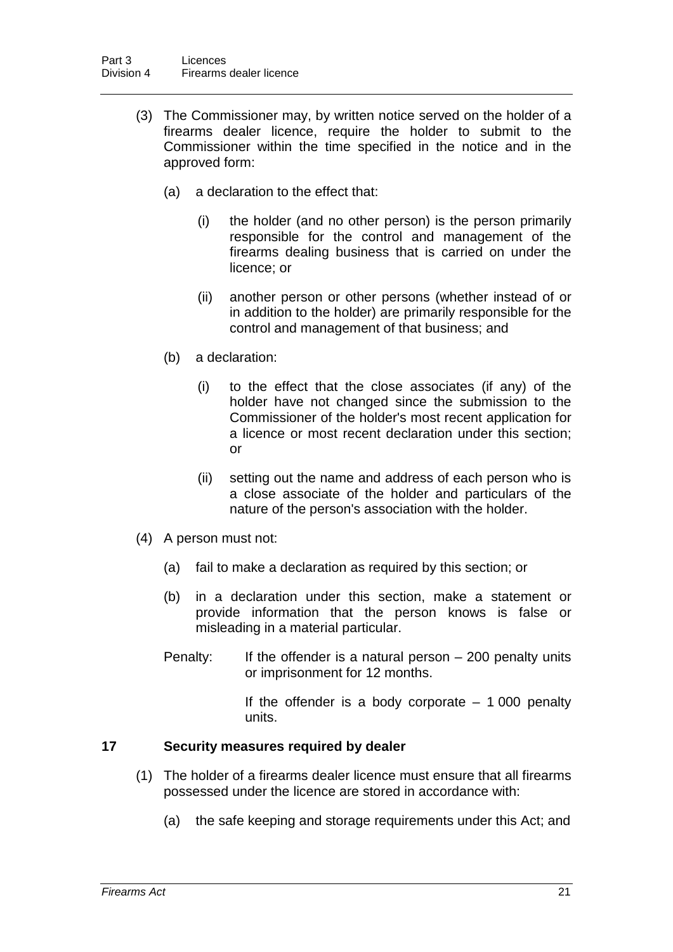- (3) The Commissioner may, by written notice served on the holder of a firearms dealer licence, require the holder to submit to the Commissioner within the time specified in the notice and in the approved form:
	- (a) a declaration to the effect that:
		- (i) the holder (and no other person) is the person primarily responsible for the control and management of the firearms dealing business that is carried on under the licence; or
		- (ii) another person or other persons (whether instead of or in addition to the holder) are primarily responsible for the control and management of that business; and
	- (b) a declaration:
		- (i) to the effect that the close associates (if any) of the holder have not changed since the submission to the Commissioner of the holder's most recent application for a licence or most recent declaration under this section; or
		- (ii) setting out the name and address of each person who is a close associate of the holder and particulars of the nature of the person's association with the holder.
- (4) A person must not:
	- (a) fail to make a declaration as required by this section; or
	- (b) in a declaration under this section, make a statement or provide information that the person knows is false or misleading in a material particular.
	- Penalty: If the offender is a natural person 200 penalty units or imprisonment for 12 months.

If the offender is a body corporate  $-1000$  penalty units.

### **17 Security measures required by dealer**

- (1) The holder of a firearms dealer licence must ensure that all firearms possessed under the licence are stored in accordance with:
	- (a) the safe keeping and storage requirements under this Act; and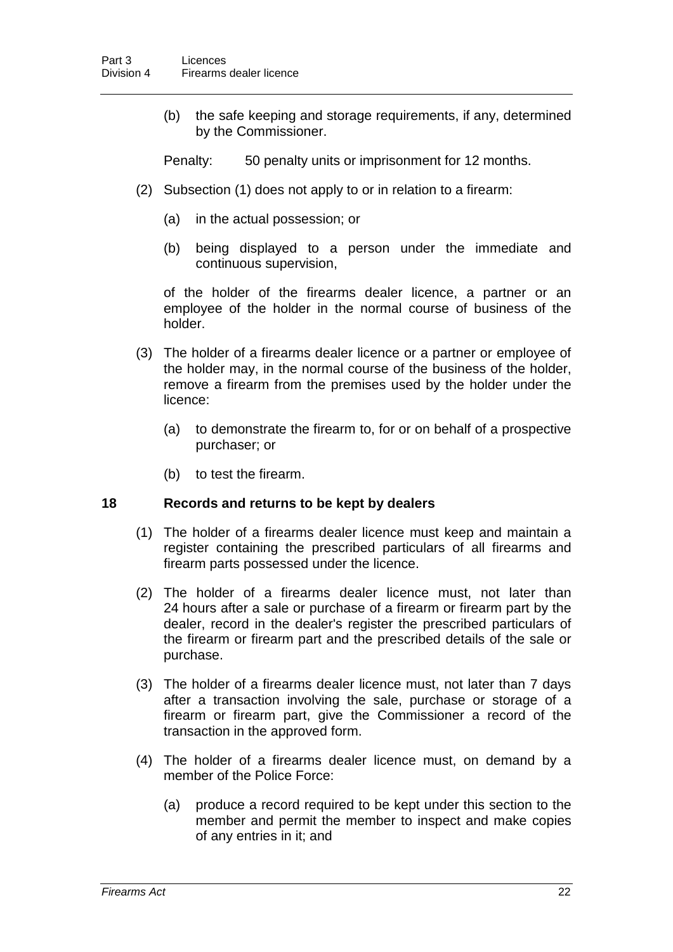(b) the safe keeping and storage requirements, if any, determined by the Commissioner.

Penalty: 50 penalty units or imprisonment for 12 months.

- (2) Subsection (1) does not apply to or in relation to a firearm:
	- (a) in the actual possession; or
	- (b) being displayed to a person under the immediate and continuous supervision,

of the holder of the firearms dealer licence, a partner or an employee of the holder in the normal course of business of the holder.

- (3) The holder of a firearms dealer licence or a partner or employee of the holder may, in the normal course of the business of the holder, remove a firearm from the premises used by the holder under the licence:
	- (a) to demonstrate the firearm to, for or on behalf of a prospective purchaser; or
	- (b) to test the firearm.

### **18 Records and returns to be kept by dealers**

- (1) The holder of a firearms dealer licence must keep and maintain a register containing the prescribed particulars of all firearms and firearm parts possessed under the licence.
- (2) The holder of a firearms dealer licence must, not later than 24 hours after a sale or purchase of a firearm or firearm part by the dealer, record in the dealer's register the prescribed particulars of the firearm or firearm part and the prescribed details of the sale or purchase.
- (3) The holder of a firearms dealer licence must, not later than 7 days after a transaction involving the sale, purchase or storage of a firearm or firearm part, give the Commissioner a record of the transaction in the approved form.
- (4) The holder of a firearms dealer licence must, on demand by a member of the Police Force:
	- (a) produce a record required to be kept under this section to the member and permit the member to inspect and make copies of any entries in it; and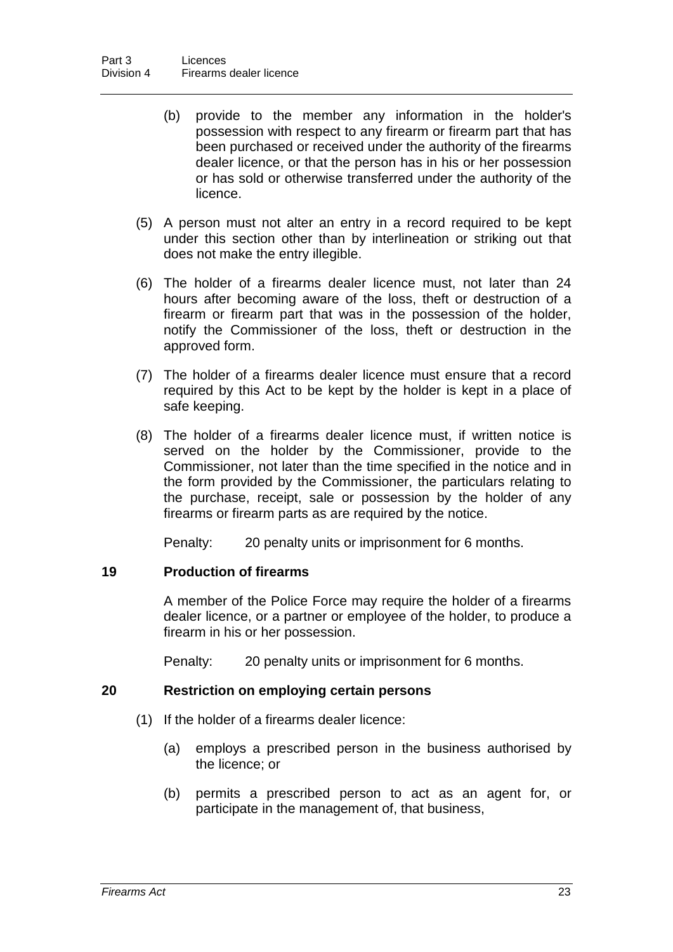- (b) provide to the member any information in the holder's possession with respect to any firearm or firearm part that has been purchased or received under the authority of the firearms dealer licence, or that the person has in his or her possession or has sold or otherwise transferred under the authority of the licence.
- (5) A person must not alter an entry in a record required to be kept under this section other than by interlineation or striking out that does not make the entry illegible.
- (6) The holder of a firearms dealer licence must, not later than 24 hours after becoming aware of the loss, theft or destruction of a firearm or firearm part that was in the possession of the holder, notify the Commissioner of the loss, theft or destruction in the approved form.
- (7) The holder of a firearms dealer licence must ensure that a record required by this Act to be kept by the holder is kept in a place of safe keeping.
- (8) The holder of a firearms dealer licence must, if written notice is served on the holder by the Commissioner, provide to the Commissioner, not later than the time specified in the notice and in the form provided by the Commissioner, the particulars relating to the purchase, receipt, sale or possession by the holder of any firearms or firearm parts as are required by the notice.

Penalty: 20 penalty units or imprisonment for 6 months.

### **19 Production of firearms**

A member of the Police Force may require the holder of a firearms dealer licence, or a partner or employee of the holder, to produce a firearm in his or her possession.

Penalty: 20 penalty units or imprisonment for 6 months.

### **20 Restriction on employing certain persons**

- (1) If the holder of a firearms dealer licence:
	- (a) employs a prescribed person in the business authorised by the licence; or
	- (b) permits a prescribed person to act as an agent for, or participate in the management of, that business,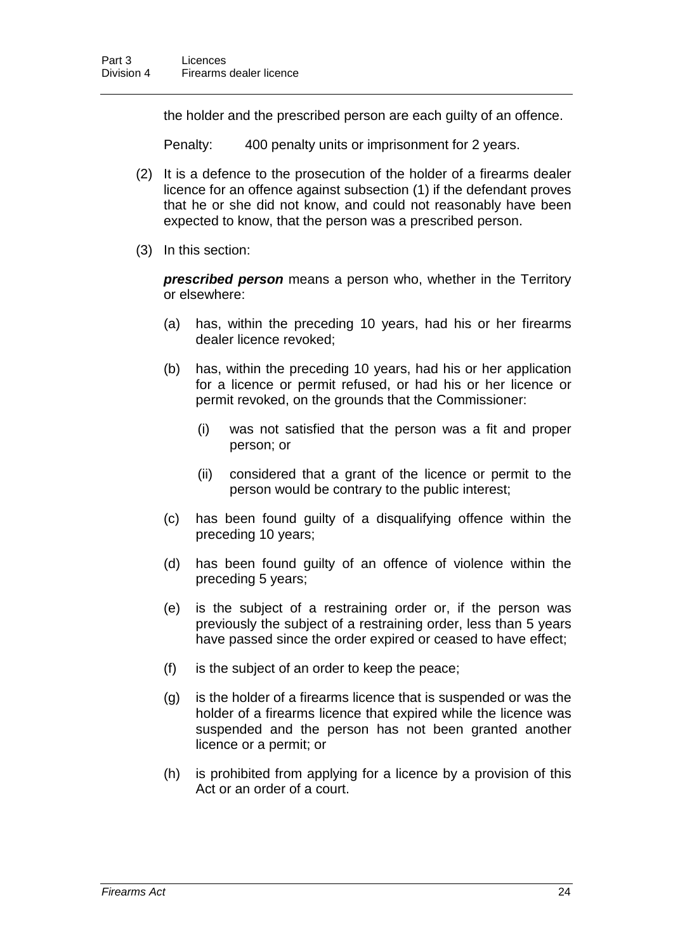the holder and the prescribed person are each guilty of an offence.

Penalty: 400 penalty units or imprisonment for 2 years.

- (2) It is a defence to the prosecution of the holder of a firearms dealer licence for an offence against subsection (1) if the defendant proves that he or she did not know, and could not reasonably have been expected to know, that the person was a prescribed person.
- (3) In this section:

*prescribed person* means a person who, whether in the Territory or elsewhere:

- (a) has, within the preceding 10 years, had his or her firearms dealer licence revoked;
- (b) has, within the preceding 10 years, had his or her application for a licence or permit refused, or had his or her licence or permit revoked, on the grounds that the Commissioner:
	- (i) was not satisfied that the person was a fit and proper person; or
	- (ii) considered that a grant of the licence or permit to the person would be contrary to the public interest;
- (c) has been found guilty of a disqualifying offence within the preceding 10 years;
- (d) has been found guilty of an offence of violence within the preceding 5 years;
- (e) is the subject of a restraining order or, if the person was previously the subject of a restraining order, less than 5 years have passed since the order expired or ceased to have effect;
- (f) is the subject of an order to keep the peace;
- (g) is the holder of a firearms licence that is suspended or was the holder of a firearms licence that expired while the licence was suspended and the person has not been granted another licence or a permit; or
- (h) is prohibited from applying for a licence by a provision of this Act or an order of a court.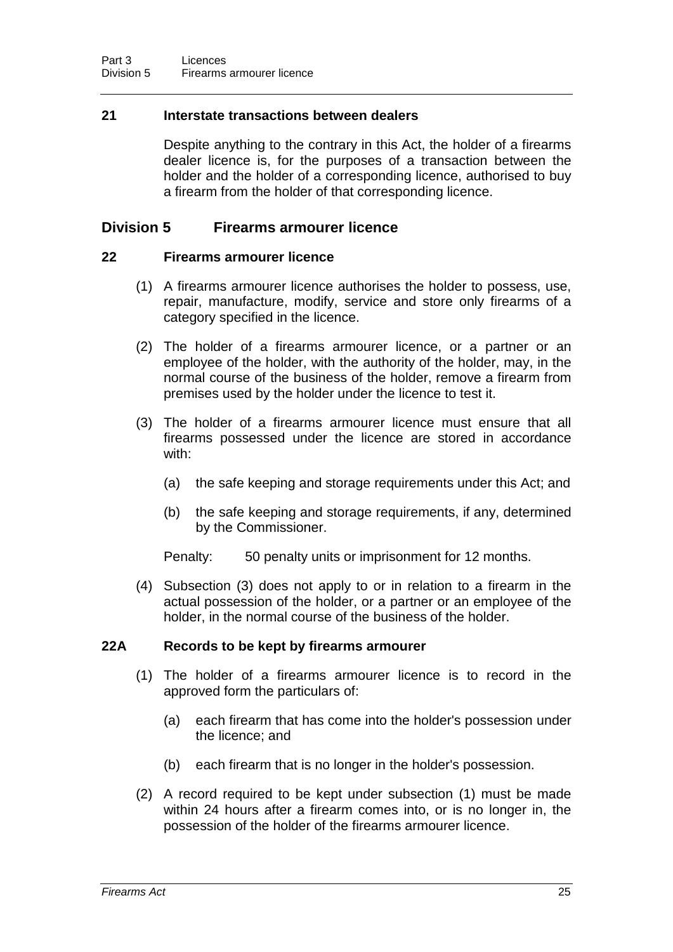### **21 Interstate transactions between dealers**

Despite anything to the contrary in this Act, the holder of a firearms dealer licence is, for the purposes of a transaction between the holder and the holder of a corresponding licence, authorised to buy a firearm from the holder of that corresponding licence.

### **Division 5 Firearms armourer licence**

#### **22 Firearms armourer licence**

- (1) A firearms armourer licence authorises the holder to possess, use, repair, manufacture, modify, service and store only firearms of a category specified in the licence.
- (2) The holder of a firearms armourer licence, or a partner or an employee of the holder, with the authority of the holder, may, in the normal course of the business of the holder, remove a firearm from premises used by the holder under the licence to test it.
- (3) The holder of a firearms armourer licence must ensure that all firearms possessed under the licence are stored in accordance with:
	- (a) the safe keeping and storage requirements under this Act; and
	- (b) the safe keeping and storage requirements, if any, determined by the Commissioner.

Penalty: 50 penalty units or imprisonment for 12 months.

(4) Subsection (3) does not apply to or in relation to a firearm in the actual possession of the holder, or a partner or an employee of the holder, in the normal course of the business of the holder.

#### **22A Records to be kept by firearms armourer**

- (1) The holder of a firearms armourer licence is to record in the approved form the particulars of:
	- (a) each firearm that has come into the holder's possession under the licence; and
	- (b) each firearm that is no longer in the holder's possession.
- (2) A record required to be kept under subsection (1) must be made within 24 hours after a firearm comes into, or is no longer in, the possession of the holder of the firearms armourer licence.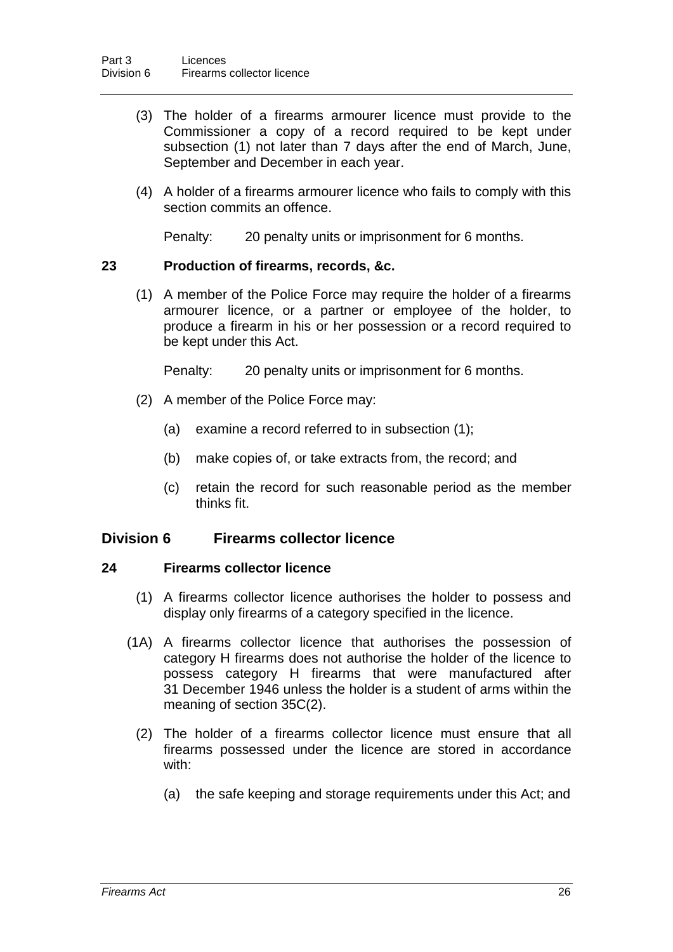- (3) The holder of a firearms armourer licence must provide to the Commissioner a copy of a record required to be kept under subsection (1) not later than 7 days after the end of March, June, September and December in each year.
- (4) A holder of a firearms armourer licence who fails to comply with this section commits an offence.

Penalty: 20 penalty units or imprisonment for 6 months.

### **23 Production of firearms, records, &c.**

(1) A member of the Police Force may require the holder of a firearms armourer licence, or a partner or employee of the holder, to produce a firearm in his or her possession or a record required to be kept under this Act.

Penalty: 20 penalty units or imprisonment for 6 months.

- (2) A member of the Police Force may:
	- (a) examine a record referred to in subsection (1);
	- (b) make copies of, or take extracts from, the record; and
	- (c) retain the record for such reasonable period as the member thinks fit.

## **Division 6 Firearms collector licence**

### **24 Firearms collector licence**

- (1) A firearms collector licence authorises the holder to possess and display only firearms of a category specified in the licence.
- (1A) A firearms collector licence that authorises the possession of category H firearms does not authorise the holder of the licence to possess category H firearms that were manufactured after 31 December 1946 unless the holder is a student of arms within the meaning of section 35C(2).
	- (2) The holder of a firearms collector licence must ensure that all firearms possessed under the licence are stored in accordance with:
		- (a) the safe keeping and storage requirements under this Act; and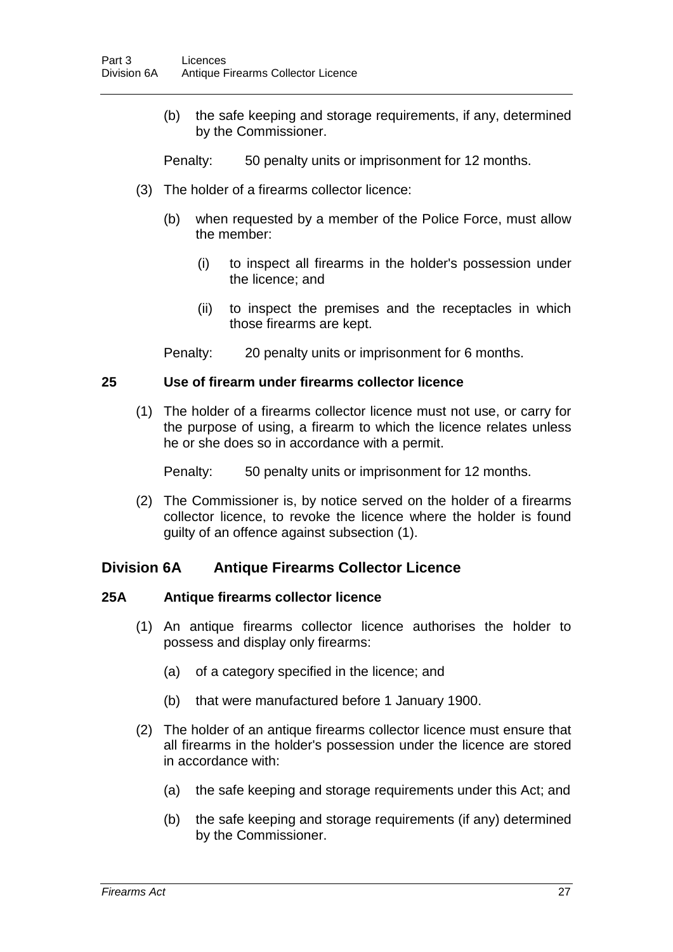(b) the safe keeping and storage requirements, if any, determined by the Commissioner.

Penalty: 50 penalty units or imprisonment for 12 months.

- (3) The holder of a firearms collector licence:
	- (b) when requested by a member of the Police Force, must allow the member:
		- (i) to inspect all firearms in the holder's possession under the licence; and
		- (ii) to inspect the premises and the receptacles in which those firearms are kept.
	- Penalty: 20 penalty units or imprisonment for 6 months.

#### **25 Use of firearm under firearms collector licence**

(1) The holder of a firearms collector licence must not use, or carry for the purpose of using, a firearm to which the licence relates unless he or she does so in accordance with a permit.

Penalty: 50 penalty units or imprisonment for 12 months.

(2) The Commissioner is, by notice served on the holder of a firearms collector licence, to revoke the licence where the holder is found guilty of an offence against subsection (1).

### **Division 6A Antique Firearms Collector Licence**

### **25A Antique firearms collector licence**

- (1) An antique firearms collector licence authorises the holder to possess and display only firearms:
	- (a) of a category specified in the licence; and
	- (b) that were manufactured before 1 January 1900.
- (2) The holder of an antique firearms collector licence must ensure that all firearms in the holder's possession under the licence are stored in accordance with:
	- (a) the safe keeping and storage requirements under this Act; and
	- (b) the safe keeping and storage requirements (if any) determined by the Commissioner.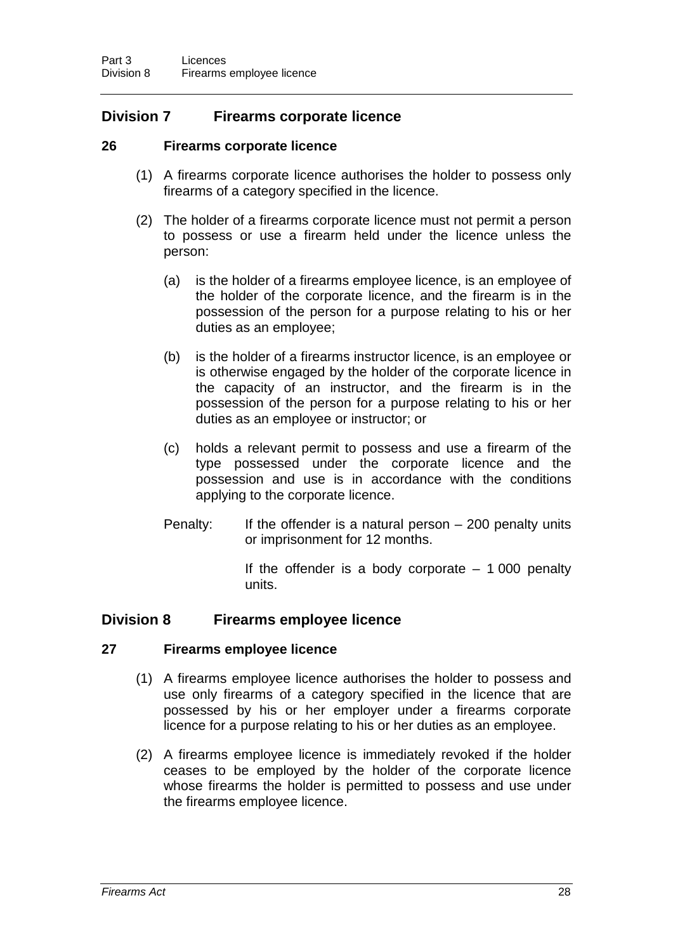## **Division 7 Firearms corporate licence**

### **26 Firearms corporate licence**

- (1) A firearms corporate licence authorises the holder to possess only firearms of a category specified in the licence.
- (2) The holder of a firearms corporate licence must not permit a person to possess or use a firearm held under the licence unless the person:
	- (a) is the holder of a firearms employee licence, is an employee of the holder of the corporate licence, and the firearm is in the possession of the person for a purpose relating to his or her duties as an employee;
	- (b) is the holder of a firearms instructor licence, is an employee or is otherwise engaged by the holder of the corporate licence in the capacity of an instructor, and the firearm is in the possession of the person for a purpose relating to his or her duties as an employee or instructor; or
	- (c) holds a relevant permit to possess and use a firearm of the type possessed under the corporate licence and the possession and use is in accordance with the conditions applying to the corporate licence.
	- Penalty: If the offender is a natural person 200 penalty units or imprisonment for 12 months.

If the offender is a body corporate  $-1000$  penalty units.

## **Division 8 Firearms employee licence**

### **27 Firearms employee licence**

- (1) A firearms employee licence authorises the holder to possess and use only firearms of a category specified in the licence that are possessed by his or her employer under a firearms corporate licence for a purpose relating to his or her duties as an employee.
- (2) A firearms employee licence is immediately revoked if the holder ceases to be employed by the holder of the corporate licence whose firearms the holder is permitted to possess and use under the firearms employee licence.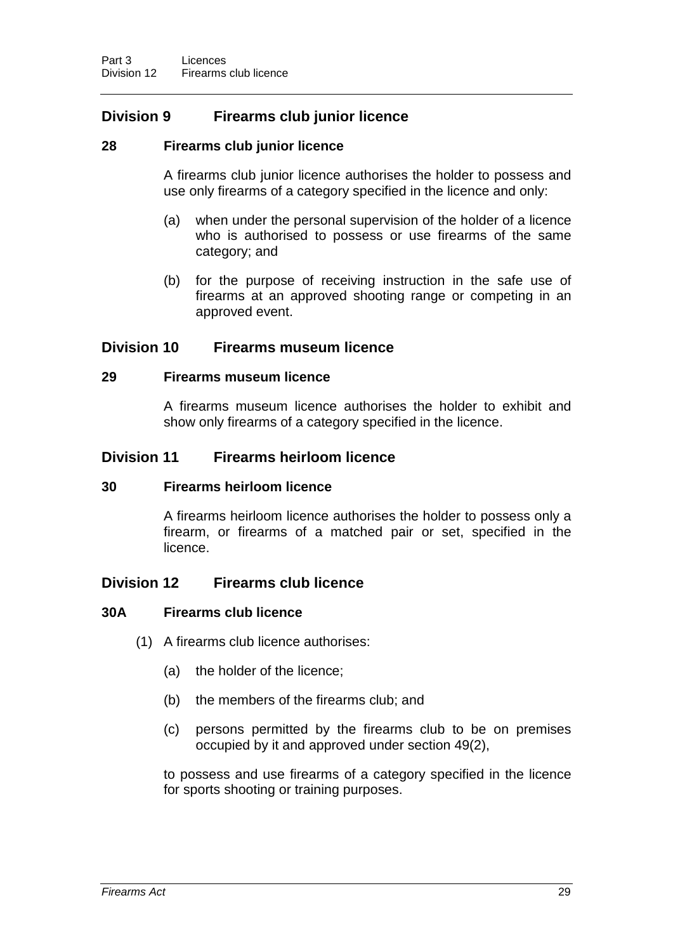## **Division 9 Firearms club junior licence**

### **28 Firearms club junior licence**

A firearms club junior licence authorises the holder to possess and use only firearms of a category specified in the licence and only:

- (a) when under the personal supervision of the holder of a licence who is authorised to possess or use firearms of the same category; and
- (b) for the purpose of receiving instruction in the safe use of firearms at an approved shooting range or competing in an approved event.

### **Division 10 Firearms museum licence**

#### **29 Firearms museum licence**

A firearms museum licence authorises the holder to exhibit and show only firearms of a category specified in the licence.

### **Division 11 Firearms heirloom licence**

#### **30 Firearms heirloom licence**

A firearms heirloom licence authorises the holder to possess only a firearm, or firearms of a matched pair or set, specified in the licence.

## **Division 12 Firearms club licence**

### **30A Firearms club licence**

- (1) A firearms club licence authorises:
	- (a) the holder of the licence;
	- (b) the members of the firearms club; and
	- (c) persons permitted by the firearms club to be on premises occupied by it and approved under section 49(2),

to possess and use firearms of a category specified in the licence for sports shooting or training purposes.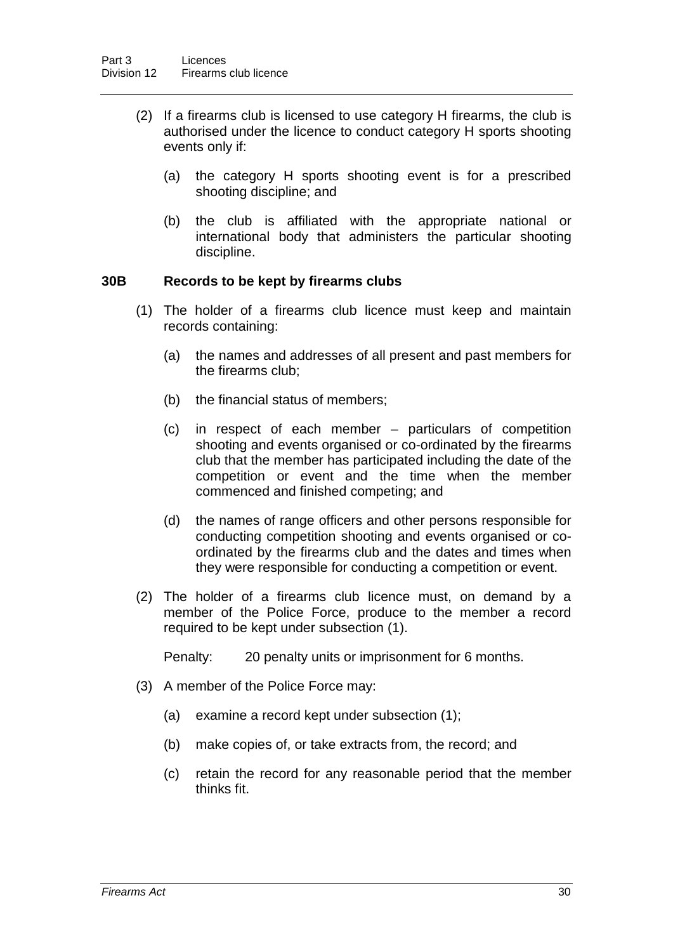- (2) If a firearms club is licensed to use category H firearms, the club is authorised under the licence to conduct category H sports shooting events only if:
	- (a) the category H sports shooting event is for a prescribed shooting discipline; and
	- (b) the club is affiliated with the appropriate national or international body that administers the particular shooting discipline.

#### **30B Records to be kept by firearms clubs**

- (1) The holder of a firearms club licence must keep and maintain records containing:
	- (a) the names and addresses of all present and past members for the firearms club;
	- (b) the financial status of members;
	- (c) in respect of each member particulars of competition shooting and events organised or co-ordinated by the firearms club that the member has participated including the date of the competition or event and the time when the member commenced and finished competing; and
	- (d) the names of range officers and other persons responsible for conducting competition shooting and events organised or coordinated by the firearms club and the dates and times when they were responsible for conducting a competition or event.
- (2) The holder of a firearms club licence must, on demand by a member of the Police Force, produce to the member a record required to be kept under subsection (1).

Penalty: 20 penalty units or imprisonment for 6 months.

- (3) A member of the Police Force may:
	- (a) examine a record kept under subsection (1);
	- (b) make copies of, or take extracts from, the record; and
	- (c) retain the record for any reasonable period that the member thinks fit.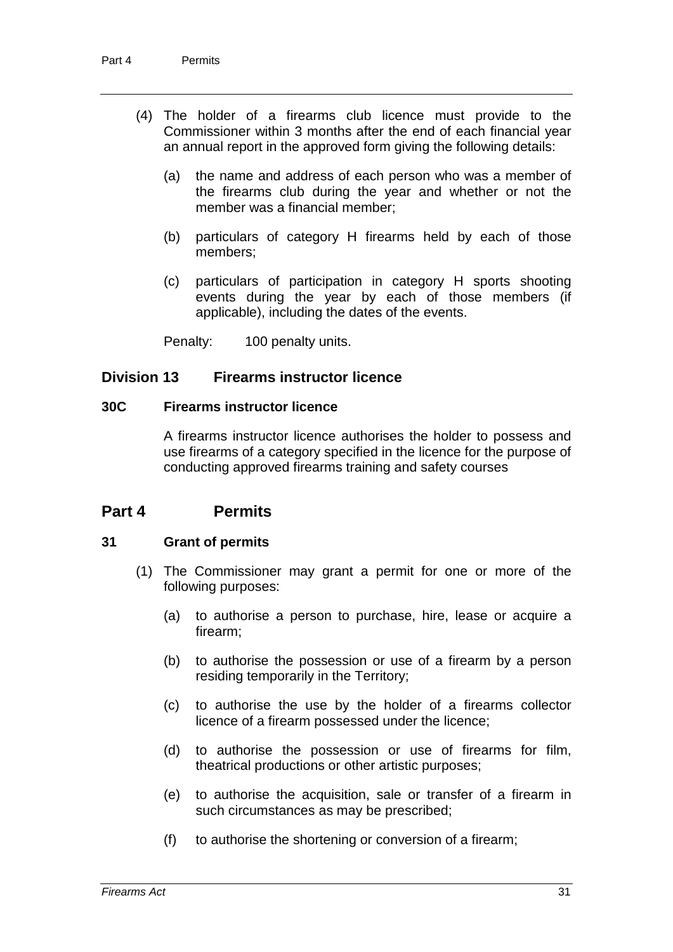- (4) The holder of a firearms club licence must provide to the Commissioner within 3 months after the end of each financial year an annual report in the approved form giving the following details:
	- (a) the name and address of each person who was a member of the firearms club during the year and whether or not the member was a financial member;
	- (b) particulars of category H firearms held by each of those members;
	- (c) particulars of participation in category H sports shooting events during the year by each of those members (if applicable), including the dates of the events.

Penalty: 100 penalty units.

## **Division 13 Firearms instructor licence**

### **30C Firearms instructor licence**

A firearms instructor licence authorises the holder to possess and use firearms of a category specified in the licence for the purpose of conducting approved firearms training and safety courses

## **Part 4 Permits**

## **31 Grant of permits**

- (1) The Commissioner may grant a permit for one or more of the following purposes:
	- (a) to authorise a person to purchase, hire, lease or acquire a firearm;
	- (b) to authorise the possession or use of a firearm by a person residing temporarily in the Territory;
	- (c) to authorise the use by the holder of a firearms collector licence of a firearm possessed under the licence;
	- (d) to authorise the possession or use of firearms for film, theatrical productions or other artistic purposes;
	- (e) to authorise the acquisition, sale or transfer of a firearm in such circumstances as may be prescribed;
	- (f) to authorise the shortening or conversion of a firearm;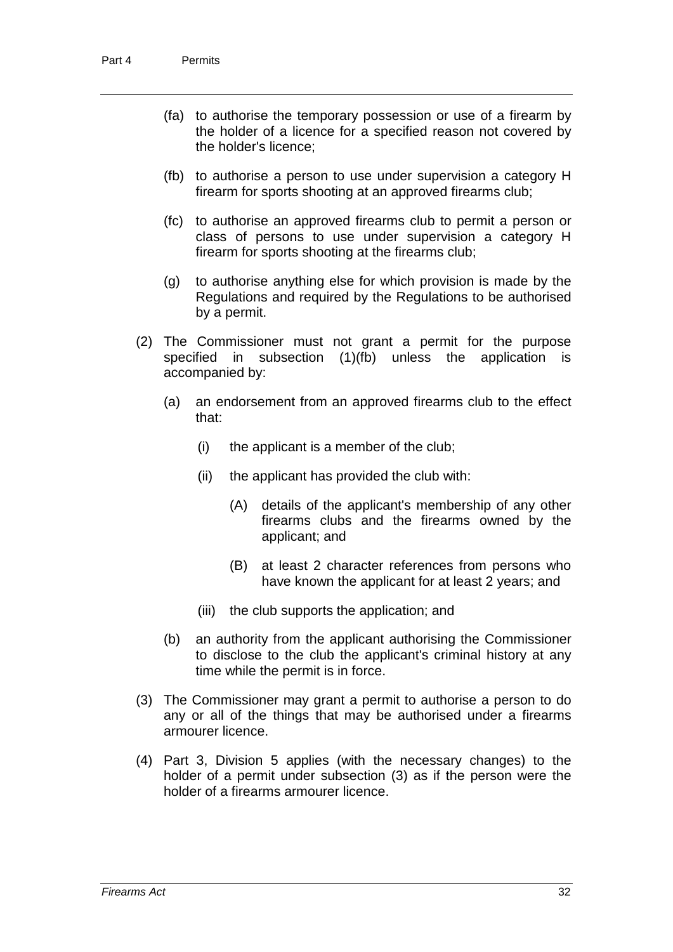- (fa) to authorise the temporary possession or use of a firearm by the holder of a licence for a specified reason not covered by the holder's licence;
- (fb) to authorise a person to use under supervision a category H firearm for sports shooting at an approved firearms club;
- (fc) to authorise an approved firearms club to permit a person or class of persons to use under supervision a category H firearm for sports shooting at the firearms club;
- (g) to authorise anything else for which provision is made by the Regulations and required by the Regulations to be authorised by a permit.
- (2) The Commissioner must not grant a permit for the purpose specified in subsection (1)(fb) unless the application is accompanied by:
	- (a) an endorsement from an approved firearms club to the effect that:
		- (i) the applicant is a member of the club;
		- (ii) the applicant has provided the club with:
			- (A) details of the applicant's membership of any other firearms clubs and the firearms owned by the applicant; and
			- (B) at least 2 character references from persons who have known the applicant for at least 2 years; and
		- (iii) the club supports the application; and
	- (b) an authority from the applicant authorising the Commissioner to disclose to the club the applicant's criminal history at any time while the permit is in force.
- (3) The Commissioner may grant a permit to authorise a person to do any or all of the things that may be authorised under a firearms armourer licence.
- (4) Part 3, Division 5 applies (with the necessary changes) to the holder of a permit under subsection (3) as if the person were the holder of a firearms armourer licence.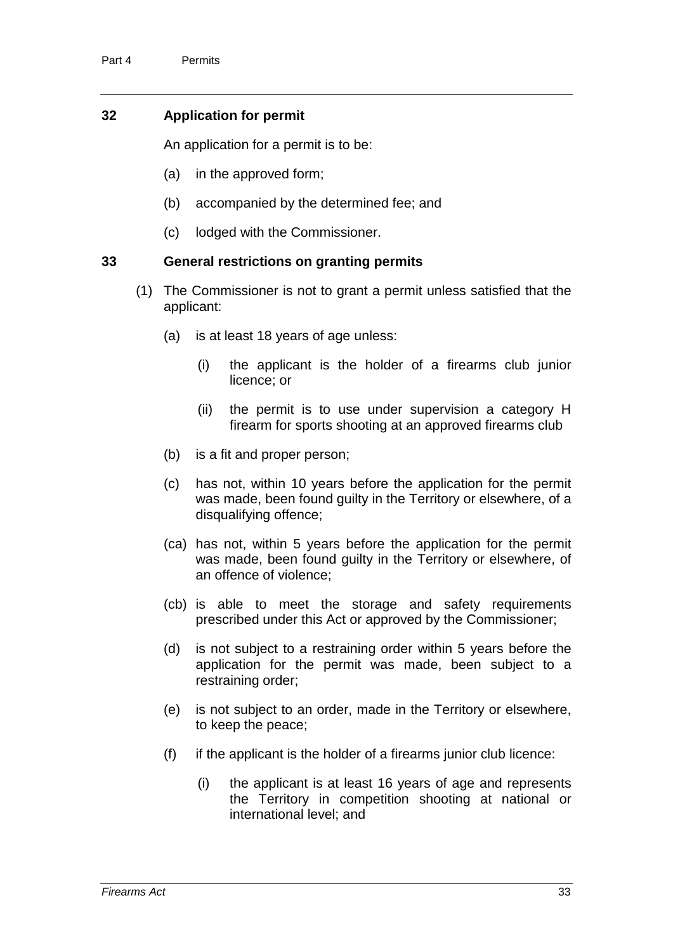## **32 Application for permit**

An application for a permit is to be:

- (a) in the approved form;
- (b) accompanied by the determined fee; and
- (c) lodged with the Commissioner.

### **33 General restrictions on granting permits**

- (1) The Commissioner is not to grant a permit unless satisfied that the applicant:
	- (a) is at least 18 years of age unless:
		- (i) the applicant is the holder of a firearms club junior licence; or
		- (ii) the permit is to use under supervision a category H firearm for sports shooting at an approved firearms club
	- (b) is a fit and proper person;
	- (c) has not, within 10 years before the application for the permit was made, been found guilty in the Territory or elsewhere, of a disqualifying offence;
	- (ca) has not, within 5 years before the application for the permit was made, been found guilty in the Territory or elsewhere, of an offence of violence;
	- (cb) is able to meet the storage and safety requirements prescribed under this Act or approved by the Commissioner;
	- (d) is not subject to a restraining order within 5 years before the application for the permit was made, been subject to a restraining order;
	- (e) is not subject to an order, made in the Territory or elsewhere, to keep the peace;
	- $(f)$  if the applicant is the holder of a firearms junior club licence:
		- (i) the applicant is at least 16 years of age and represents the Territory in competition shooting at national or international level; and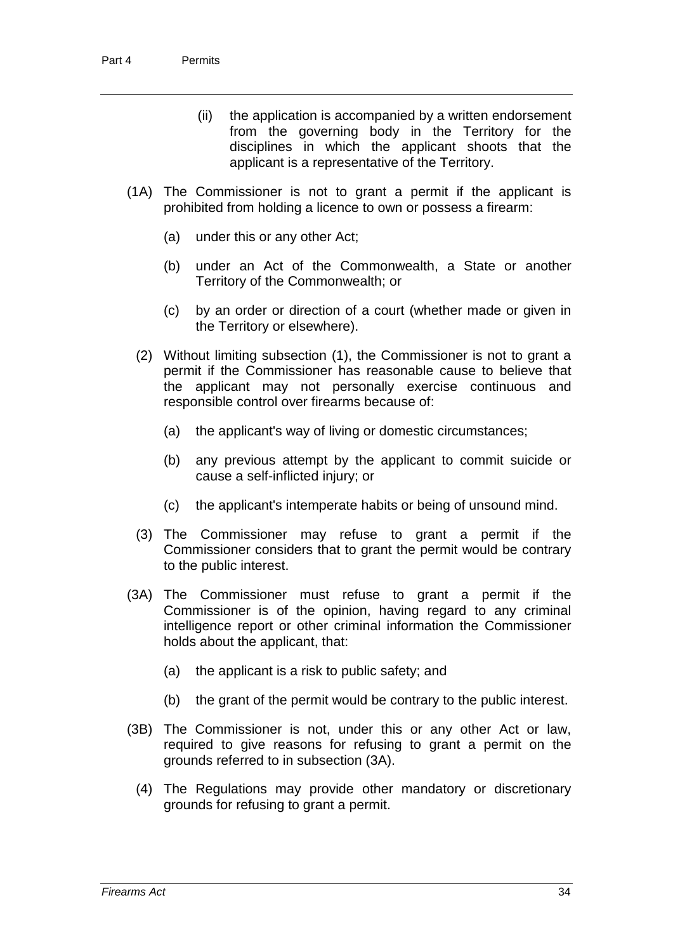- (ii) the application is accompanied by a written endorsement from the governing body in the Territory for the disciplines in which the applicant shoots that the applicant is a representative of the Territory.
- (1A) The Commissioner is not to grant a permit if the applicant is prohibited from holding a licence to own or possess a firearm:
	- (a) under this or any other Act;
	- (b) under an Act of the Commonwealth, a State or another Territory of the Commonwealth; or
	- (c) by an order or direction of a court (whether made or given in the Territory or elsewhere).
	- (2) Without limiting subsection (1), the Commissioner is not to grant a permit if the Commissioner has reasonable cause to believe that the applicant may not personally exercise continuous and responsible control over firearms because of:
		- (a) the applicant's way of living or domestic circumstances;
		- (b) any previous attempt by the applicant to commit suicide or cause a self-inflicted injury; or
		- (c) the applicant's intemperate habits or being of unsound mind.
	- (3) The Commissioner may refuse to grant a permit if the Commissioner considers that to grant the permit would be contrary to the public interest.
- (3A) The Commissioner must refuse to grant a permit if the Commissioner is of the opinion, having regard to any criminal intelligence report or other criminal information the Commissioner holds about the applicant, that:
	- (a) the applicant is a risk to public safety; and
	- (b) the grant of the permit would be contrary to the public interest.
- (3B) The Commissioner is not, under this or any other Act or law, required to give reasons for refusing to grant a permit on the grounds referred to in subsection (3A).
	- (4) The Regulations may provide other mandatory or discretionary grounds for refusing to grant a permit.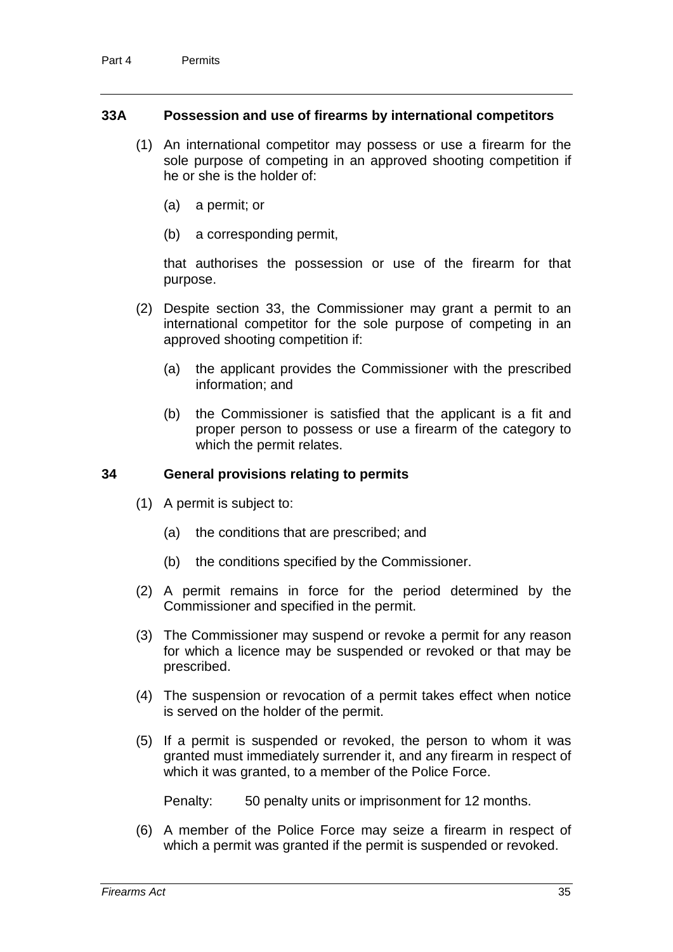### **33A Possession and use of firearms by international competitors**

- (1) An international competitor may possess or use a firearm for the sole purpose of competing in an approved shooting competition if he or she is the holder of:
	- (a) a permit; or
	- (b) a corresponding permit,

that authorises the possession or use of the firearm for that purpose.

- (2) Despite section 33, the Commissioner may grant a permit to an international competitor for the sole purpose of competing in an approved shooting competition if:
	- (a) the applicant provides the Commissioner with the prescribed information; and
	- (b) the Commissioner is satisfied that the applicant is a fit and proper person to possess or use a firearm of the category to which the permit relates.

### **34 General provisions relating to permits**

- (1) A permit is subject to:
	- (a) the conditions that are prescribed; and
	- (b) the conditions specified by the Commissioner.
- (2) A permit remains in force for the period determined by the Commissioner and specified in the permit.
- (3) The Commissioner may suspend or revoke a permit for any reason for which a licence may be suspended or revoked or that may be prescribed.
- (4) The suspension or revocation of a permit takes effect when notice is served on the holder of the permit.
- (5) If a permit is suspended or revoked, the person to whom it was granted must immediately surrender it, and any firearm in respect of which it was granted, to a member of the Police Force.

Penalty: 50 penalty units or imprisonment for 12 months.

(6) A member of the Police Force may seize a firearm in respect of which a permit was granted if the permit is suspended or revoked.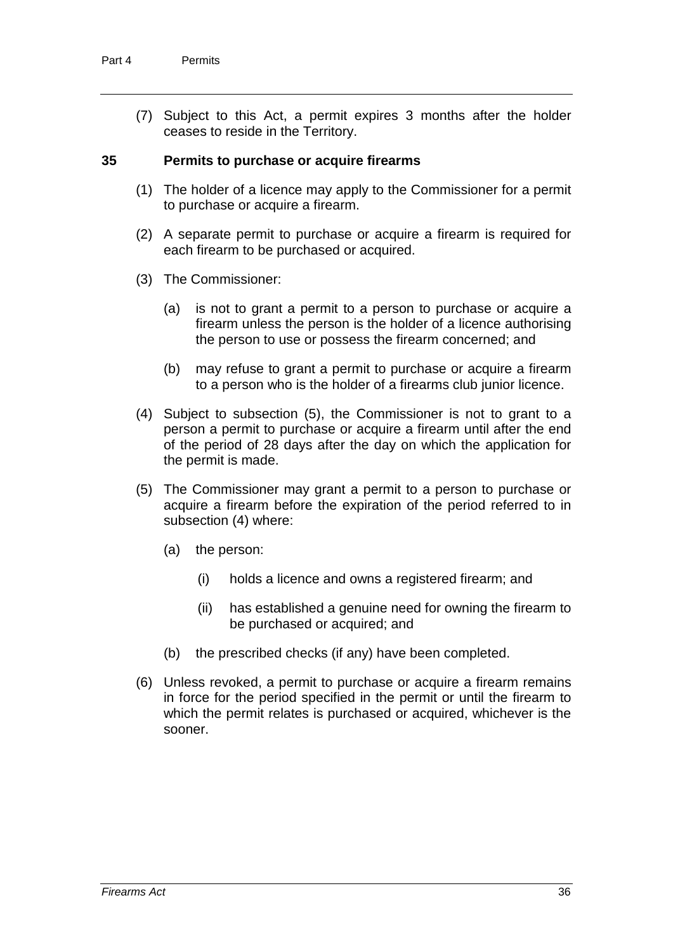(7) Subject to this Act, a permit expires 3 months after the holder ceases to reside in the Territory.

#### **35 Permits to purchase or acquire firearms**

- (1) The holder of a licence may apply to the Commissioner for a permit to purchase or acquire a firearm.
- (2) A separate permit to purchase or acquire a firearm is required for each firearm to be purchased or acquired.
- (3) The Commissioner:
	- (a) is not to grant a permit to a person to purchase or acquire a firearm unless the person is the holder of a licence authorising the person to use or possess the firearm concerned; and
	- (b) may refuse to grant a permit to purchase or acquire a firearm to a person who is the holder of a firearms club junior licence.
- (4) Subject to subsection (5), the Commissioner is not to grant to a person a permit to purchase or acquire a firearm until after the end of the period of 28 days after the day on which the application for the permit is made.
- (5) The Commissioner may grant a permit to a person to purchase or acquire a firearm before the expiration of the period referred to in subsection (4) where:
	- (a) the person:
		- (i) holds a licence and owns a registered firearm; and
		- (ii) has established a genuine need for owning the firearm to be purchased or acquired; and
	- (b) the prescribed checks (if any) have been completed.
- (6) Unless revoked, a permit to purchase or acquire a firearm remains in force for the period specified in the permit or until the firearm to which the permit relates is purchased or acquired, whichever is the sooner.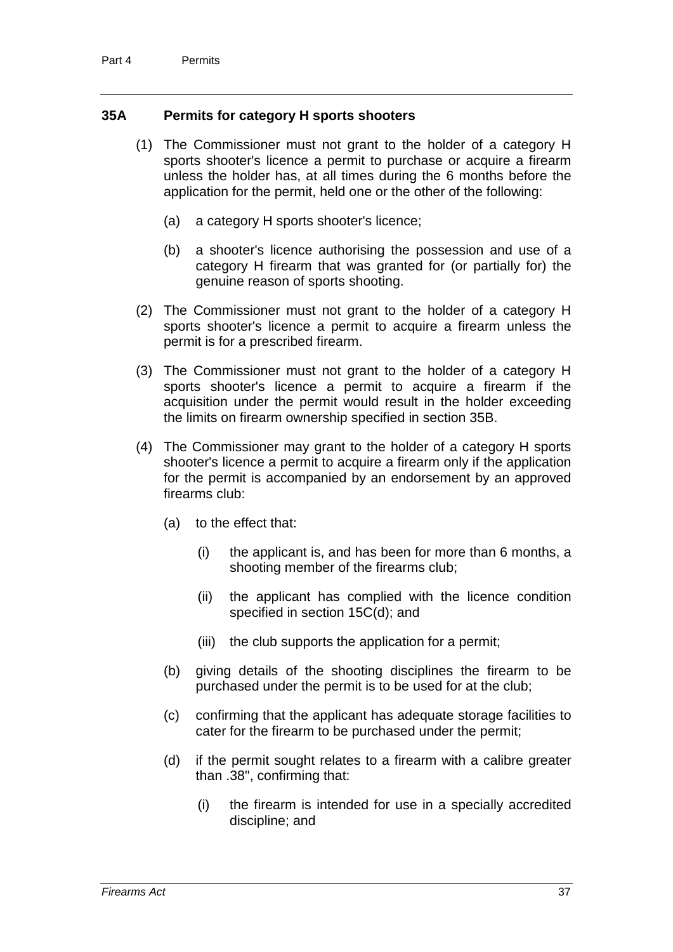## **35A Permits for category H sports shooters**

- (1) The Commissioner must not grant to the holder of a category H sports shooter's licence a permit to purchase or acquire a firearm unless the holder has, at all times during the 6 months before the application for the permit, held one or the other of the following:
	- (a) a category H sports shooter's licence;
	- (b) a shooter's licence authorising the possession and use of a category H firearm that was granted for (or partially for) the genuine reason of sports shooting.
- (2) The Commissioner must not grant to the holder of a category H sports shooter's licence a permit to acquire a firearm unless the permit is for a prescribed firearm.
- (3) The Commissioner must not grant to the holder of a category H sports shooter's licence a permit to acquire a firearm if the acquisition under the permit would result in the holder exceeding the limits on firearm ownership specified in section 35B.
- (4) The Commissioner may grant to the holder of a category H sports shooter's licence a permit to acquire a firearm only if the application for the permit is accompanied by an endorsement by an approved firearms club:
	- (a) to the effect that:
		- (i) the applicant is, and has been for more than 6 months, a shooting member of the firearms club;
		- (ii) the applicant has complied with the licence condition specified in section 15C(d); and
		- (iii) the club supports the application for a permit;
	- (b) giving details of the shooting disciplines the firearm to be purchased under the permit is to be used for at the club;
	- (c) confirming that the applicant has adequate storage facilities to cater for the firearm to be purchased under the permit;
	- (d) if the permit sought relates to a firearm with a calibre greater than .38", confirming that:
		- (i) the firearm is intended for use in a specially accredited discipline; and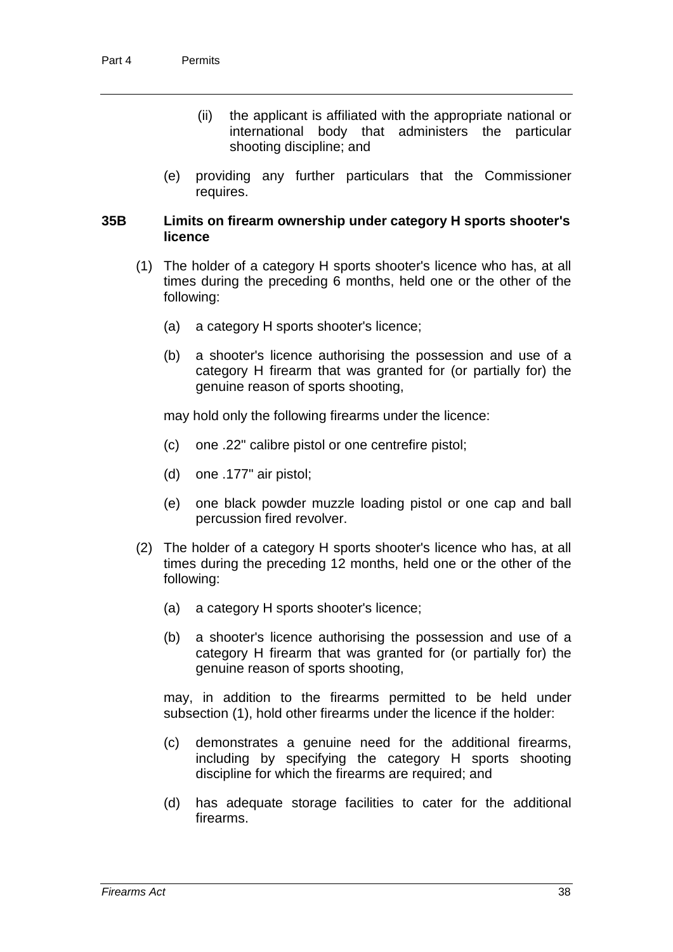- (ii) the applicant is affiliated with the appropriate national or international body that administers the particular shooting discipline; and
- (e) providing any further particulars that the Commissioner requires.

### **35B Limits on firearm ownership under category H sports shooter's licence**

- (1) The holder of a category H sports shooter's licence who has, at all times during the preceding 6 months, held one or the other of the following:
	- (a) a category H sports shooter's licence;
	- (b) a shooter's licence authorising the possession and use of a category H firearm that was granted for (or partially for) the genuine reason of sports shooting,

may hold only the following firearms under the licence:

- (c) one .22" calibre pistol or one centrefire pistol;
- (d) one .177" air pistol;
- (e) one black powder muzzle loading pistol or one cap and ball percussion fired revolver.
- (2) The holder of a category H sports shooter's licence who has, at all times during the preceding 12 months, held one or the other of the following:
	- (a) a category H sports shooter's licence;
	- (b) a shooter's licence authorising the possession and use of a category H firearm that was granted for (or partially for) the genuine reason of sports shooting,

may, in addition to the firearms permitted to be held under subsection (1), hold other firearms under the licence if the holder:

- (c) demonstrates a genuine need for the additional firearms, including by specifying the category H sports shooting discipline for which the firearms are required; and
- (d) has adequate storage facilities to cater for the additional firearms.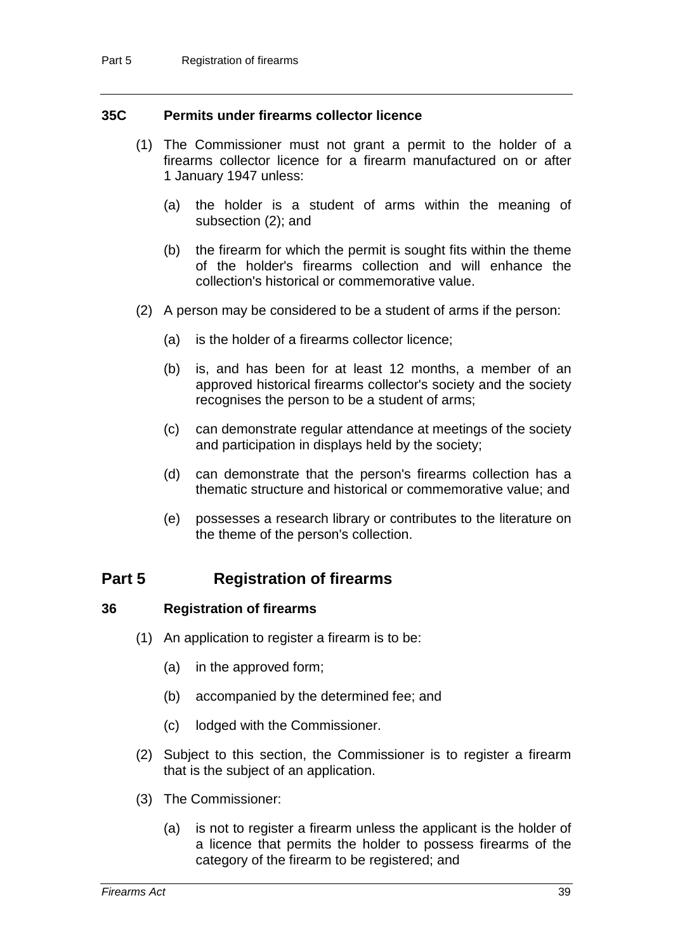### **35C Permits under firearms collector licence**

- (1) The Commissioner must not grant a permit to the holder of a firearms collector licence for a firearm manufactured on or after 1 January 1947 unless:
	- (a) the holder is a student of arms within the meaning of subsection (2); and
	- (b) the firearm for which the permit is sought fits within the theme of the holder's firearms collection and will enhance the collection's historical or commemorative value.
- (2) A person may be considered to be a student of arms if the person:
	- (a) is the holder of a firearms collector licence;
	- (b) is, and has been for at least 12 months, a member of an approved historical firearms collector's society and the society recognises the person to be a student of arms;
	- (c) can demonstrate regular attendance at meetings of the society and participation in displays held by the society;
	- (d) can demonstrate that the person's firearms collection has a thematic structure and historical or commemorative value; and
	- (e) possesses a research library or contributes to the literature on the theme of the person's collection.

## **Part 5 Registration of firearms**

#### **36 Registration of firearms**

- (1) An application to register a firearm is to be:
	- (a) in the approved form;
	- (b) accompanied by the determined fee; and
	- (c) lodged with the Commissioner.
- (2) Subject to this section, the Commissioner is to register a firearm that is the subject of an application.
- (3) The Commissioner:
	- (a) is not to register a firearm unless the applicant is the holder of a licence that permits the holder to possess firearms of the category of the firearm to be registered; and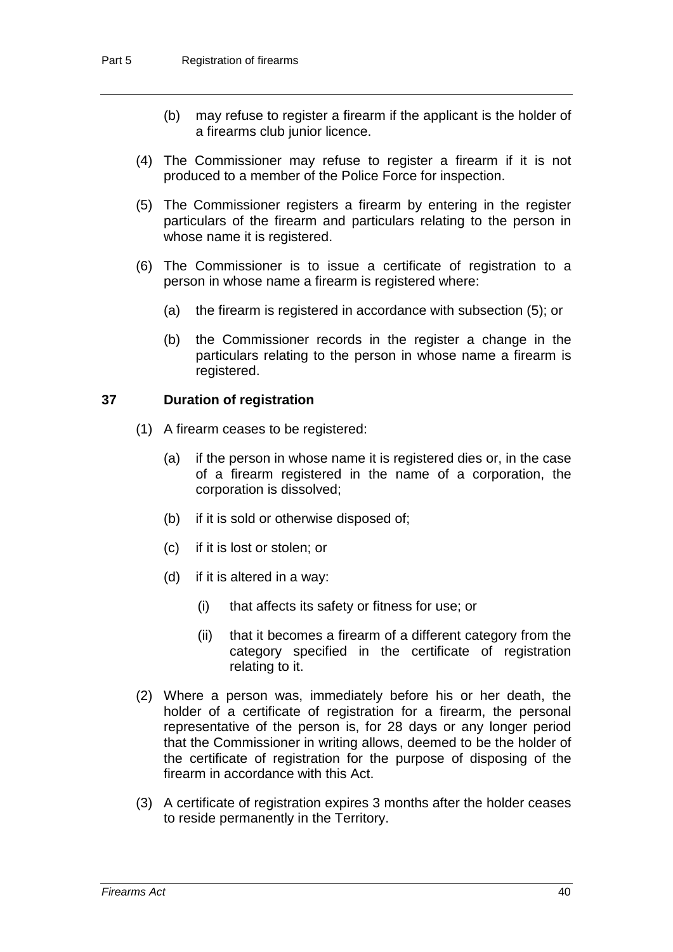- (b) may refuse to register a firearm if the applicant is the holder of a firearms club junior licence.
- (4) The Commissioner may refuse to register a firearm if it is not produced to a member of the Police Force for inspection.
- (5) The Commissioner registers a firearm by entering in the register particulars of the firearm and particulars relating to the person in whose name it is registered.
- (6) The Commissioner is to issue a certificate of registration to a person in whose name a firearm is registered where:
	- (a) the firearm is registered in accordance with subsection (5); or
	- (b) the Commissioner records in the register a change in the particulars relating to the person in whose name a firearm is registered.

### **37 Duration of registration**

- (1) A firearm ceases to be registered:
	- (a) if the person in whose name it is registered dies or, in the case of a firearm registered in the name of a corporation, the corporation is dissolved;
	- (b) if it is sold or otherwise disposed of;
	- (c) if it is lost or stolen; or
	- (d) if it is altered in a way:
		- (i) that affects its safety or fitness for use; or
		- (ii) that it becomes a firearm of a different category from the category specified in the certificate of registration relating to it.
- (2) Where a person was, immediately before his or her death, the holder of a certificate of registration for a firearm, the personal representative of the person is, for 28 days or any longer period that the Commissioner in writing allows, deemed to be the holder of the certificate of registration for the purpose of disposing of the firearm in accordance with this Act.
- (3) A certificate of registration expires 3 months after the holder ceases to reside permanently in the Territory.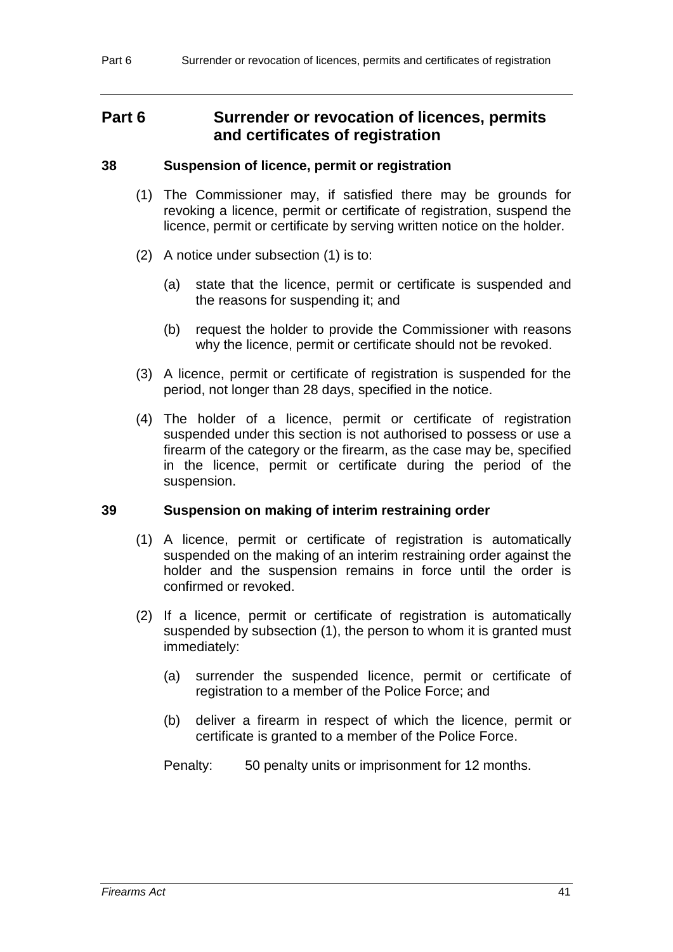# **Part 6 Surrender or revocation of licences, permits and certificates of registration**

### **38 Suspension of licence, permit or registration**

- (1) The Commissioner may, if satisfied there may be grounds for revoking a licence, permit or certificate of registration, suspend the licence, permit or certificate by serving written notice on the holder.
- (2) A notice under subsection (1) is to:
	- (a) state that the licence, permit or certificate is suspended and the reasons for suspending it; and
	- (b) request the holder to provide the Commissioner with reasons why the licence, permit or certificate should not be revoked.
- (3) A licence, permit or certificate of registration is suspended for the period, not longer than 28 days, specified in the notice.
- (4) The holder of a licence, permit or certificate of registration suspended under this section is not authorised to possess or use a firearm of the category or the firearm, as the case may be, specified in the licence, permit or certificate during the period of the suspension.

## **39 Suspension on making of interim restraining order**

- (1) A licence, permit or certificate of registration is automatically suspended on the making of an interim restraining order against the holder and the suspension remains in force until the order is confirmed or revoked.
- (2) If a licence, permit or certificate of registration is automatically suspended by subsection (1), the person to whom it is granted must immediately:
	- (a) surrender the suspended licence, permit or certificate of registration to a member of the Police Force; and
	- (b) deliver a firearm in respect of which the licence, permit or certificate is granted to a member of the Police Force.

Penalty: 50 penalty units or imprisonment for 12 months.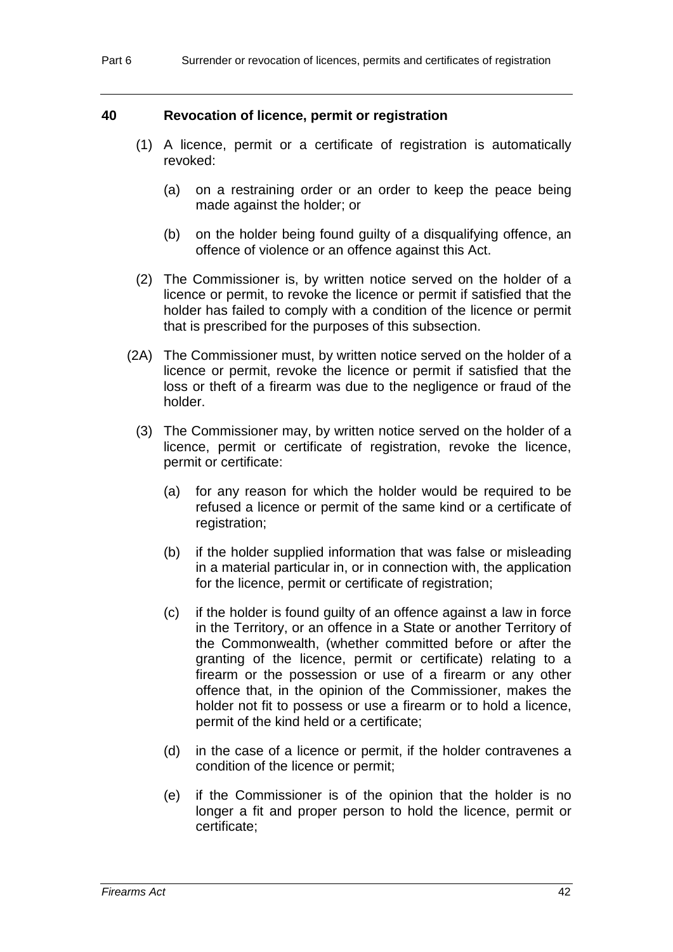#### **40 Revocation of licence, permit or registration**

- (1) A licence, permit or a certificate of registration is automatically revoked:
	- (a) on a restraining order or an order to keep the peace being made against the holder; or
	- (b) on the holder being found guilty of a disqualifying offence, an offence of violence or an offence against this Act.
- (2) The Commissioner is, by written notice served on the holder of a licence or permit, to revoke the licence or permit if satisfied that the holder has failed to comply with a condition of the licence or permit that is prescribed for the purposes of this subsection.
- (2A) The Commissioner must, by written notice served on the holder of a licence or permit, revoke the licence or permit if satisfied that the loss or theft of a firearm was due to the negligence or fraud of the holder.
	- (3) The Commissioner may, by written notice served on the holder of a licence, permit or certificate of registration, revoke the licence, permit or certificate:
		- (a) for any reason for which the holder would be required to be refused a licence or permit of the same kind or a certificate of registration;
		- (b) if the holder supplied information that was false or misleading in a material particular in, or in connection with, the application for the licence, permit or certificate of registration;
		- (c) if the holder is found guilty of an offence against a law in force in the Territory, or an offence in a State or another Territory of the Commonwealth, (whether committed before or after the granting of the licence, permit or certificate) relating to a firearm or the possession or use of a firearm or any other offence that, in the opinion of the Commissioner, makes the holder not fit to possess or use a firearm or to hold a licence, permit of the kind held or a certificate;
		- (d) in the case of a licence or permit, if the holder contravenes a condition of the licence or permit;
		- (e) if the Commissioner is of the opinion that the holder is no longer a fit and proper person to hold the licence, permit or certificate;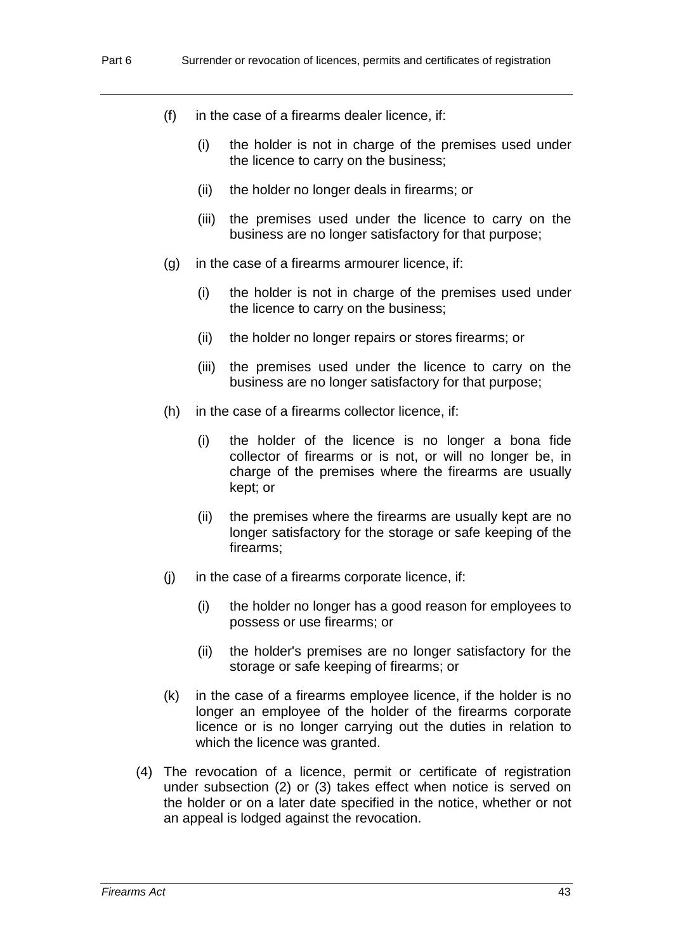- (f) in the case of a firearms dealer licence, if:
	- (i) the holder is not in charge of the premises used under the licence to carry on the business;
	- (ii) the holder no longer deals in firearms; or
	- (iii) the premises used under the licence to carry on the business are no longer satisfactory for that purpose;
- (g) in the case of a firearms armourer licence, if:
	- (i) the holder is not in charge of the premises used under the licence to carry on the business;
	- (ii) the holder no longer repairs or stores firearms; or
	- (iii) the premises used under the licence to carry on the business are no longer satisfactory for that purpose;
- (h) in the case of a firearms collector licence, if:
	- (i) the holder of the licence is no longer a bona fide collector of firearms or is not, or will no longer be, in charge of the premises where the firearms are usually kept; or
	- (ii) the premises where the firearms are usually kept are no longer satisfactory for the storage or safe keeping of the firearms;
- (j) in the case of a firearms corporate licence, if:
	- (i) the holder no longer has a good reason for employees to possess or use firearms; or
	- (ii) the holder's premises are no longer satisfactory for the storage or safe keeping of firearms; or
- (k) in the case of a firearms employee licence, if the holder is no longer an employee of the holder of the firearms corporate licence or is no longer carrying out the duties in relation to which the licence was granted.
- (4) The revocation of a licence, permit or certificate of registration under subsection (2) or (3) takes effect when notice is served on the holder or on a later date specified in the notice, whether or not an appeal is lodged against the revocation.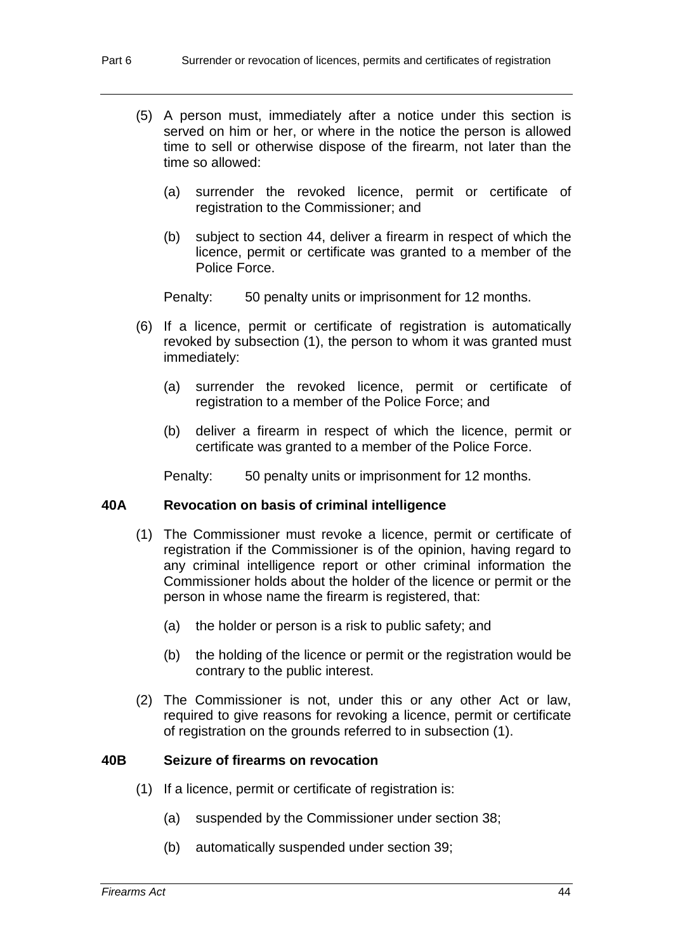- (5) A person must, immediately after a notice under this section is served on him or her, or where in the notice the person is allowed time to sell or otherwise dispose of the firearm, not later than the time so allowed:
	- (a) surrender the revoked licence, permit or certificate of registration to the Commissioner; and
	- (b) subject to section 44, deliver a firearm in respect of which the licence, permit or certificate was granted to a member of the Police Force.

Penalty: 50 penalty units or imprisonment for 12 months.

- (6) If a licence, permit or certificate of registration is automatically revoked by subsection (1), the person to whom it was granted must immediately:
	- (a) surrender the revoked licence, permit or certificate of registration to a member of the Police Force; and
	- (b) deliver a firearm in respect of which the licence, permit or certificate was granted to a member of the Police Force.

Penalty: 50 penalty units or imprisonment for 12 months.

## **40A Revocation on basis of criminal intelligence**

- (1) The Commissioner must revoke a licence, permit or certificate of registration if the Commissioner is of the opinion, having regard to any criminal intelligence report or other criminal information the Commissioner holds about the holder of the licence or permit or the person in whose name the firearm is registered, that:
	- (a) the holder or person is a risk to public safety; and
	- (b) the holding of the licence or permit or the registration would be contrary to the public interest.
- (2) The Commissioner is not, under this or any other Act or law, required to give reasons for revoking a licence, permit or certificate of registration on the grounds referred to in subsection (1).

#### **40B Seizure of firearms on revocation**

- (1) If a licence, permit or certificate of registration is:
	- (a) suspended by the Commissioner under section 38;
	- (b) automatically suspended under section 39;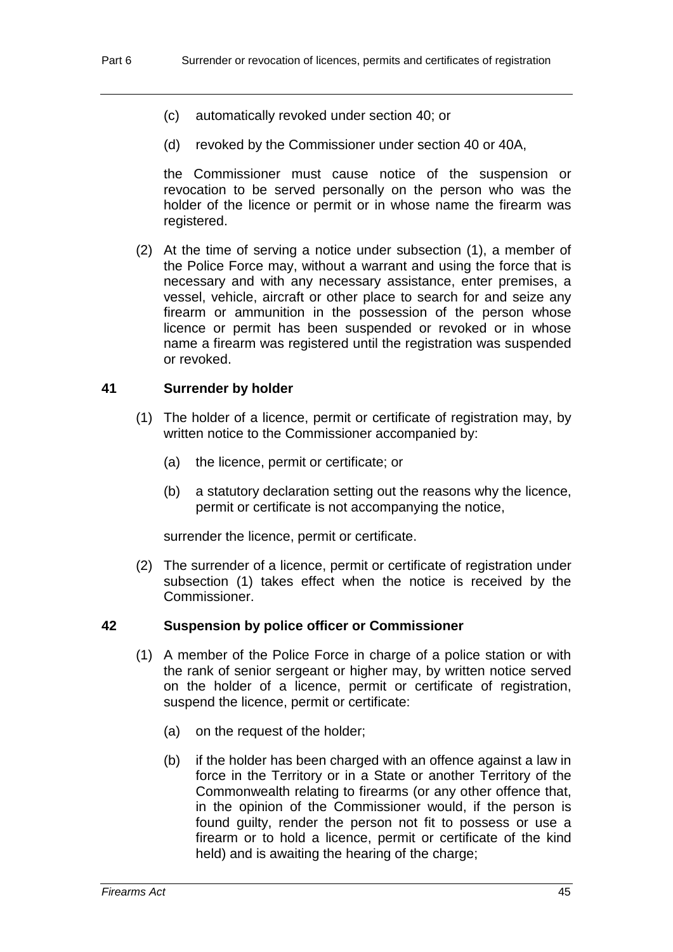- (c) automatically revoked under section 40; or
- (d) revoked by the Commissioner under section 40 or 40A,

the Commissioner must cause notice of the suspension or revocation to be served personally on the person who was the holder of the licence or permit or in whose name the firearm was registered.

(2) At the time of serving a notice under subsection (1), a member of the Police Force may, without a warrant and using the force that is necessary and with any necessary assistance, enter premises, a vessel, vehicle, aircraft or other place to search for and seize any firearm or ammunition in the possession of the person whose licence or permit has been suspended or revoked or in whose name a firearm was registered until the registration was suspended or revoked.

## **41 Surrender by holder**

- (1) The holder of a licence, permit or certificate of registration may, by written notice to the Commissioner accompanied by:
	- (a) the licence, permit or certificate; or
	- (b) a statutory declaration setting out the reasons why the licence, permit or certificate is not accompanying the notice,

surrender the licence, permit or certificate.

(2) The surrender of a licence, permit or certificate of registration under subsection (1) takes effect when the notice is received by the Commissioner.

## **42 Suspension by police officer or Commissioner**

- (1) A member of the Police Force in charge of a police station or with the rank of senior sergeant or higher may, by written notice served on the holder of a licence, permit or certificate of registration, suspend the licence, permit or certificate:
	- (a) on the request of the holder;
	- (b) if the holder has been charged with an offence against a law in force in the Territory or in a State or another Territory of the Commonwealth relating to firearms (or any other offence that, in the opinion of the Commissioner would, if the person is found guilty, render the person not fit to possess or use a firearm or to hold a licence, permit or certificate of the kind held) and is awaiting the hearing of the charge;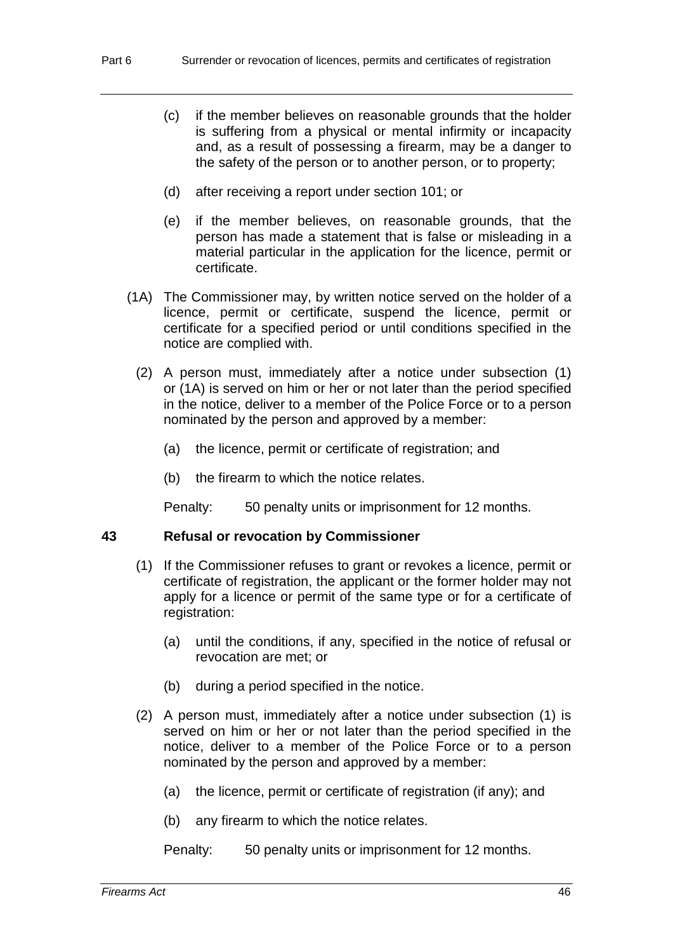- (c) if the member believes on reasonable grounds that the holder is suffering from a physical or mental infirmity or incapacity and, as a result of possessing a firearm, may be a danger to the safety of the person or to another person, or to property;
- (d) after receiving a report under section 101; or
- (e) if the member believes, on reasonable grounds, that the person has made a statement that is false or misleading in a material particular in the application for the licence, permit or certificate.
- (1A) The Commissioner may, by written notice served on the holder of a licence, permit or certificate, suspend the licence, permit or certificate for a specified period or until conditions specified in the notice are complied with.
	- (2) A person must, immediately after a notice under subsection (1) or (1A) is served on him or her or not later than the period specified in the notice, deliver to a member of the Police Force or to a person nominated by the person and approved by a member:
		- (a) the licence, permit or certificate of registration; and
		- (b) the firearm to which the notice relates.

Penalty: 50 penalty units or imprisonment for 12 months.

#### **43 Refusal or revocation by Commissioner**

- (1) If the Commissioner refuses to grant or revokes a licence, permit or certificate of registration, the applicant or the former holder may not apply for a licence or permit of the same type or for a certificate of registration:
	- (a) until the conditions, if any, specified in the notice of refusal or revocation are met; or
	- (b) during a period specified in the notice.
- (2) A person must, immediately after a notice under subsection (1) is served on him or her or not later than the period specified in the notice, deliver to a member of the Police Force or to a person nominated by the person and approved by a member:
	- (a) the licence, permit or certificate of registration (if any); and
	- (b) any firearm to which the notice relates.

Penalty: 50 penalty units or imprisonment for 12 months.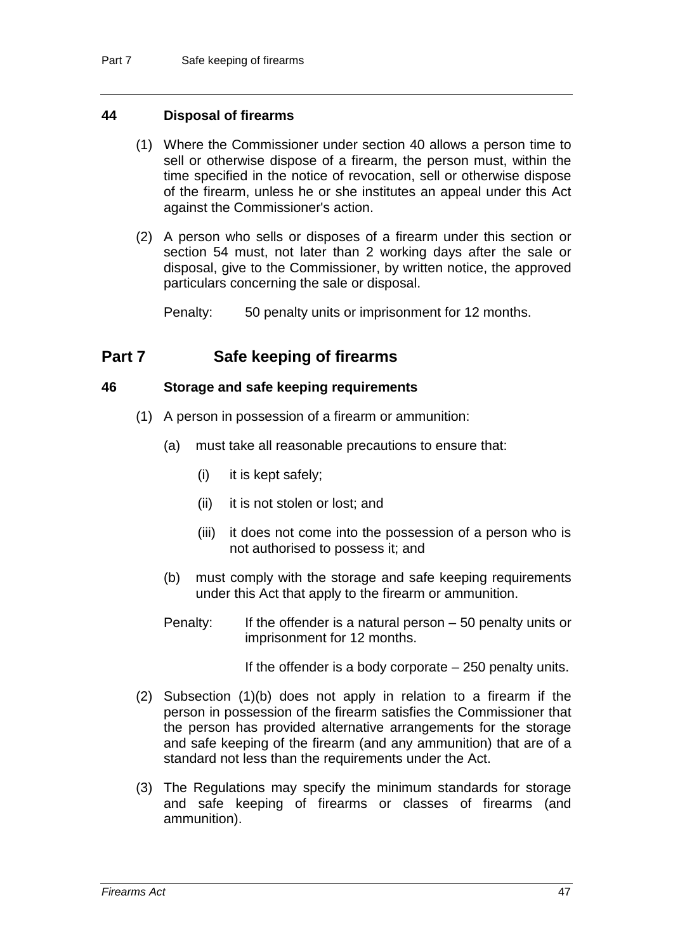#### **44 Disposal of firearms**

- (1) Where the Commissioner under section 40 allows a person time to sell or otherwise dispose of a firearm, the person must, within the time specified in the notice of revocation, sell or otherwise dispose of the firearm, unless he or she institutes an appeal under this Act against the Commissioner's action.
- (2) A person who sells or disposes of a firearm under this section or section 54 must, not later than 2 working days after the sale or disposal, give to the Commissioner, by written notice, the approved particulars concerning the sale or disposal.

Penalty: 50 penalty units or imprisonment for 12 months.

# **Part 7 Safe keeping of firearms**

### **46 Storage and safe keeping requirements**

- (1) A person in possession of a firearm or ammunition:
	- (a) must take all reasonable precautions to ensure that:
		- (i) it is kept safely;
		- (ii) it is not stolen or lost; and
		- (iii) it does not come into the possession of a person who is not authorised to possess it; and
	- (b) must comply with the storage and safe keeping requirements under this Act that apply to the firearm or ammunition.
	- Penalty: If the offender is a natural person 50 penalty units or imprisonment for 12 months.

If the offender is a body corporate – 250 penalty units.

- (2) Subsection (1)(b) does not apply in relation to a firearm if the person in possession of the firearm satisfies the Commissioner that the person has provided alternative arrangements for the storage and safe keeping of the firearm (and any ammunition) that are of a standard not less than the requirements under the Act.
- (3) The Regulations may specify the minimum standards for storage and safe keeping of firearms or classes of firearms (and ammunition).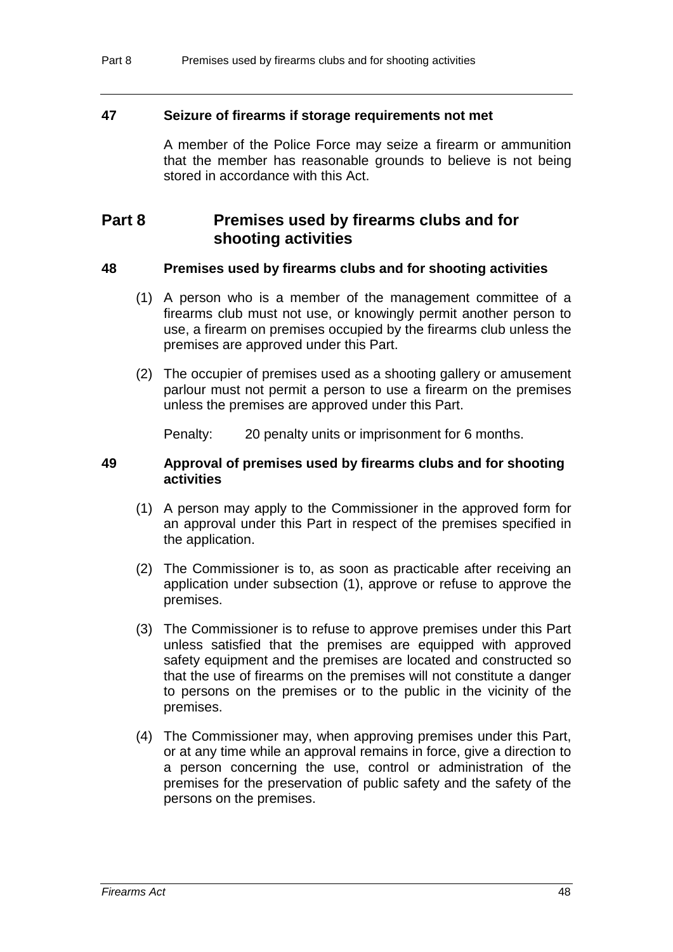#### **47 Seizure of firearms if storage requirements not met**

A member of the Police Force may seize a firearm or ammunition that the member has reasonable grounds to believe is not being stored in accordance with this Act.

# **Part 8 Premises used by firearms clubs and for shooting activities**

#### **48 Premises used by firearms clubs and for shooting activities**

- (1) A person who is a member of the management committee of a firearms club must not use, or knowingly permit another person to use, a firearm on premises occupied by the firearms club unless the premises are approved under this Part.
- (2) The occupier of premises used as a shooting gallery or amusement parlour must not permit a person to use a firearm on the premises unless the premises are approved under this Part.

Penalty: 20 penalty units or imprisonment for 6 months.

#### **49 Approval of premises used by firearms clubs and for shooting activities**

- (1) A person may apply to the Commissioner in the approved form for an approval under this Part in respect of the premises specified in the application.
- (2) The Commissioner is to, as soon as practicable after receiving an application under subsection (1), approve or refuse to approve the premises.
- (3) The Commissioner is to refuse to approve premises under this Part unless satisfied that the premises are equipped with approved safety equipment and the premises are located and constructed so that the use of firearms on the premises will not constitute a danger to persons on the premises or to the public in the vicinity of the premises.
- (4) The Commissioner may, when approving premises under this Part, or at any time while an approval remains in force, give a direction to a person concerning the use, control or administration of the premises for the preservation of public safety and the safety of the persons on the premises.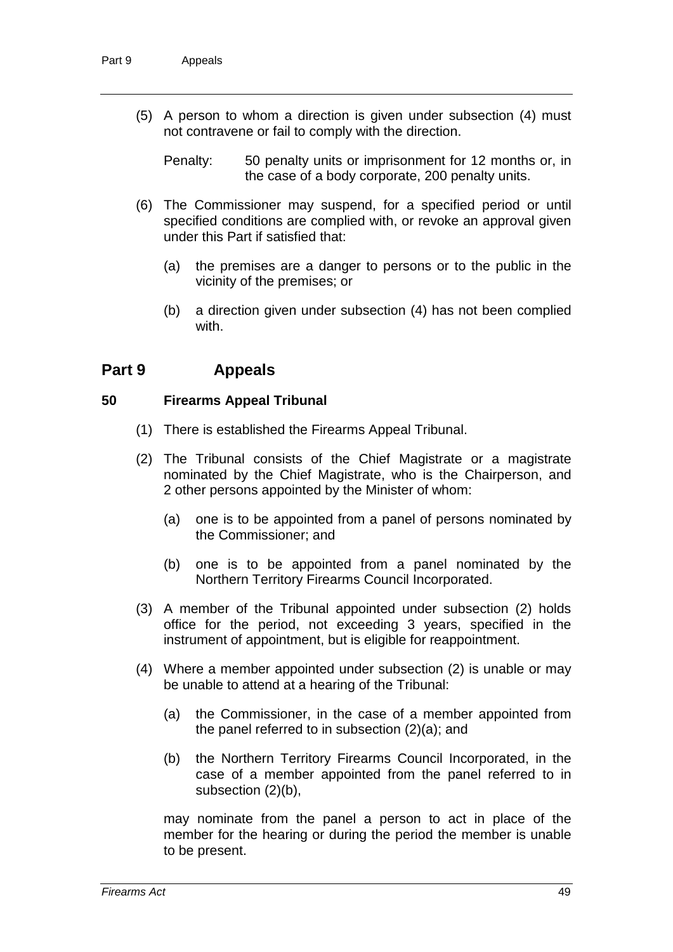(5) A person to whom a direction is given under subsection (4) must not contravene or fail to comply with the direction.

Penalty: 50 penalty units or imprisonment for 12 months or, in the case of a body corporate, 200 penalty units.

- (6) The Commissioner may suspend, for a specified period or until specified conditions are complied with, or revoke an approval given under this Part if satisfied that:
	- (a) the premises are a danger to persons or to the public in the vicinity of the premises; or
	- (b) a direction given under subsection (4) has not been complied with.

# **Part 9 Appeals**

### **50 Firearms Appeal Tribunal**

- (1) There is established the Firearms Appeal Tribunal.
- (2) The Tribunal consists of the Chief Magistrate or a magistrate nominated by the Chief Magistrate, who is the Chairperson, and 2 other persons appointed by the Minister of whom:
	- (a) one is to be appointed from a panel of persons nominated by the Commissioner; and
	- (b) one is to be appointed from a panel nominated by the Northern Territory Firearms Council Incorporated.
- (3) A member of the Tribunal appointed under subsection (2) holds office for the period, not exceeding 3 years, specified in the instrument of appointment, but is eligible for reappointment.
- (4) Where a member appointed under subsection (2) is unable or may be unable to attend at a hearing of the Tribunal:
	- (a) the Commissioner, in the case of a member appointed from the panel referred to in subsection (2)(a); and
	- (b) the Northern Territory Firearms Council Incorporated, in the case of a member appointed from the panel referred to in subsection (2)(b),

may nominate from the panel a person to act in place of the member for the hearing or during the period the member is unable to be present.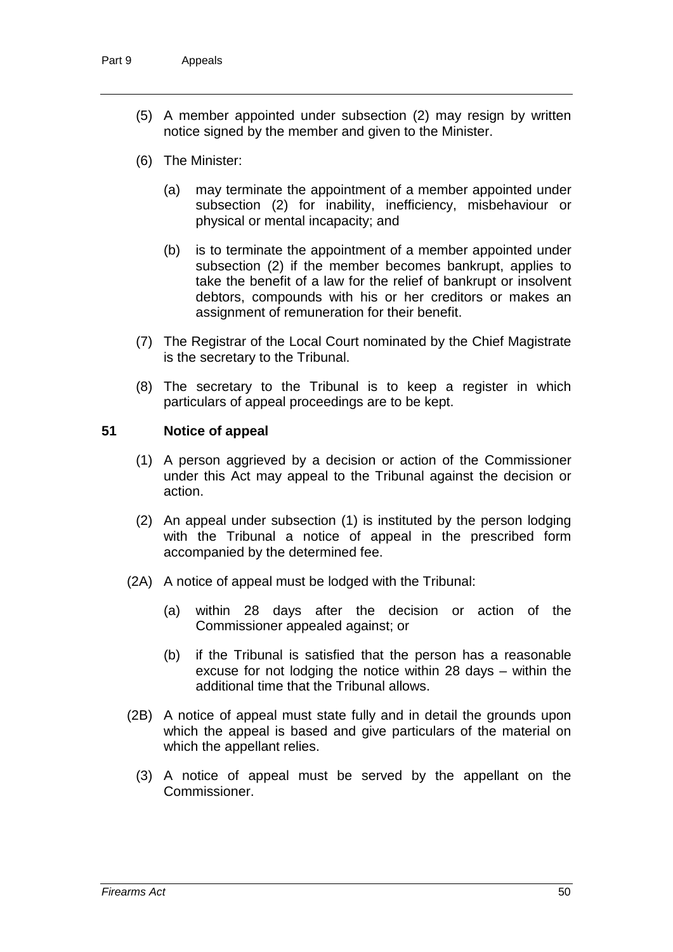- (5) A member appointed under subsection (2) may resign by written notice signed by the member and given to the Minister.
- (6) The Minister:
	- (a) may terminate the appointment of a member appointed under subsection (2) for inability, inefficiency, misbehaviour or physical or mental incapacity; and
	- (b) is to terminate the appointment of a member appointed under subsection (2) if the member becomes bankrupt, applies to take the benefit of a law for the relief of bankrupt or insolvent debtors, compounds with his or her creditors or makes an assignment of remuneration for their benefit.
- (7) The Registrar of the Local Court nominated by the Chief Magistrate is the secretary to the Tribunal.
- (8) The secretary to the Tribunal is to keep a register in which particulars of appeal proceedings are to be kept.

## **51 Notice of appeal**

- (1) A person aggrieved by a decision or action of the Commissioner under this Act may appeal to the Tribunal against the decision or action.
- (2) An appeal under subsection (1) is instituted by the person lodging with the Tribunal a notice of appeal in the prescribed form accompanied by the determined fee.
- (2A) A notice of appeal must be lodged with the Tribunal:
	- (a) within 28 days after the decision or action of the Commissioner appealed against; or
	- (b) if the Tribunal is satisfied that the person has a reasonable excuse for not lodging the notice within 28 days – within the additional time that the Tribunal allows.
- (2B) A notice of appeal must state fully and in detail the grounds upon which the appeal is based and give particulars of the material on which the appellant relies.
	- (3) A notice of appeal must be served by the appellant on the Commissioner.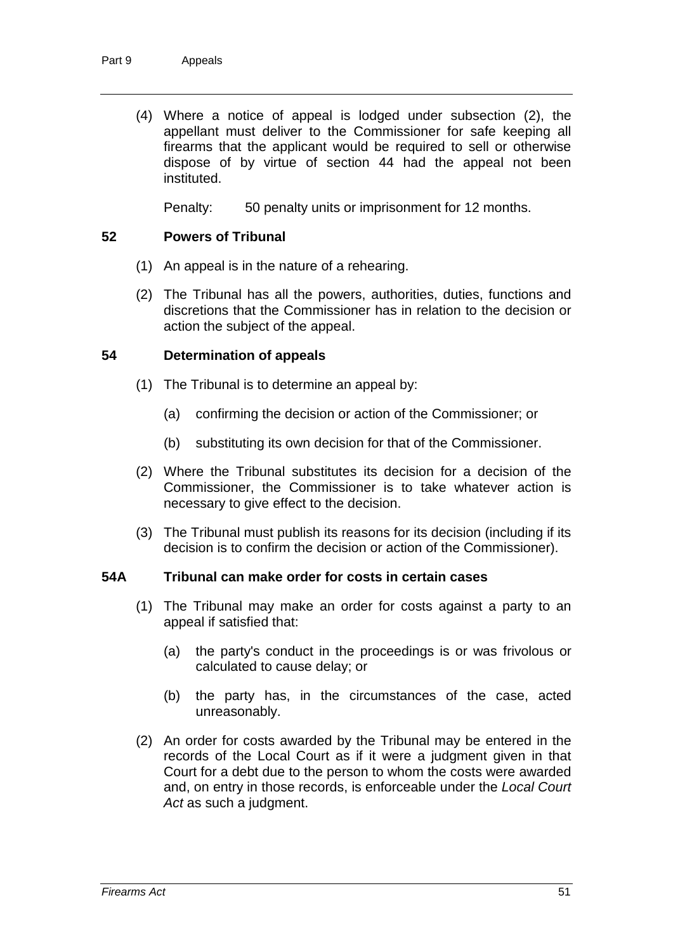(4) Where a notice of appeal is lodged under subsection (2), the appellant must deliver to the Commissioner for safe keeping all firearms that the applicant would be required to sell or otherwise dispose of by virtue of section 44 had the appeal not been instituted.

Penalty: 50 penalty units or imprisonment for 12 months.

## **52 Powers of Tribunal**

- (1) An appeal is in the nature of a rehearing.
- (2) The Tribunal has all the powers, authorities, duties, functions and discretions that the Commissioner has in relation to the decision or action the subject of the appeal.

### **54 Determination of appeals**

- (1) The Tribunal is to determine an appeal by:
	- (a) confirming the decision or action of the Commissioner; or
	- (b) substituting its own decision for that of the Commissioner.
- (2) Where the Tribunal substitutes its decision for a decision of the Commissioner, the Commissioner is to take whatever action is necessary to give effect to the decision.
- (3) The Tribunal must publish its reasons for its decision (including if its decision is to confirm the decision or action of the Commissioner).

### **54A Tribunal can make order for costs in certain cases**

- (1) The Tribunal may make an order for costs against a party to an appeal if satisfied that:
	- (a) the party's conduct in the proceedings is or was frivolous or calculated to cause delay; or
	- (b) the party has, in the circumstances of the case, acted unreasonably.
- (2) An order for costs awarded by the Tribunal may be entered in the records of the Local Court as if it were a judgment given in that Court for a debt due to the person to whom the costs were awarded and, on entry in those records, is enforceable under the *Local Court Act* as such a judgment.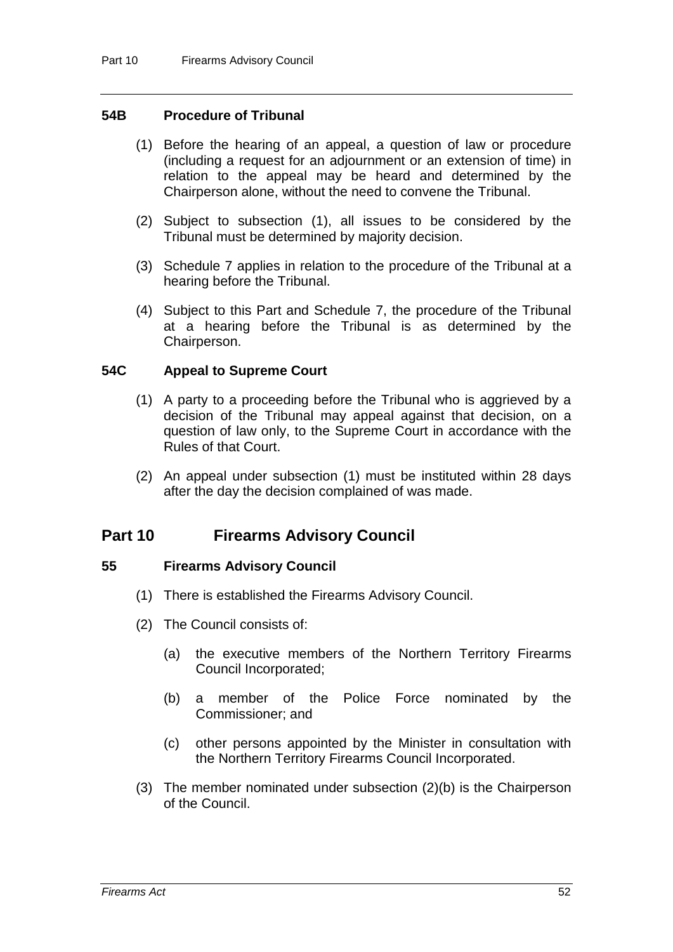### **54B Procedure of Tribunal**

- (1) Before the hearing of an appeal, a question of law or procedure (including a request for an adjournment or an extension of time) in relation to the appeal may be heard and determined by the Chairperson alone, without the need to convene the Tribunal.
- (2) Subject to subsection (1), all issues to be considered by the Tribunal must be determined by majority decision.
- (3) Schedule 7 applies in relation to the procedure of the Tribunal at a hearing before the Tribunal.
- (4) Subject to this Part and Schedule 7, the procedure of the Tribunal at a hearing before the Tribunal is as determined by the Chairperson.

#### **54C Appeal to Supreme Court**

- (1) A party to a proceeding before the Tribunal who is aggrieved by a decision of the Tribunal may appeal against that decision, on a question of law only, to the Supreme Court in accordance with the Rules of that Court.
- (2) An appeal under subsection (1) must be instituted within 28 days after the day the decision complained of was made.

# **Part 10 Firearms Advisory Council**

#### **55 Firearms Advisory Council**

- (1) There is established the Firearms Advisory Council.
- (2) The Council consists of:
	- (a) the executive members of the Northern Territory Firearms Council Incorporated;
	- (b) a member of the Police Force nominated by the Commissioner; and
	- (c) other persons appointed by the Minister in consultation with the Northern Territory Firearms Council Incorporated.
- (3) The member nominated under subsection (2)(b) is the Chairperson of the Council.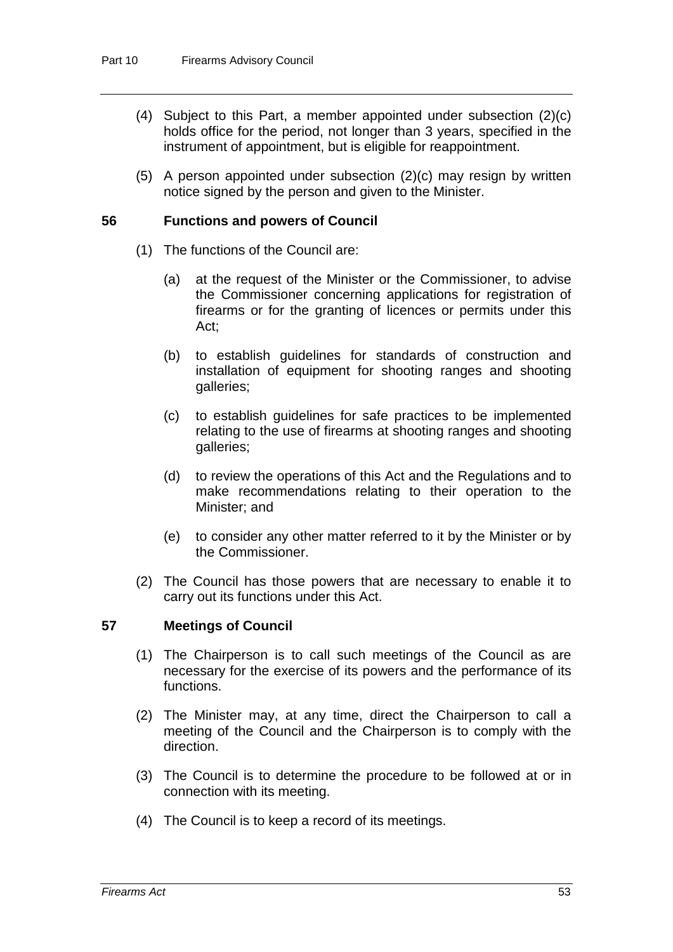- (4) Subject to this Part, a member appointed under subsection (2)(c) holds office for the period, not longer than 3 years, specified in the instrument of appointment, but is eligible for reappointment.
- (5) A person appointed under subsection (2)(c) may resign by written notice signed by the person and given to the Minister.

#### **56 Functions and powers of Council**

- (1) The functions of the Council are:
	- (a) at the request of the Minister or the Commissioner, to advise the Commissioner concerning applications for registration of firearms or for the granting of licences or permits under this Act;
	- (b) to establish guidelines for standards of construction and installation of equipment for shooting ranges and shooting galleries;
	- (c) to establish guidelines for safe practices to be implemented relating to the use of firearms at shooting ranges and shooting galleries;
	- (d) to review the operations of this Act and the Regulations and to make recommendations relating to their operation to the Minister; and
	- (e) to consider any other matter referred to it by the Minister or by the Commissioner.
- (2) The Council has those powers that are necessary to enable it to carry out its functions under this Act.

#### **57 Meetings of Council**

- (1) The Chairperson is to call such meetings of the Council as are necessary for the exercise of its powers and the performance of its functions.
- (2) The Minister may, at any time, direct the Chairperson to call a meeting of the Council and the Chairperson is to comply with the direction.
- (3) The Council is to determine the procedure to be followed at or in connection with its meeting.
- (4) The Council is to keep a record of its meetings.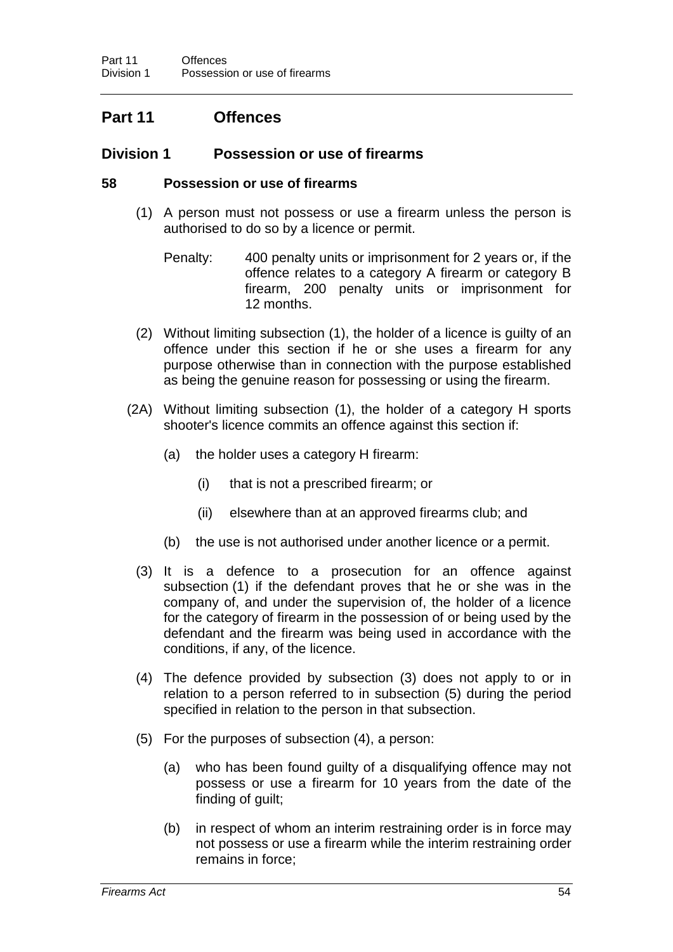# **Part 11 Offences**

## **Division 1 Possession or use of firearms**

### **58 Possession or use of firearms**

- (1) A person must not possess or use a firearm unless the person is authorised to do so by a licence or permit.
	- Penalty: 400 penalty units or imprisonment for 2 years or, if the offence relates to a category A firearm or category B firearm, 200 penalty units or imprisonment for 12 months.
- (2) Without limiting subsection (1), the holder of a licence is guilty of an offence under this section if he or she uses a firearm for any purpose otherwise than in connection with the purpose established as being the genuine reason for possessing or using the firearm.
- (2A) Without limiting subsection (1), the holder of a category H sports shooter's licence commits an offence against this section if:
	- (a) the holder uses a category H firearm:
		- (i) that is not a prescribed firearm; or
		- (ii) elsewhere than at an approved firearms club; and
	- (b) the use is not authorised under another licence or a permit.
	- (3) It is a defence to a prosecution for an offence against subsection (1) if the defendant proves that he or she was in the company of, and under the supervision of, the holder of a licence for the category of firearm in the possession of or being used by the defendant and the firearm was being used in accordance with the conditions, if any, of the licence.
	- (4) The defence provided by subsection (3) does not apply to or in relation to a person referred to in subsection (5) during the period specified in relation to the person in that subsection.
	- (5) For the purposes of subsection (4), a person:
		- (a) who has been found guilty of a disqualifying offence may not possess or use a firearm for 10 years from the date of the finding of guilt;
		- (b) in respect of whom an interim restraining order is in force may not possess or use a firearm while the interim restraining order remains in force;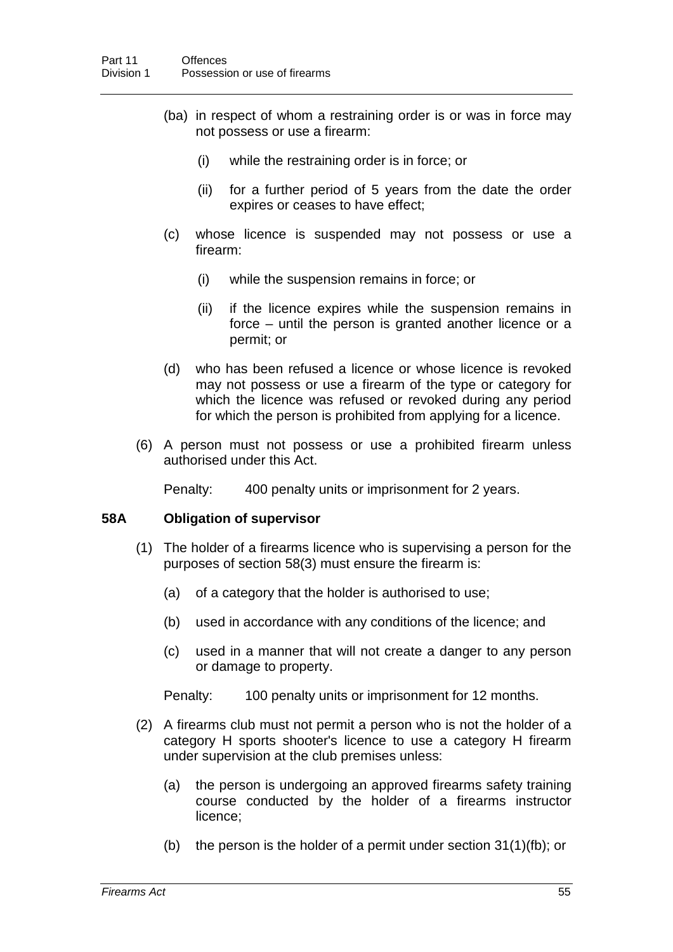- (ba) in respect of whom a restraining order is or was in force may not possess or use a firearm:
	- (i) while the restraining order is in force; or
	- (ii) for a further period of 5 years from the date the order expires or ceases to have effect;
- (c) whose licence is suspended may not possess or use a firearm:
	- (i) while the suspension remains in force; or
	- (ii) if the licence expires while the suspension remains in force – until the person is granted another licence or a permit; or
- (d) who has been refused a licence or whose licence is revoked may not possess or use a firearm of the type or category for which the licence was refused or revoked during any period for which the person is prohibited from applying for a licence.
- (6) A person must not possess or use a prohibited firearm unless authorised under this Act.

Penalty: 400 penalty units or imprisonment for 2 years.

## **58A Obligation of supervisor**

- (1) The holder of a firearms licence who is supervising a person for the purposes of section 58(3) must ensure the firearm is:
	- (a) of a category that the holder is authorised to use;
	- (b) used in accordance with any conditions of the licence; and
	- (c) used in a manner that will not create a danger to any person or damage to property.

Penalty: 100 penalty units or imprisonment for 12 months.

- (2) A firearms club must not permit a person who is not the holder of a category H sports shooter's licence to use a category H firearm under supervision at the club premises unless:
	- (a) the person is undergoing an approved firearms safety training course conducted by the holder of a firearms instructor licence;
	- (b) the person is the holder of a permit under section 31(1)(fb); or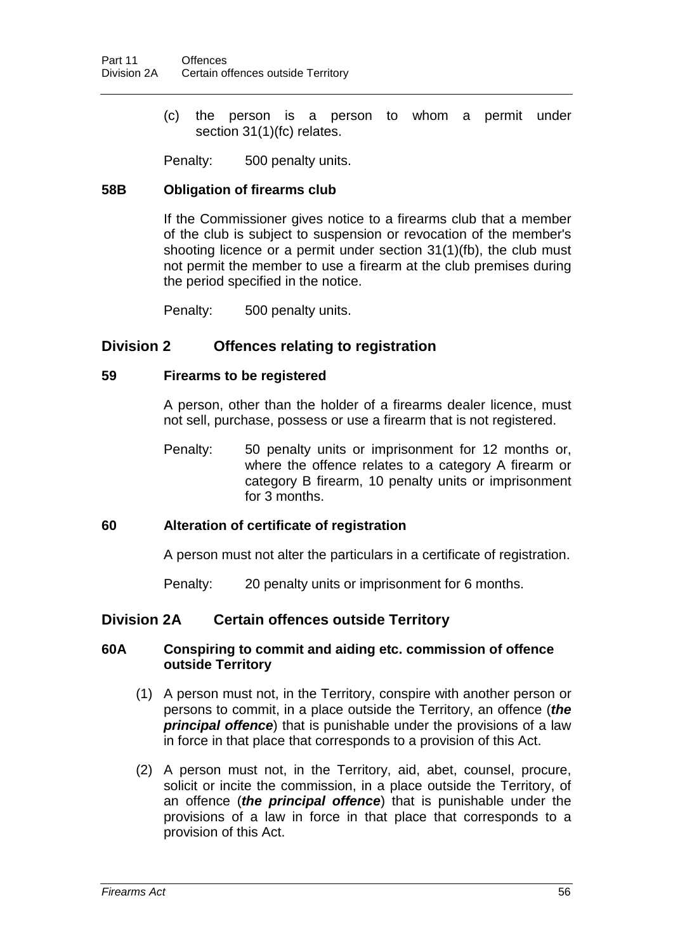(c) the person is a person to whom a permit under section 31(1)(fc) relates.

Penalty: 500 penalty units.

## **58B Obligation of firearms club**

If the Commissioner gives notice to a firearms club that a member of the club is subject to suspension or revocation of the member's shooting licence or a permit under section 31(1)(fb), the club must not permit the member to use a firearm at the club premises during the period specified in the notice.

Penalty: 500 penalty units.

## **Division 2 Offences relating to registration**

### **59 Firearms to be registered**

A person, other than the holder of a firearms dealer licence, must not sell, purchase, possess or use a firearm that is not registered.

Penalty: 50 penalty units or imprisonment for 12 months or, where the offence relates to a category A firearm or category B firearm, 10 penalty units or imprisonment for 3 months.

## **60 Alteration of certificate of registration**

A person must not alter the particulars in a certificate of registration.

Penalty: 20 penalty units or imprisonment for 6 months.

## **Division 2A Certain offences outside Territory**

## **60A Conspiring to commit and aiding etc. commission of offence outside Territory**

- (1) A person must not, in the Territory, conspire with another person or persons to commit, in a place outside the Territory, an offence (*the principal offence*) that is punishable under the provisions of a law in force in that place that corresponds to a provision of this Act.
- (2) A person must not, in the Territory, aid, abet, counsel, procure, solicit or incite the commission, in a place outside the Territory, of an offence (*the principal offence*) that is punishable under the provisions of a law in force in that place that corresponds to a provision of this Act.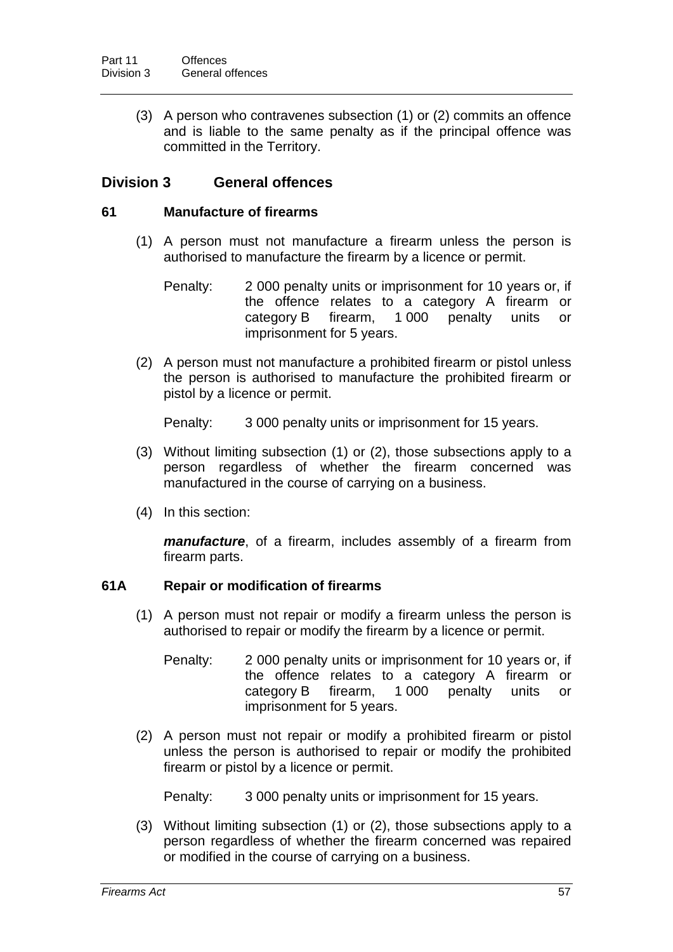(3) A person who contravenes subsection (1) or (2) commits an offence and is liable to the same penalty as if the principal offence was committed in the Territory.

## **Division 3 General offences**

### **61 Manufacture of firearms**

- (1) A person must not manufacture a firearm unless the person is authorised to manufacture the firearm by a licence or permit.
	- Penalty: 2 000 penalty units or imprisonment for 10 years or, if the offence relates to a category A firearm or<br>category B firearm. 1000 penalty units or category B firearm, 1 000 penalty units or imprisonment for 5 years.
- (2) A person must not manufacture a prohibited firearm or pistol unless the person is authorised to manufacture the prohibited firearm or pistol by a licence or permit.

Penalty: 3 000 penalty units or imprisonment for 15 years.

- (3) Without limiting subsection (1) or (2), those subsections apply to a person regardless of whether the firearm concerned was manufactured in the course of carrying on a business.
- (4) In this section:

*manufacture*, of a firearm, includes assembly of a firearm from firearm parts.

## **61A Repair or modification of firearms**

- (1) A person must not repair or modify a firearm unless the person is authorised to repair or modify the firearm by a licence or permit.
	- Penalty: 2 000 penalty units or imprisonment for 10 years or, if the offence relates to a category A firearm or category B firearm, 1 000 penalty units or imprisonment for 5 years.
- (2) A person must not repair or modify a prohibited firearm or pistol unless the person is authorised to repair or modify the prohibited firearm or pistol by a licence or permit.

Penalty: 3 000 penalty units or imprisonment for 15 years.

(3) Without limiting subsection (1) or (2), those subsections apply to a person regardless of whether the firearm concerned was repaired or modified in the course of carrying on a business.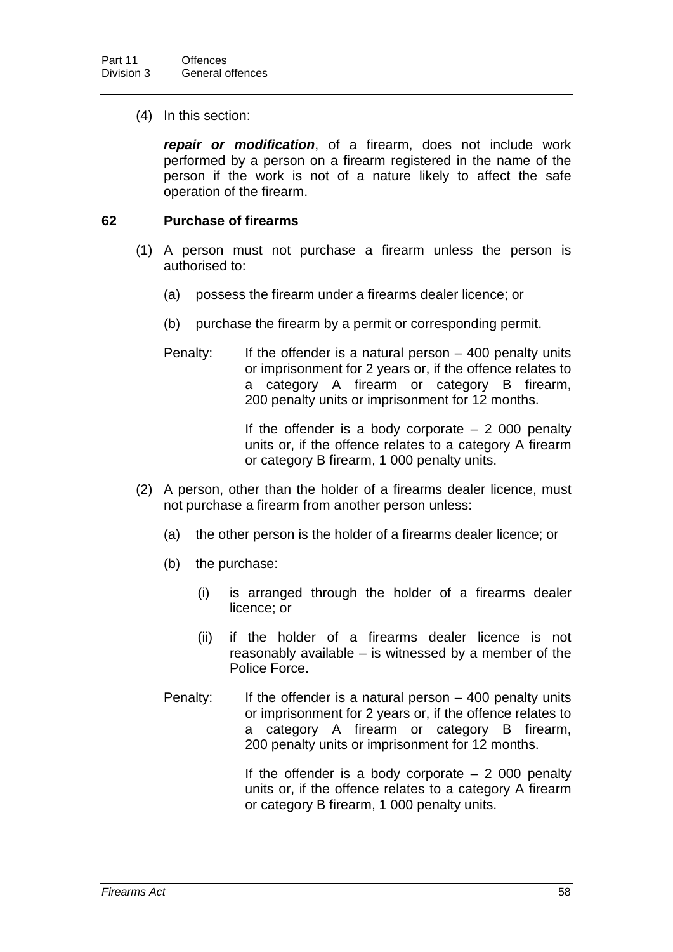(4) In this section:

*repair or modification*, of a firearm, does not include work performed by a person on a firearm registered in the name of the person if the work is not of a nature likely to affect the safe operation of the firearm.

## **62 Purchase of firearms**

- (1) A person must not purchase a firearm unless the person is authorised to:
	- (a) possess the firearm under a firearms dealer licence; or
	- (b) purchase the firearm by a permit or corresponding permit.
	- Penalty: If the offender is a natural person  $-$  400 penalty units or imprisonment for 2 years or, if the offence relates to a category A firearm or category B firearm, 200 penalty units or imprisonment for 12 months.

If the offender is a body corporate  $-2000$  penalty units or, if the offence relates to a category A firearm or category B firearm, 1 000 penalty units.

- (2) A person, other than the holder of a firearms dealer licence, must not purchase a firearm from another person unless:
	- (a) the other person is the holder of a firearms dealer licence; or
	- (b) the purchase:
		- (i) is arranged through the holder of a firearms dealer licence; or
		- (ii) if the holder of a firearms dealer licence is not reasonably available – is witnessed by a member of the Police Force.
	- Penalty: If the offender is a natural person  $-$  400 penalty units or imprisonment for 2 years or, if the offence relates to a category A firearm or category B firearm, 200 penalty units or imprisonment for 12 months.

If the offender is a body corporate  $-2000$  penalty units or, if the offence relates to a category A firearm or category B firearm, 1 000 penalty units.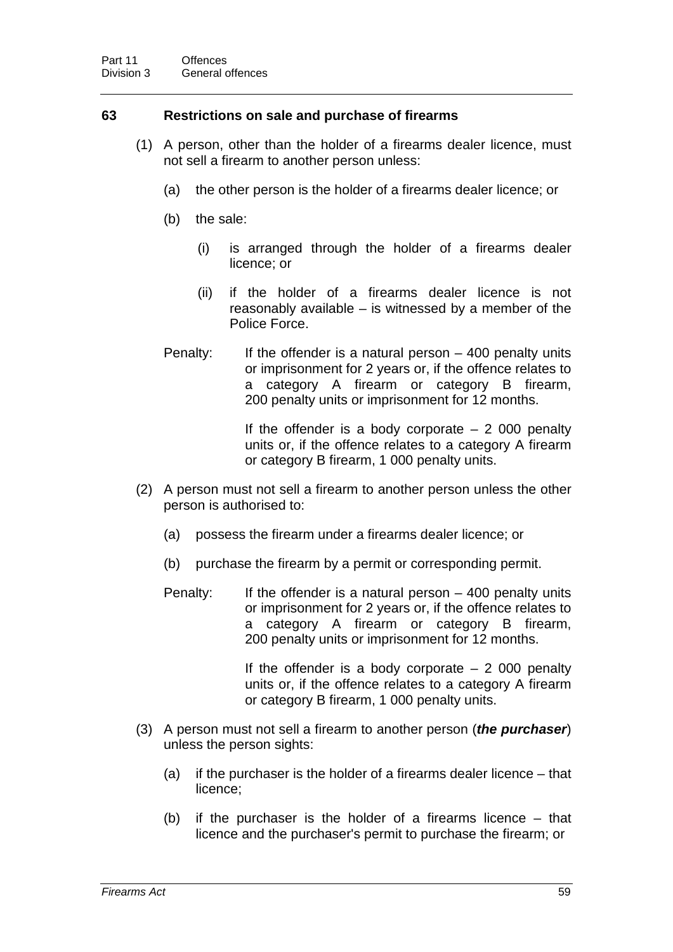## **63 Restrictions on sale and purchase of firearms**

- (1) A person, other than the holder of a firearms dealer licence, must not sell a firearm to another person unless:
	- (a) the other person is the holder of a firearms dealer licence; or
	- (b) the sale:
		- (i) is arranged through the holder of a firearms dealer licence; or
		- (ii) if the holder of a firearms dealer licence is not reasonably available – is witnessed by a member of the Police Force.
	- Penalty: If the offender is a natural person  $-$  400 penalty units or imprisonment for 2 years or, if the offence relates to a category A firearm or category B firearm, 200 penalty units or imprisonment for 12 months.

If the offender is a body corporate  $-2000$  penalty units or, if the offence relates to a category A firearm or category B firearm, 1 000 penalty units.

- (2) A person must not sell a firearm to another person unless the other person is authorised to:
	- (a) possess the firearm under a firearms dealer licence; or
	- (b) purchase the firearm by a permit or corresponding permit.
	- Penalty: If the offender is a natural person  $-400$  penalty units or imprisonment for 2 years or, if the offence relates to a category A firearm or category B firearm, 200 penalty units or imprisonment for 12 months.

If the offender is a body corporate  $-2000$  penalty units or, if the offence relates to a category A firearm or category B firearm, 1 000 penalty units.

- (3) A person must not sell a firearm to another person (*the purchaser*) unless the person sights:
	- (a) if the purchaser is the holder of a firearms dealer licence that licence;
	- (b) if the purchaser is the holder of a firearms licence that licence and the purchaser's permit to purchase the firearm; or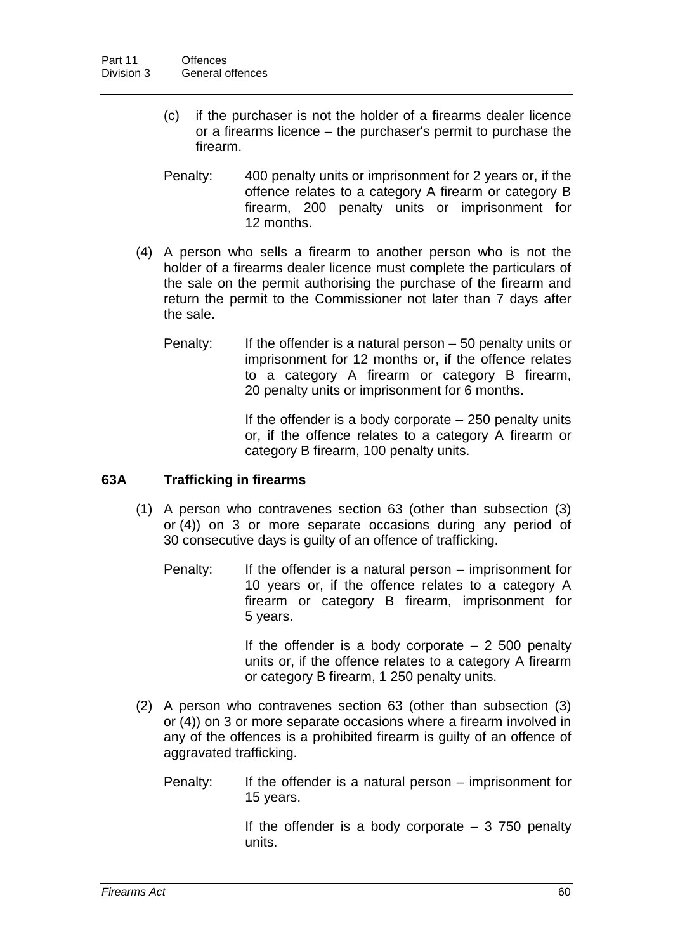- (c) if the purchaser is not the holder of a firearms dealer licence or a firearms licence – the purchaser's permit to purchase the firearm.
- Penalty: 400 penalty units or imprisonment for 2 years or, if the offence relates to a category A firearm or category B firearm, 200 penalty units or imprisonment for 12 months.
- (4) A person who sells a firearm to another person who is not the holder of a firearms dealer licence must complete the particulars of the sale on the permit authorising the purchase of the firearm and return the permit to the Commissioner not later than 7 days after the sale.
	- Penalty: If the offender is a natural person 50 penalty units or imprisonment for 12 months or, if the offence relates to a category A firearm or category B firearm, 20 penalty units or imprisonment for 6 months.

If the offender is a body corporate  $-250$  penalty units or, if the offence relates to a category A firearm or category B firearm, 100 penalty units.

## **63A Trafficking in firearms**

- (1) A person who contravenes section 63 (other than subsection (3) or (4)) on 3 or more separate occasions during any period of 30 consecutive days is guilty of an offence of trafficking.
	- Penalty: If the offender is a natural person imprisonment for 10 years or, if the offence relates to a category A firearm or category B firearm, imprisonment for 5 years.

If the offender is a body corporate  $-2$  500 penalty units or, if the offence relates to a category A firearm or category B firearm, 1 250 penalty units.

- (2) A person who contravenes section 63 (other than subsection (3) or (4)) on 3 or more separate occasions where a firearm involved in any of the offences is a prohibited firearm is guilty of an offence of aggravated trafficking.
	- Penalty: If the offender is a natural person imprisonment for 15 years.

If the offender is a body corporate  $-3$  750 penalty units.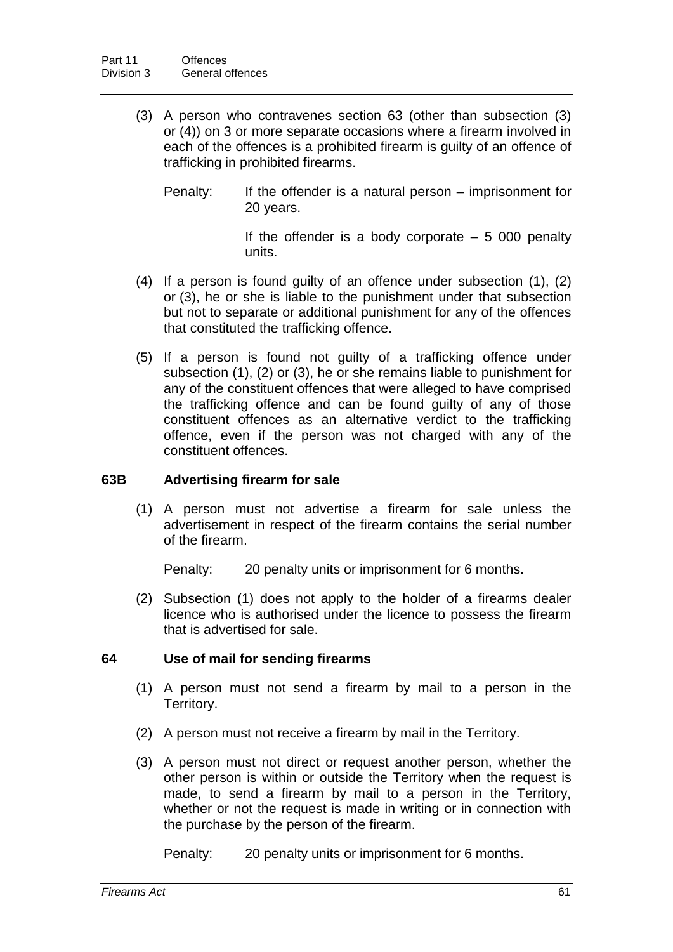- (3) A person who contravenes section 63 (other than subsection (3) or (4)) on 3 or more separate occasions where a firearm involved in each of the offences is a prohibited firearm is guilty of an offence of trafficking in prohibited firearms.
	- Penalty: If the offender is a natural person imprisonment for 20 years.

If the offender is a body corporate  $-5000$  penalty units.

- (4) If a person is found guilty of an offence under subsection (1), (2) or (3), he or she is liable to the punishment under that subsection but not to separate or additional punishment for any of the offences that constituted the trafficking offence.
- (5) If a person is found not guilty of a trafficking offence under subsection (1), (2) or (3), he or she remains liable to punishment for any of the constituent offences that were alleged to have comprised the trafficking offence and can be found guilty of any of those constituent offences as an alternative verdict to the trafficking offence, even if the person was not charged with any of the constituent offences.

## **63B Advertising firearm for sale**

(1) A person must not advertise a firearm for sale unless the advertisement in respect of the firearm contains the serial number of the firearm.

Penalty: 20 penalty units or imprisonment for 6 months.

(2) Subsection (1) does not apply to the holder of a firearms dealer licence who is authorised under the licence to possess the firearm that is advertised for sale.

## **64 Use of mail for sending firearms**

- (1) A person must not send a firearm by mail to a person in the Territory.
- (2) A person must not receive a firearm by mail in the Territory.
- (3) A person must not direct or request another person, whether the other person is within or outside the Territory when the request is made, to send a firearm by mail to a person in the Territory, whether or not the request is made in writing or in connection with the purchase by the person of the firearm.

Penalty: 20 penalty units or imprisonment for 6 months.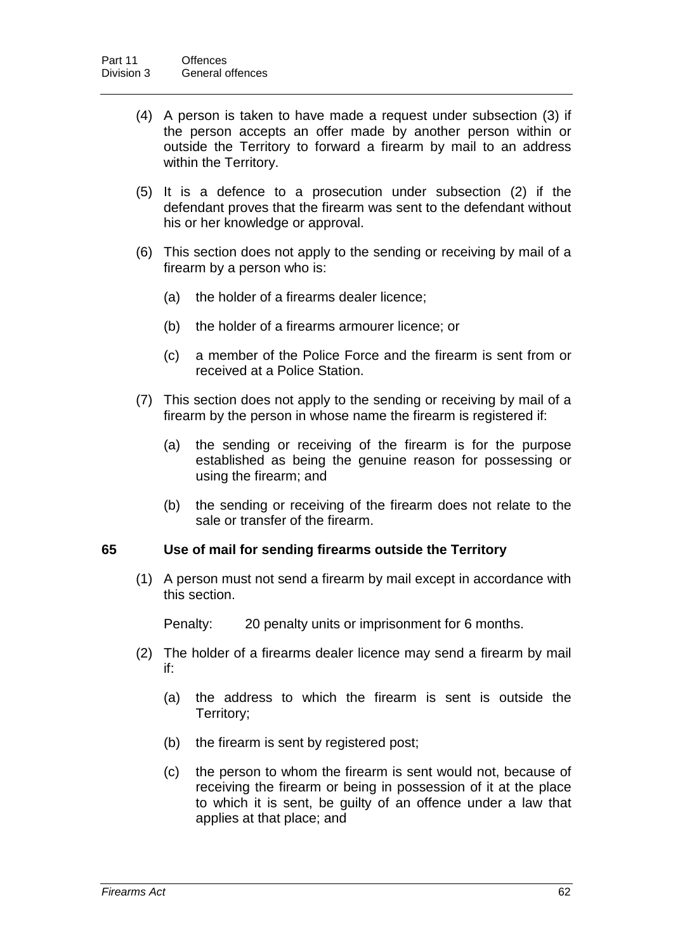- (4) A person is taken to have made a request under subsection (3) if the person accepts an offer made by another person within or outside the Territory to forward a firearm by mail to an address within the Territory.
- (5) It is a defence to a prosecution under subsection (2) if the defendant proves that the firearm was sent to the defendant without his or her knowledge or approval.
- (6) This section does not apply to the sending or receiving by mail of a firearm by a person who is:
	- (a) the holder of a firearms dealer licence;
	- (b) the holder of a firearms armourer licence; or
	- (c) a member of the Police Force and the firearm is sent from or received at a Police Station.
- (7) This section does not apply to the sending or receiving by mail of a firearm by the person in whose name the firearm is registered if:
	- (a) the sending or receiving of the firearm is for the purpose established as being the genuine reason for possessing or using the firearm; and
	- (b) the sending or receiving of the firearm does not relate to the sale or transfer of the firearm.

## **65 Use of mail for sending firearms outside the Territory**

(1) A person must not send a firearm by mail except in accordance with this section.

Penalty: 20 penalty units or imprisonment for 6 months.

- (2) The holder of a firearms dealer licence may send a firearm by mail if:
	- (a) the address to which the firearm is sent is outside the Territory;
	- (b) the firearm is sent by registered post;
	- (c) the person to whom the firearm is sent would not, because of receiving the firearm or being in possession of it at the place to which it is sent, be guilty of an offence under a law that applies at that place; and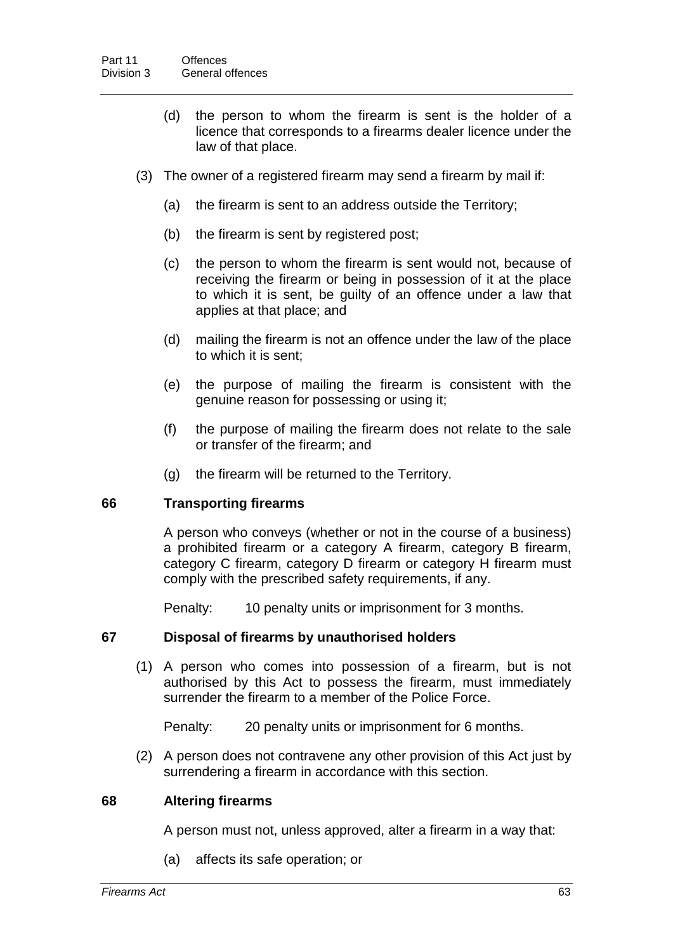- (d) the person to whom the firearm is sent is the holder of a licence that corresponds to a firearms dealer licence under the law of that place.
- (3) The owner of a registered firearm may send a firearm by mail if:
	- (a) the firearm is sent to an address outside the Territory;
	- (b) the firearm is sent by registered post;
	- (c) the person to whom the firearm is sent would not, because of receiving the firearm or being in possession of it at the place to which it is sent, be guilty of an offence under a law that applies at that place; and
	- (d) mailing the firearm is not an offence under the law of the place to which it is sent;
	- (e) the purpose of mailing the firearm is consistent with the genuine reason for possessing or using it;
	- (f) the purpose of mailing the firearm does not relate to the sale or transfer of the firearm; and
	- (g) the firearm will be returned to the Territory.

## **66 Transporting firearms**

A person who conveys (whether or not in the course of a business) a prohibited firearm or a category A firearm, category B firearm, category C firearm, category D firearm or category H firearm must comply with the prescribed safety requirements, if any.

Penalty: 10 penalty units or imprisonment for 3 months.

## **67 Disposal of firearms by unauthorised holders**

(1) A person who comes into possession of a firearm, but is not authorised by this Act to possess the firearm, must immediately surrender the firearm to a member of the Police Force.

Penalty: 20 penalty units or imprisonment for 6 months.

(2) A person does not contravene any other provision of this Act just by surrendering a firearm in accordance with this section.

#### **68 Altering firearms**

A person must not, unless approved, alter a firearm in a way that:

(a) affects its safe operation; or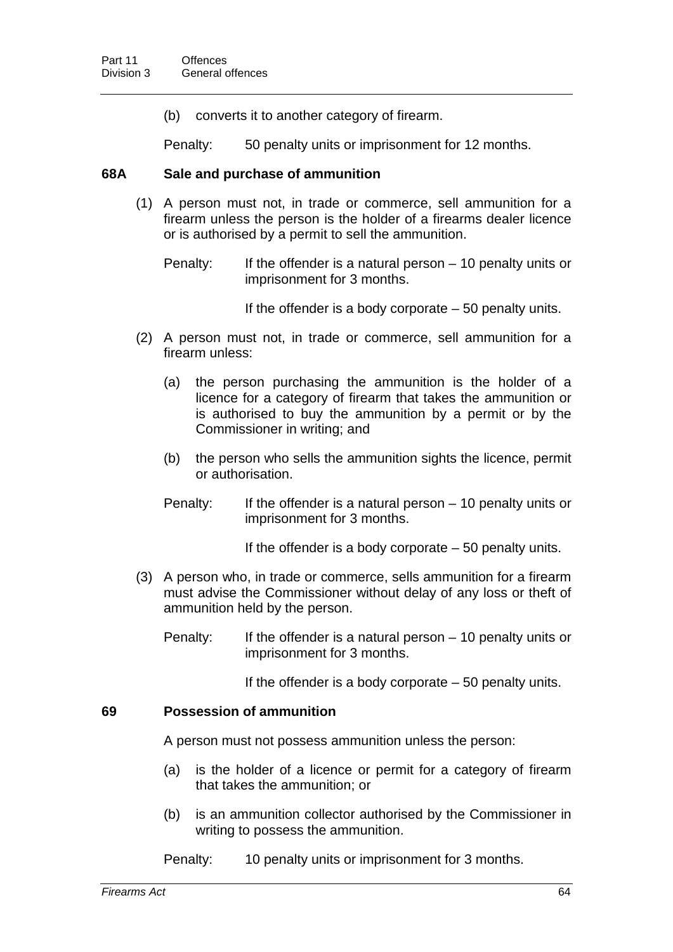(b) converts it to another category of firearm.

Penalty: 50 penalty units or imprisonment for 12 months.

#### **68A Sale and purchase of ammunition**

(1) A person must not, in trade or commerce, sell ammunition for a firearm unless the person is the holder of a firearms dealer licence or is authorised by a permit to sell the ammunition.

Penalty: If the offender is a natural person – 10 penalty units or imprisonment for 3 months.

If the offender is a body corporate  $-50$  penalty units.

- (2) A person must not, in trade or commerce, sell ammunition for a firearm unless:
	- (a) the person purchasing the ammunition is the holder of a licence for a category of firearm that takes the ammunition or is authorised to buy the ammunition by a permit or by the Commissioner in writing; and
	- (b) the person who sells the ammunition sights the licence, permit or authorisation.
	- Penalty: If the offender is a natural person  $-10$  penalty units or imprisonment for 3 months.

If the offender is a body corporate – 50 penalty units.

- (3) A person who, in trade or commerce, sells ammunition for a firearm must advise the Commissioner without delay of any loss or theft of ammunition held by the person.
	- Penalty: If the offender is a natural person 10 penalty units or imprisonment for 3 months.

If the offender is a body corporate  $-50$  penalty units.

### **69 Possession of ammunition**

A person must not possess ammunition unless the person:

- (a) is the holder of a licence or permit for a category of firearm that takes the ammunition; or
- (b) is an ammunition collector authorised by the Commissioner in writing to possess the ammunition.

Penalty: 10 penalty units or imprisonment for 3 months.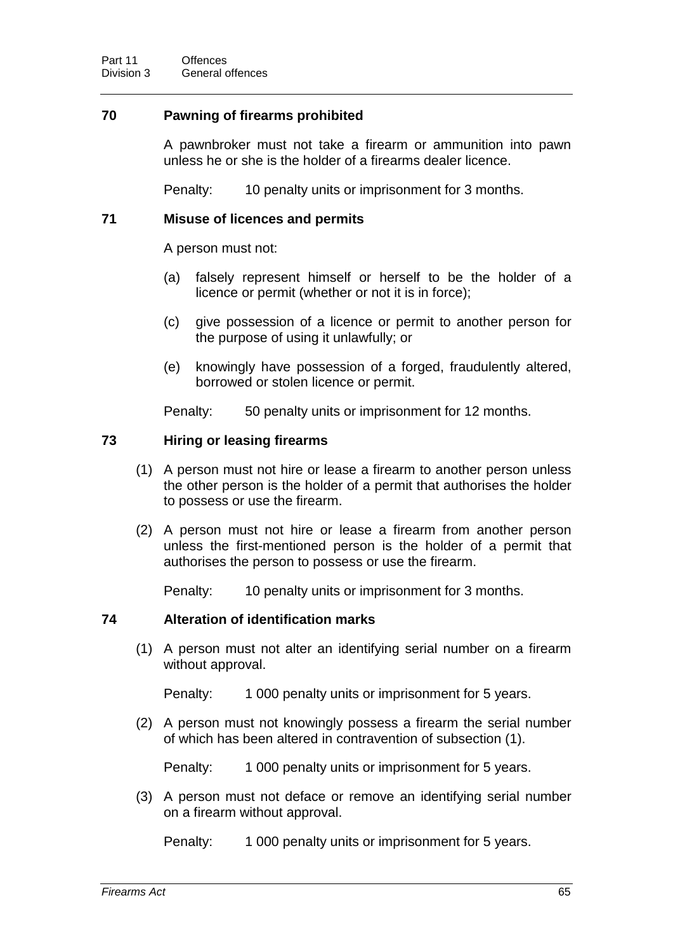## **70 Pawning of firearms prohibited**

A pawnbroker must not take a firearm or ammunition into pawn unless he or she is the holder of a firearms dealer licence.

Penalty: 10 penalty units or imprisonment for 3 months.

## **71 Misuse of licences and permits**

A person must not:

- (a) falsely represent himself or herself to be the holder of a licence or permit (whether or not it is in force);
- (c) give possession of a licence or permit to another person for the purpose of using it unlawfully; or
- (e) knowingly have possession of a forged, fraudulently altered, borrowed or stolen licence or permit.

Penalty: 50 penalty units or imprisonment for 12 months.

## **73 Hiring or leasing firearms**

- (1) A person must not hire or lease a firearm to another person unless the other person is the holder of a permit that authorises the holder to possess or use the firearm.
- (2) A person must not hire or lease a firearm from another person unless the first-mentioned person is the holder of a permit that authorises the person to possess or use the firearm.

Penalty: 10 penalty units or imprisonment for 3 months.

## **74 Alteration of identification marks**

(1) A person must not alter an identifying serial number on a firearm without approval.

Penalty: 1 000 penalty units or imprisonment for 5 years.

(2) A person must not knowingly possess a firearm the serial number of which has been altered in contravention of subsection (1).

Penalty: 1 000 penalty units or imprisonment for 5 years.

(3) A person must not deface or remove an identifying serial number on a firearm without approval.

Penalty: 1 000 penalty units or imprisonment for 5 years.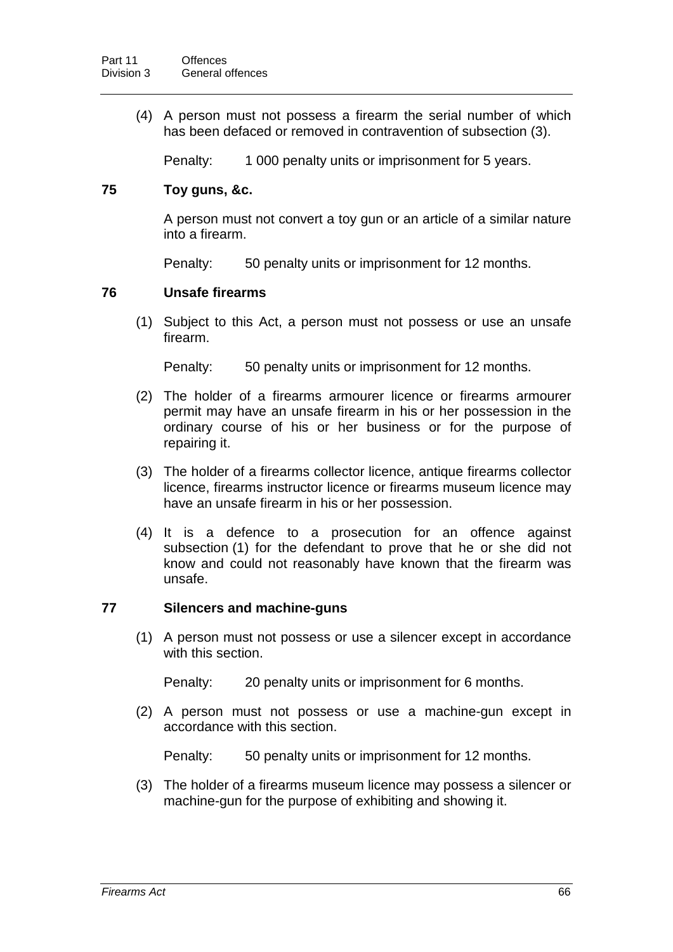(4) A person must not possess a firearm the serial number of which has been defaced or removed in contravention of subsection (3).

Penalty: 1 000 penalty units or imprisonment for 5 years.

### **75 Toy guns, &c.**

A person must not convert a toy gun or an article of a similar nature into a firearm.

Penalty: 50 penalty units or imprisonment for 12 months.

### **76 Unsafe firearms**

(1) Subject to this Act, a person must not possess or use an unsafe firearm.

Penalty: 50 penalty units or imprisonment for 12 months.

- (2) The holder of a firearms armourer licence or firearms armourer permit may have an unsafe firearm in his or her possession in the ordinary course of his or her business or for the purpose of repairing it.
- (3) The holder of a firearms collector licence, antique firearms collector licence, firearms instructor licence or firearms museum licence may have an unsafe firearm in his or her possession.
- (4) It is a defence to a prosecution for an offence against subsection (1) for the defendant to prove that he or she did not know and could not reasonably have known that the firearm was unsafe.

## **77 Silencers and machine-guns**

(1) A person must not possess or use a silencer except in accordance with this section.

Penalty: 20 penalty units or imprisonment for 6 months.

(2) A person must not possess or use a machine-gun except in accordance with this section.

Penalty: 50 penalty units or imprisonment for 12 months.

(3) The holder of a firearms museum licence may possess a silencer or machine-gun for the purpose of exhibiting and showing it.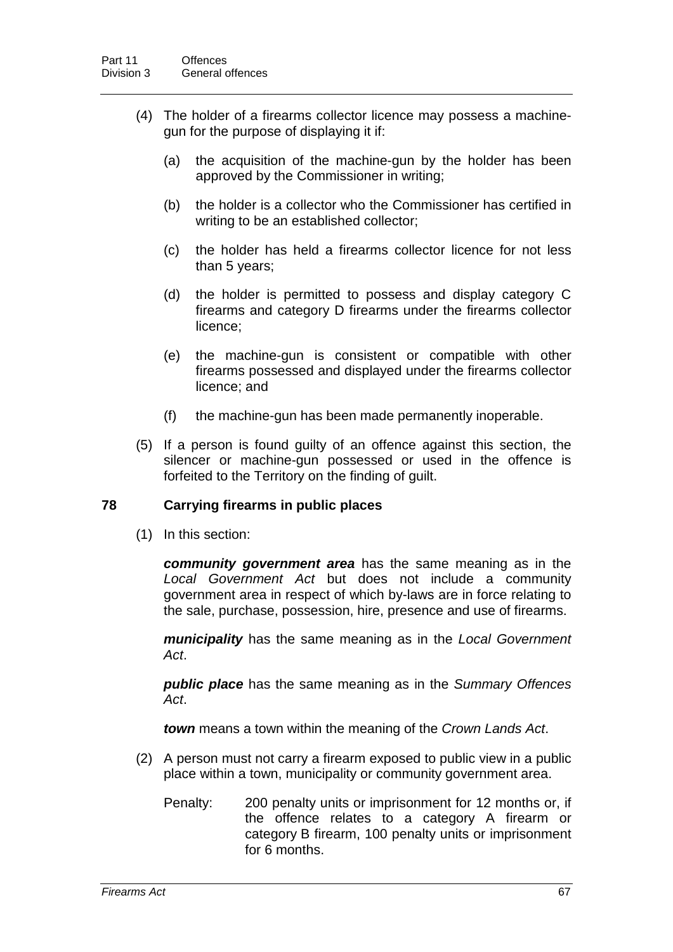- (4) The holder of a firearms collector licence may possess a machinegun for the purpose of displaying it if:
	- (a) the acquisition of the machine-gun by the holder has been approved by the Commissioner in writing;
	- (b) the holder is a collector who the Commissioner has certified in writing to be an established collector;
	- (c) the holder has held a firearms collector licence for not less than 5 years;
	- (d) the holder is permitted to possess and display category C firearms and category D firearms under the firearms collector licence;
	- (e) the machine-gun is consistent or compatible with other firearms possessed and displayed under the firearms collector licence; and
	- (f) the machine-gun has been made permanently inoperable.
- (5) If a person is found guilty of an offence against this section, the silencer or machine-gun possessed or used in the offence is forfeited to the Territory on the finding of guilt.

# **78 Carrying firearms in public places**

(1) In this section:

*community government area* has the same meaning as in the *Local Government Act* but does not include a community government area in respect of which by-laws are in force relating to the sale, purchase, possession, hire, presence and use of firearms.

*municipality* has the same meaning as in the *Local Government Act*.

*public place* has the same meaning as in the *Summary Offences Act*.

*town* means a town within the meaning of the *Crown Lands Act*.

- (2) A person must not carry a firearm exposed to public view in a public place within a town, municipality or community government area.
	- Penalty: 200 penalty units or imprisonment for 12 months or, if the offence relates to a category A firearm or category B firearm, 100 penalty units or imprisonment for 6 months.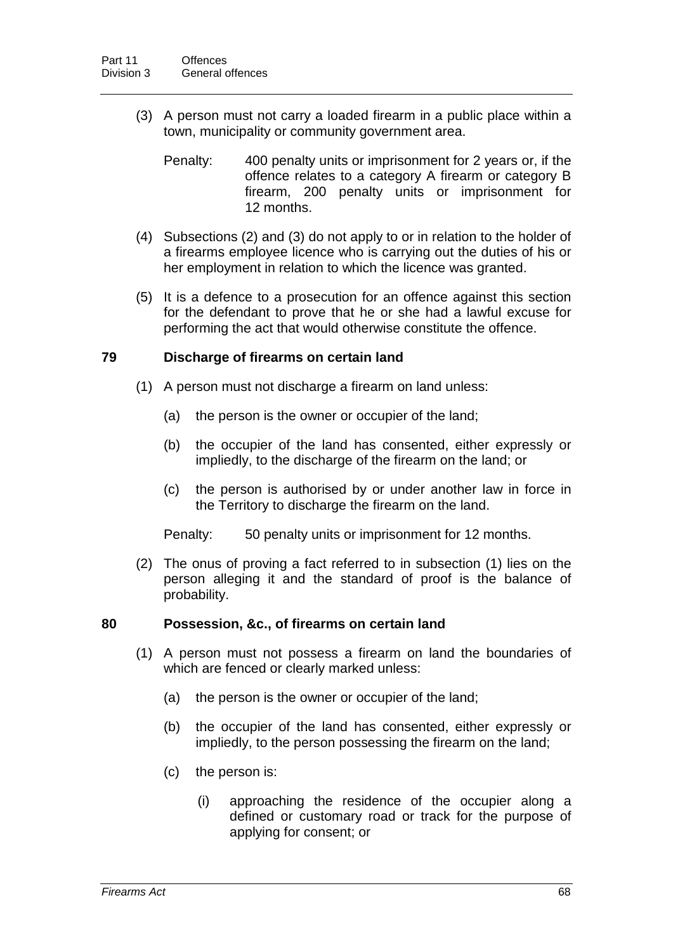(3) A person must not carry a loaded firearm in a public place within a town, municipality or community government area.

Penalty: 400 penalty units or imprisonment for 2 years or, if the offence relates to a category A firearm or category B firearm, 200 penalty units or imprisonment for 12 months.

- (4) Subsections (2) and (3) do not apply to or in relation to the holder of a firearms employee licence who is carrying out the duties of his or her employment in relation to which the licence was granted.
- (5) It is a defence to a prosecution for an offence against this section for the defendant to prove that he or she had a lawful excuse for performing the act that would otherwise constitute the offence.

# **79 Discharge of firearms on certain land**

- (1) A person must not discharge a firearm on land unless:
	- (a) the person is the owner or occupier of the land;
	- (b) the occupier of the land has consented, either expressly or impliedly, to the discharge of the firearm on the land; or
	- (c) the person is authorised by or under another law in force in the Territory to discharge the firearm on the land.

Penalty: 50 penalty units or imprisonment for 12 months.

(2) The onus of proving a fact referred to in subsection (1) lies on the person alleging it and the standard of proof is the balance of probability.

#### **80 Possession, &c., of firearms on certain land**

- (1) A person must not possess a firearm on land the boundaries of which are fenced or clearly marked unless:
	- (a) the person is the owner or occupier of the land;
	- (b) the occupier of the land has consented, either expressly or impliedly, to the person possessing the firearm on the land;
	- (c) the person is:
		- (i) approaching the residence of the occupier along a defined or customary road or track for the purpose of applying for consent; or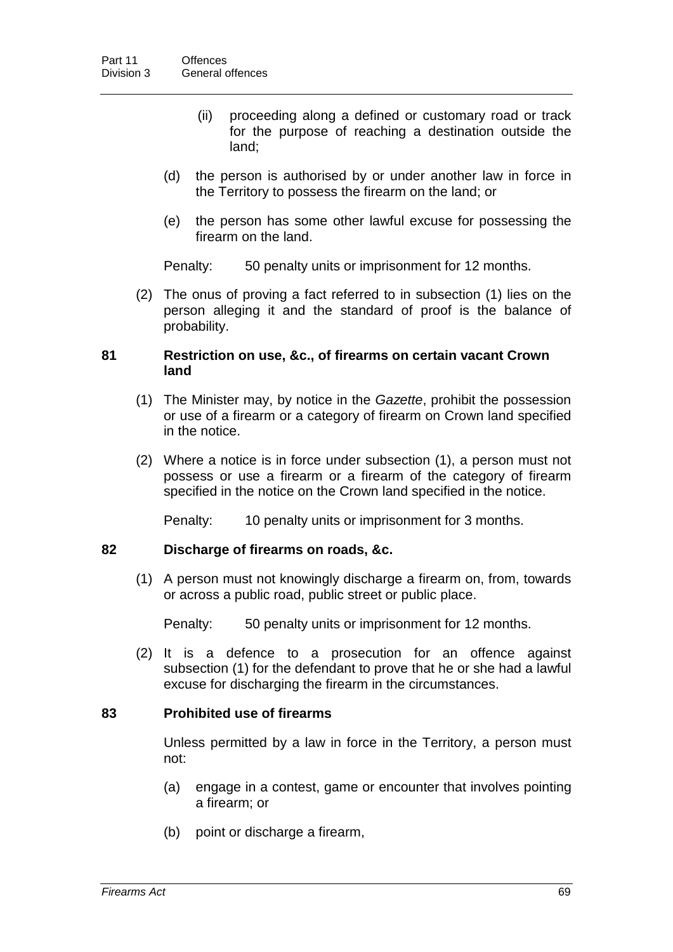- (ii) proceeding along a defined or customary road or track for the purpose of reaching a destination outside the land;
- (d) the person is authorised by or under another law in force in the Territory to possess the firearm on the land; or
- (e) the person has some other lawful excuse for possessing the firearm on the land.

Penalty: 50 penalty units or imprisonment for 12 months.

(2) The onus of proving a fact referred to in subsection (1) lies on the person alleging it and the standard of proof is the balance of probability.

#### **81 Restriction on use, &c., of firearms on certain vacant Crown land**

- (1) The Minister may, by notice in the *Gazette*, prohibit the possession or use of a firearm or a category of firearm on Crown land specified in the notice.
- (2) Where a notice is in force under subsection (1), a person must not possess or use a firearm or a firearm of the category of firearm specified in the notice on the Crown land specified in the notice.

Penalty: 10 penalty units or imprisonment for 3 months.

# **82 Discharge of firearms on roads, &c.**

(1) A person must not knowingly discharge a firearm on, from, towards or across a public road, public street or public place.

Penalty: 50 penalty units or imprisonment for 12 months.

(2) It is a defence to a prosecution for an offence against subsection (1) for the defendant to prove that he or she had a lawful excuse for discharging the firearm in the circumstances.

# **83 Prohibited use of firearms**

Unless permitted by a law in force in the Territory, a person must not:

- (a) engage in a contest, game or encounter that involves pointing a firearm; or
- (b) point or discharge a firearm,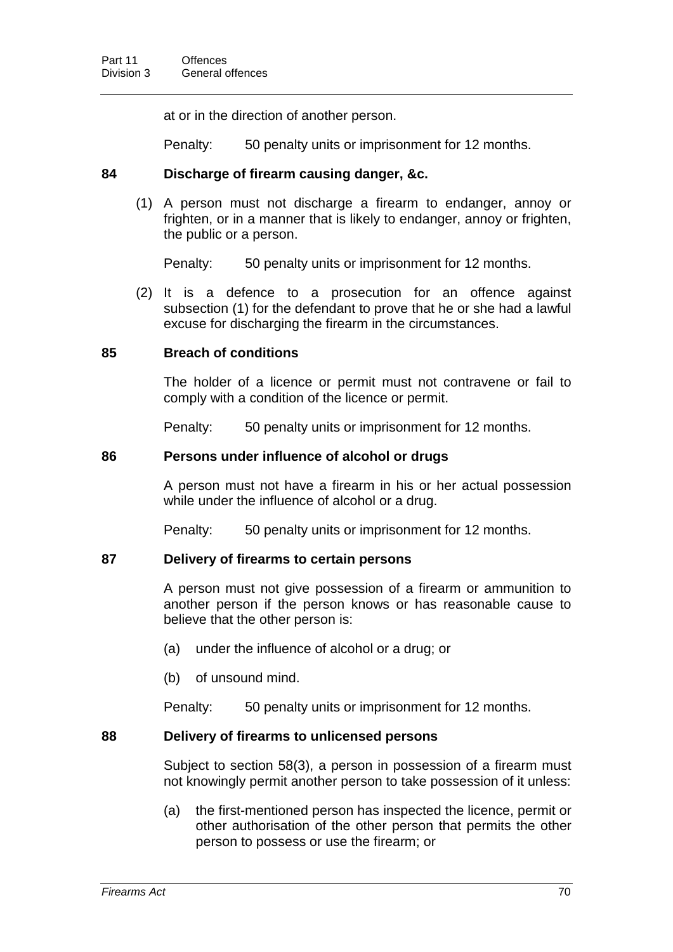at or in the direction of another person.

Penalty: 50 penalty units or imprisonment for 12 months.

# **84 Discharge of firearm causing danger, &c.**

(1) A person must not discharge a firearm to endanger, annoy or frighten, or in a manner that is likely to endanger, annoy or frighten, the public or a person.

Penalty: 50 penalty units or imprisonment for 12 months.

(2) It is a defence to a prosecution for an offence against subsection (1) for the defendant to prove that he or she had a lawful excuse for discharging the firearm in the circumstances.

# **85 Breach of conditions**

The holder of a licence or permit must not contravene or fail to comply with a condition of the licence or permit.

Penalty: 50 penalty units or imprisonment for 12 months.

#### **86 Persons under influence of alcohol or drugs**

A person must not have a firearm in his or her actual possession while under the influence of alcohol or a drug.

Penalty: 50 penalty units or imprisonment for 12 months.

# **87 Delivery of firearms to certain persons**

A person must not give possession of a firearm or ammunition to another person if the person knows or has reasonable cause to believe that the other person is:

- (a) under the influence of alcohol or a drug; or
- (b) of unsound mind.

Penalty: 50 penalty units or imprisonment for 12 months.

# **88 Delivery of firearms to unlicensed persons**

Subject to section 58(3), a person in possession of a firearm must not knowingly permit another person to take possession of it unless:

(a) the first-mentioned person has inspected the licence, permit or other authorisation of the other person that permits the other person to possess or use the firearm; or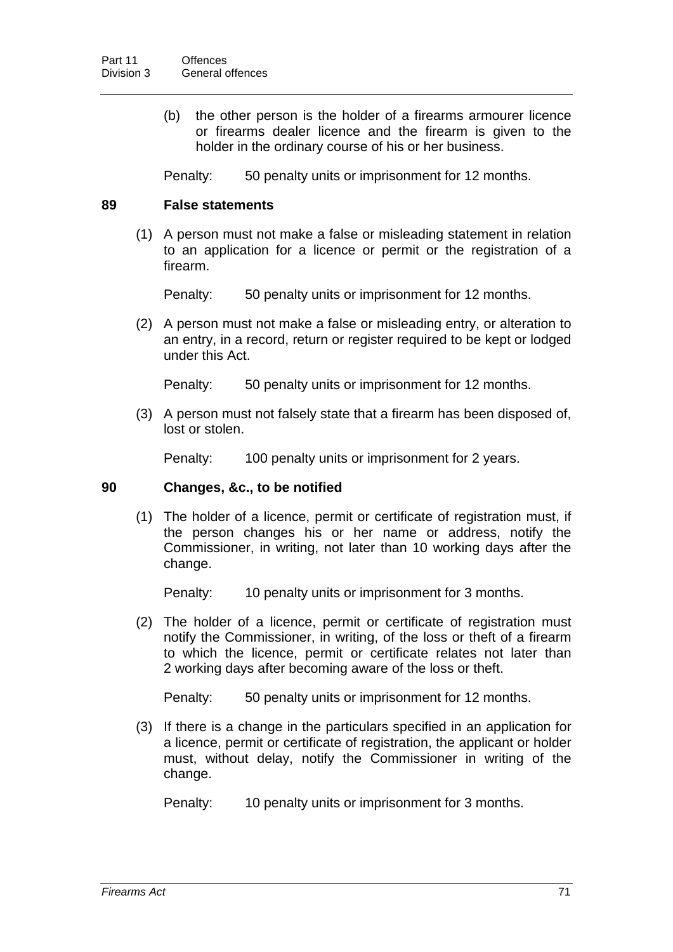(b) the other person is the holder of a firearms armourer licence or firearms dealer licence and the firearm is given to the holder in the ordinary course of his or her business.

Penalty: 50 penalty units or imprisonment for 12 months.

### **89 False statements**

(1) A person must not make a false or misleading statement in relation to an application for a licence or permit or the registration of a firearm.

Penalty: 50 penalty units or imprisonment for 12 months.

(2) A person must not make a false or misleading entry, or alteration to an entry, in a record, return or register required to be kept or lodged under this Act.

Penalty: 50 penalty units or imprisonment for 12 months.

(3) A person must not falsely state that a firearm has been disposed of, lost or stolen.

Penalty: 100 penalty units or imprisonment for 2 years.

#### **90 Changes, &c., to be notified**

(1) The holder of a licence, permit or certificate of registration must, if the person changes his or her name or address, notify the Commissioner, in writing, not later than 10 working days after the change.

Penalty: 10 penalty units or imprisonment for 3 months.

(2) The holder of a licence, permit or certificate of registration must notify the Commissioner, in writing, of the loss or theft of a firearm to which the licence, permit or certificate relates not later than 2 working days after becoming aware of the loss or theft.

Penalty: 50 penalty units or imprisonment for 12 months.

(3) If there is a change in the particulars specified in an application for a licence, permit or certificate of registration, the applicant or holder must, without delay, notify the Commissioner in writing of the change.

Penalty: 10 penalty units or imprisonment for 3 months.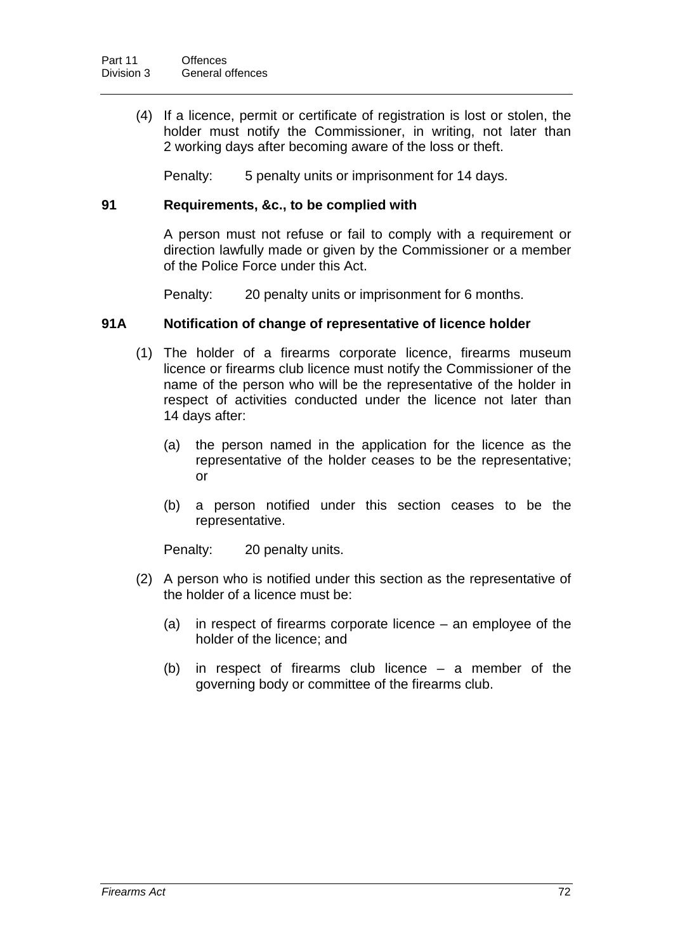(4) If a licence, permit or certificate of registration is lost or stolen, the holder must notify the Commissioner, in writing, not later than 2 working days after becoming aware of the loss or theft.

Penalty: 5 penalty units or imprisonment for 14 days.

### **91 Requirements, &c., to be complied with**

A person must not refuse or fail to comply with a requirement or direction lawfully made or given by the Commissioner or a member of the Police Force under this Act.

Penalty: 20 penalty units or imprisonment for 6 months.

#### **91A Notification of change of representative of licence holder**

- (1) The holder of a firearms corporate licence, firearms museum licence or firearms club licence must notify the Commissioner of the name of the person who will be the representative of the holder in respect of activities conducted under the licence not later than 14 days after:
	- (a) the person named in the application for the licence as the representative of the holder ceases to be the representative; or
	- (b) a person notified under this section ceases to be the representative.

Penalty: 20 penalty units.

- (2) A person who is notified under this section as the representative of the holder of a licence must be:
	- (a) in respect of firearms corporate licence an employee of the holder of the licence; and
	- (b) in respect of firearms club licence a member of the governing body or committee of the firearms club.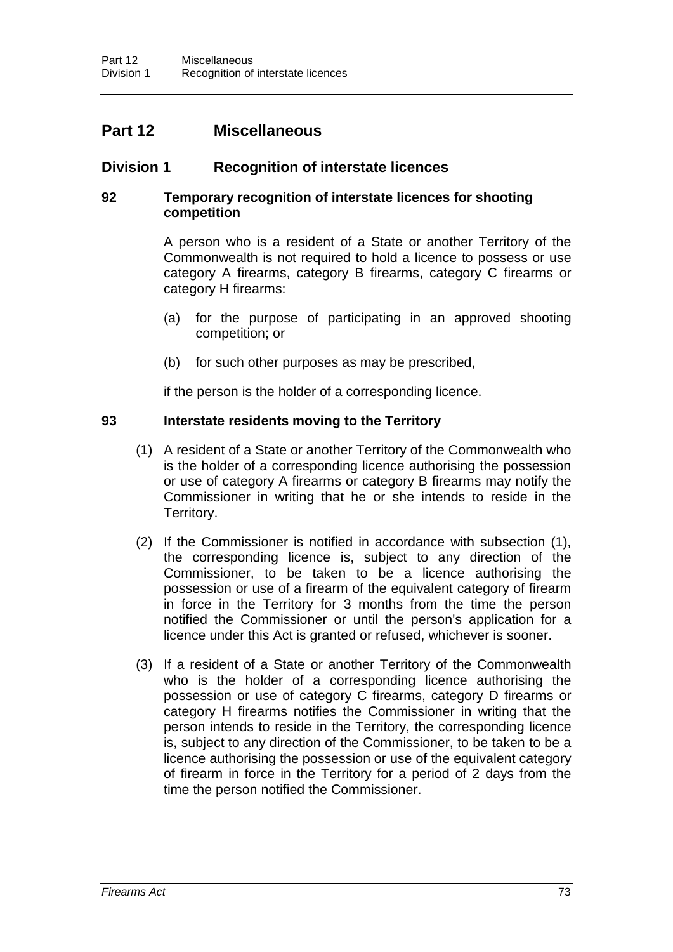# **Part 12 Miscellaneous**

# **Division 1 Recognition of interstate licences**

# **92 Temporary recognition of interstate licences for shooting competition**

A person who is a resident of a State or another Territory of the Commonwealth is not required to hold a licence to possess or use category A firearms, category B firearms, category C firearms or category H firearms:

- (a) for the purpose of participating in an approved shooting competition; or
- (b) for such other purposes as may be prescribed,

if the person is the holder of a corresponding licence.

# **93 Interstate residents moving to the Territory**

- (1) A resident of a State or another Territory of the Commonwealth who is the holder of a corresponding licence authorising the possession or use of category A firearms or category B firearms may notify the Commissioner in writing that he or she intends to reside in the Territory.
- (2) If the Commissioner is notified in accordance with subsection (1), the corresponding licence is, subject to any direction of the Commissioner, to be taken to be a licence authorising the possession or use of a firearm of the equivalent category of firearm in force in the Territory for 3 months from the time the person notified the Commissioner or until the person's application for a licence under this Act is granted or refused, whichever is sooner.
- (3) If a resident of a State or another Territory of the Commonwealth who is the holder of a corresponding licence authorising the possession or use of category C firearms, category D firearms or category H firearms notifies the Commissioner in writing that the person intends to reside in the Territory, the corresponding licence is, subject to any direction of the Commissioner, to be taken to be a licence authorising the possession or use of the equivalent category of firearm in force in the Territory for a period of 2 days from the time the person notified the Commissioner.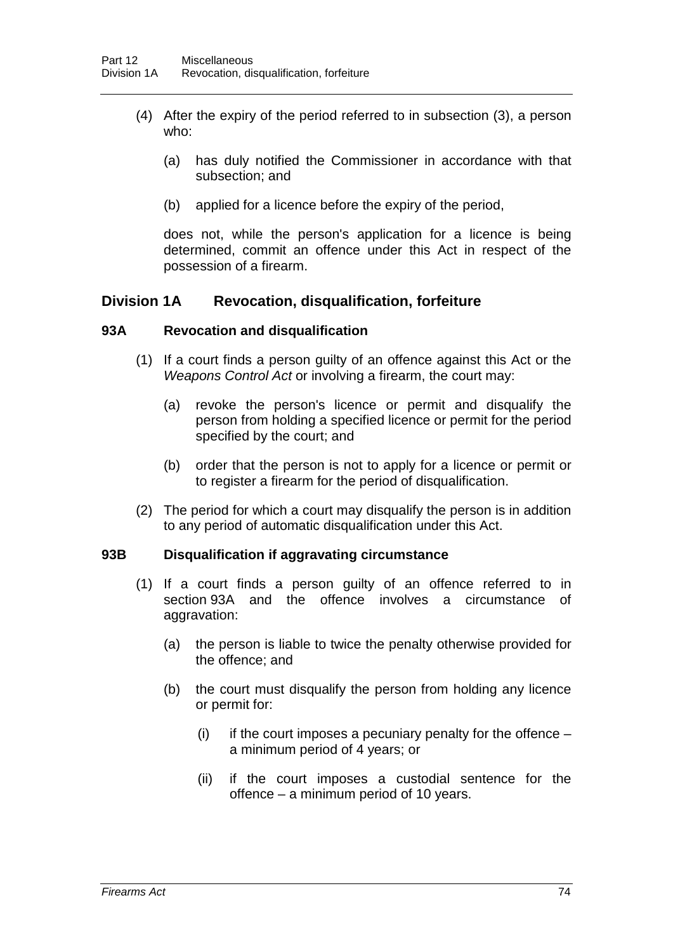- (4) After the expiry of the period referred to in subsection (3), a person who:
	- (a) has duly notified the Commissioner in accordance with that subsection; and
	- (b) applied for a licence before the expiry of the period,

does not, while the person's application for a licence is being determined, commit an offence under this Act in respect of the possession of a firearm.

# **Division 1A Revocation, disqualification, forfeiture**

#### **93A Revocation and disqualification**

- (1) If a court finds a person guilty of an offence against this Act or the *Weapons Control Act* or involving a firearm, the court may:
	- (a) revoke the person's licence or permit and disqualify the person from holding a specified licence or permit for the period specified by the court; and
	- (b) order that the person is not to apply for a licence or permit or to register a firearm for the period of disqualification.
- (2) The period for which a court may disqualify the person is in addition to any period of automatic disqualification under this Act.

#### **93B Disqualification if aggravating circumstance**

- (1) If a court finds a person guilty of an offence referred to in section 93A and the offence involves a circumstance of aggravation:
	- (a) the person is liable to twice the penalty otherwise provided for the offence; and
	- (b) the court must disqualify the person from holding any licence or permit for:
		- (i) if the court imposes a pecuniary penalty for the offence  $$ a minimum period of 4 years; or
		- (ii) if the court imposes a custodial sentence for the offence – a minimum period of 10 years.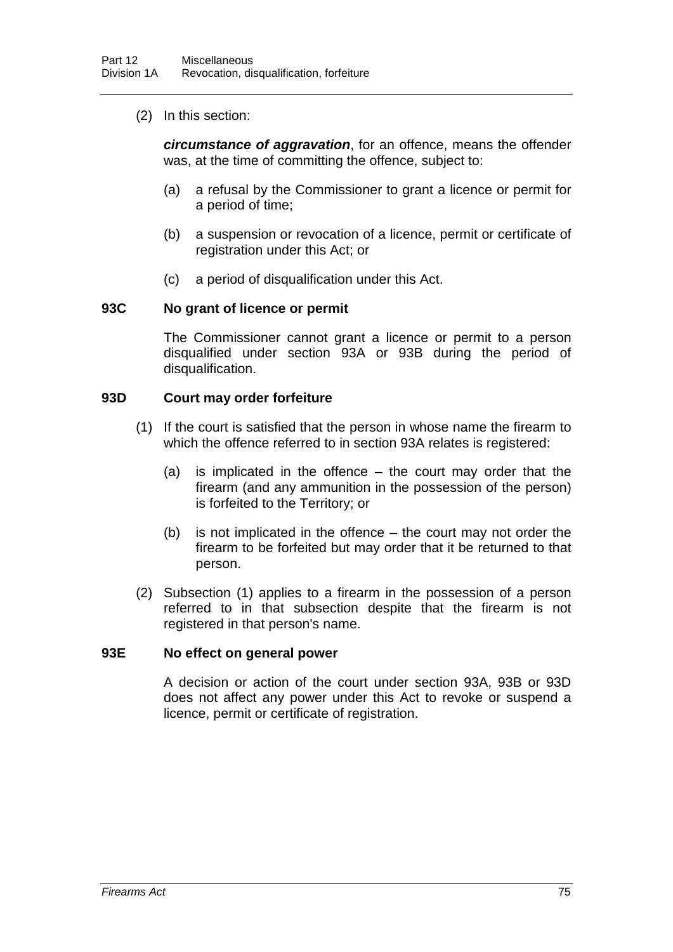(2) In this section:

*circumstance of aggravation*, for an offence, means the offender was, at the time of committing the offence, subject to:

- (a) a refusal by the Commissioner to grant a licence or permit for a period of time;
- (b) a suspension or revocation of a licence, permit or certificate of registration under this Act; or
- (c) a period of disqualification under this Act.

#### **93C No grant of licence or permit**

The Commissioner cannot grant a licence or permit to a person disqualified under section 93A or 93B during the period of disqualification.

#### **93D Court may order forfeiture**

- (1) If the court is satisfied that the person in whose name the firearm to which the offence referred to in section 93A relates is registered:
	- (a) is implicated in the offence the court may order that the firearm (and any ammunition in the possession of the person) is forfeited to the Territory; or
	- (b) is not implicated in the offence the court may not order the firearm to be forfeited but may order that it be returned to that person.
- (2) Subsection (1) applies to a firearm in the possession of a person referred to in that subsection despite that the firearm is not registered in that person's name.

#### **93E No effect on general power**

A decision or action of the court under section 93A, 93B or 93D does not affect any power under this Act to revoke or suspend a licence, permit or certificate of registration.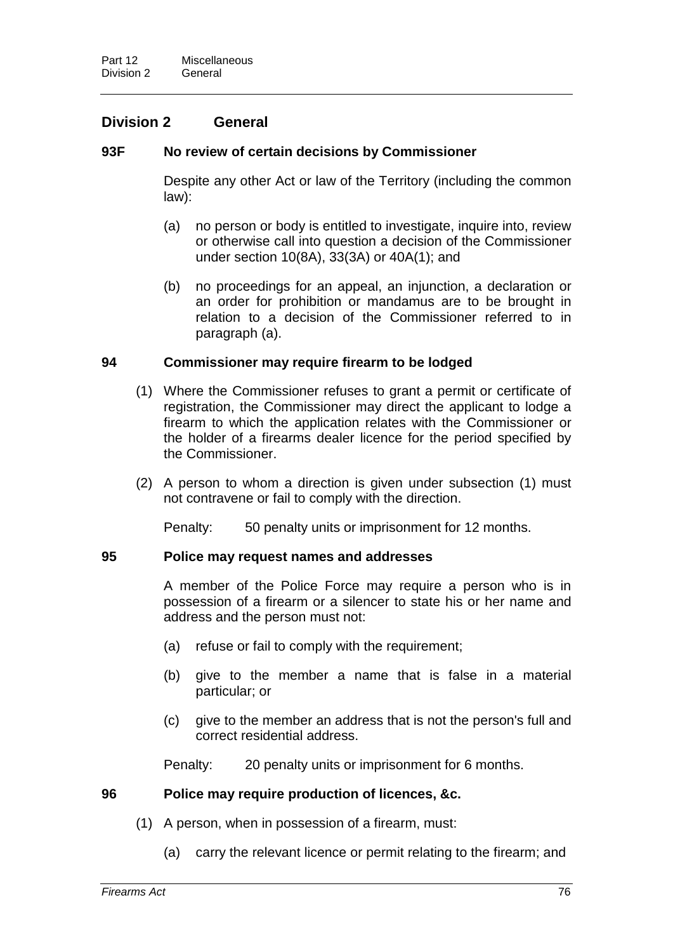# **Division 2 General**

# **93F No review of certain decisions by Commissioner**

Despite any other Act or law of the Territory (including the common law):

- (a) no person or body is entitled to investigate, inquire into, review or otherwise call into question a decision of the Commissioner under section 10(8A), 33(3A) or 40A(1); and
- (b) no proceedings for an appeal, an injunction, a declaration or an order for prohibition or mandamus are to be brought in relation to a decision of the Commissioner referred to in paragraph (a).

# **94 Commissioner may require firearm to be lodged**

- (1) Where the Commissioner refuses to grant a permit or certificate of registration, the Commissioner may direct the applicant to lodge a firearm to which the application relates with the Commissioner or the holder of a firearms dealer licence for the period specified by the Commissioner.
- (2) A person to whom a direction is given under subsection (1) must not contravene or fail to comply with the direction.

Penalty: 50 penalty units or imprisonment for 12 months.

#### **95 Police may request names and addresses**

A member of the Police Force may require a person who is in possession of a firearm or a silencer to state his or her name and address and the person must not:

- (a) refuse or fail to comply with the requirement;
- (b) give to the member a name that is false in a material particular; or
- (c) give to the member an address that is not the person's full and correct residential address.

Penalty: 20 penalty units or imprisonment for 6 months.

# **96 Police may require production of licences, &c.**

- (1) A person, when in possession of a firearm, must:
	- (a) carry the relevant licence or permit relating to the firearm; and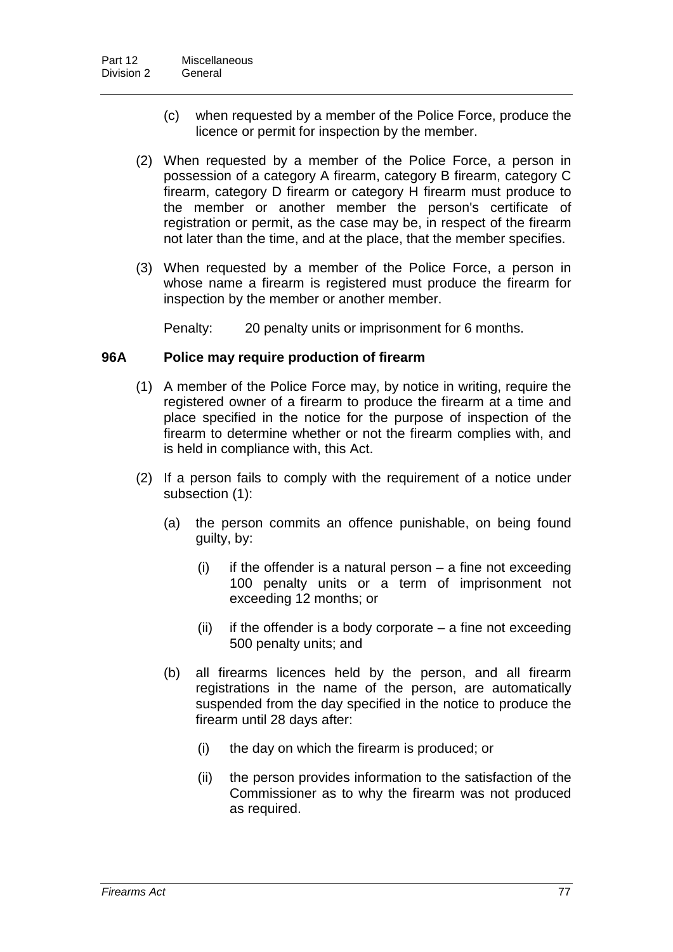- (c) when requested by a member of the Police Force, produce the licence or permit for inspection by the member.
- (2) When requested by a member of the Police Force, a person in possession of a category A firearm, category B firearm, category C firearm, category D firearm or category H firearm must produce to the member or another member the person's certificate of registration or permit, as the case may be, in respect of the firearm not later than the time, and at the place, that the member specifies.
- (3) When requested by a member of the Police Force, a person in whose name a firearm is registered must produce the firearm for inspection by the member or another member.

Penalty: 20 penalty units or imprisonment for 6 months.

#### **96A Police may require production of firearm**

- (1) A member of the Police Force may, by notice in writing, require the registered owner of a firearm to produce the firearm at a time and place specified in the notice for the purpose of inspection of the firearm to determine whether or not the firearm complies with, and is held in compliance with, this Act.
- (2) If a person fails to comply with the requirement of a notice under subsection (1):
	- (a) the person commits an offence punishable, on being found guilty, by:
		- $(i)$  if the offender is a natural person a fine not exceeding 100 penalty units or a term of imprisonment not exceeding 12 months; or
		- (ii) if the offender is a body corporate  $-$  a fine not exceeding 500 penalty units; and
	- (b) all firearms licences held by the person, and all firearm registrations in the name of the person, are automatically suspended from the day specified in the notice to produce the firearm until 28 days after:
		- (i) the day on which the firearm is produced; or
		- (ii) the person provides information to the satisfaction of the Commissioner as to why the firearm was not produced as required.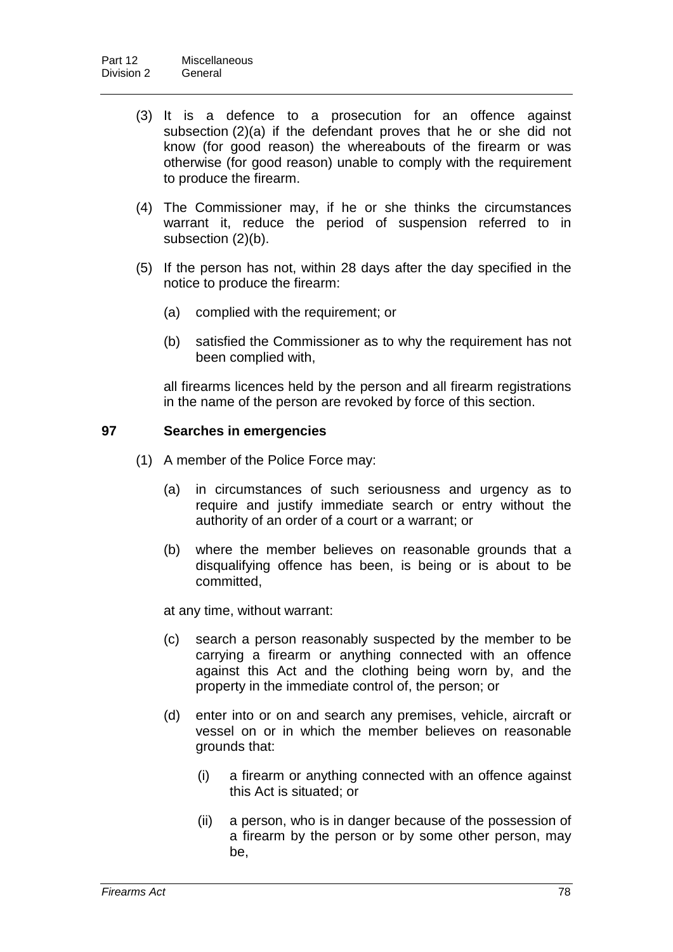- (3) It is a defence to a prosecution for an offence against subsection (2)(a) if the defendant proves that he or she did not know (for good reason) the whereabouts of the firearm or was otherwise (for good reason) unable to comply with the requirement to produce the firearm.
- (4) The Commissioner may, if he or she thinks the circumstances warrant it, reduce the period of suspension referred to in subsection (2)(b).
- (5) If the person has not, within 28 days after the day specified in the notice to produce the firearm:
	- (a) complied with the requirement; or
	- (b) satisfied the Commissioner as to why the requirement has not been complied with,

all firearms licences held by the person and all firearm registrations in the name of the person are revoked by force of this section.

#### **97 Searches in emergencies**

- (1) A member of the Police Force may:
	- (a) in circumstances of such seriousness and urgency as to require and justify immediate search or entry without the authority of an order of a court or a warrant; or
	- (b) where the member believes on reasonable grounds that a disqualifying offence has been, is being or is about to be committed,

at any time, without warrant:

- (c) search a person reasonably suspected by the member to be carrying a firearm or anything connected with an offence against this Act and the clothing being worn by, and the property in the immediate control of, the person; or
- (d) enter into or on and search any premises, vehicle, aircraft or vessel on or in which the member believes on reasonable grounds that:
	- (i) a firearm or anything connected with an offence against this Act is situated; or
	- (ii) a person, who is in danger because of the possession of a firearm by the person or by some other person, may be,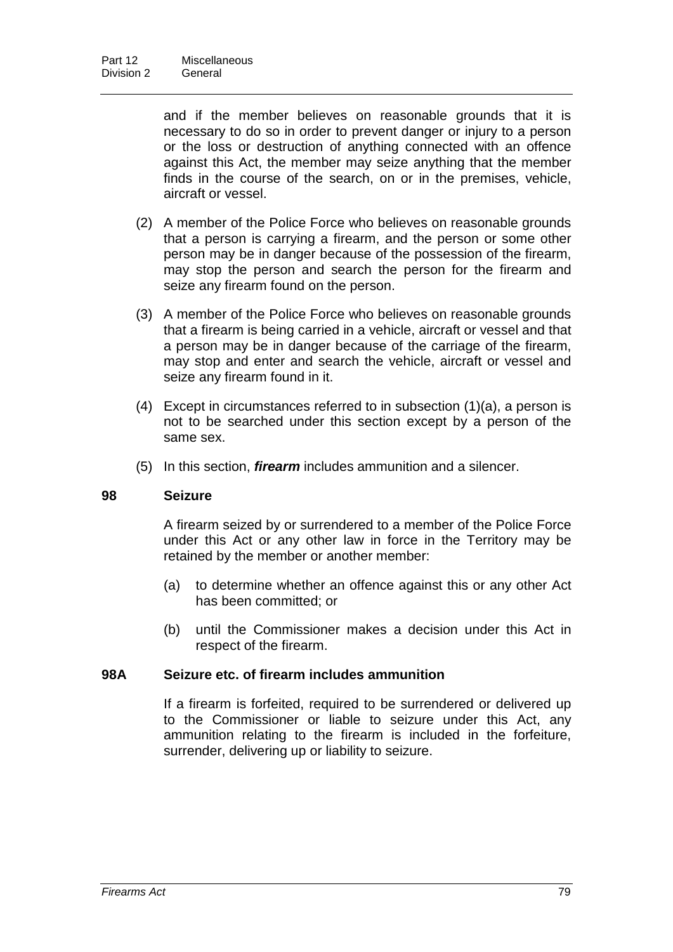and if the member believes on reasonable grounds that it is necessary to do so in order to prevent danger or injury to a person or the loss or destruction of anything connected with an offence against this Act, the member may seize anything that the member finds in the course of the search, on or in the premises, vehicle, aircraft or vessel.

- (2) A member of the Police Force who believes on reasonable grounds that a person is carrying a firearm, and the person or some other person may be in danger because of the possession of the firearm, may stop the person and search the person for the firearm and seize any firearm found on the person.
- (3) A member of the Police Force who believes on reasonable grounds that a firearm is being carried in a vehicle, aircraft or vessel and that a person may be in danger because of the carriage of the firearm, may stop and enter and search the vehicle, aircraft or vessel and seize any firearm found in it.
- $(4)$  Except in circumstances referred to in subsection  $(1)(a)$ , a person is not to be searched under this section except by a person of the same sex.
- (5) In this section, *firearm* includes ammunition and a silencer.

# **98 Seizure**

A firearm seized by or surrendered to a member of the Police Force under this Act or any other law in force in the Territory may be retained by the member or another member:

- (a) to determine whether an offence against this or any other Act has been committed; or
- (b) until the Commissioner makes a decision under this Act in respect of the firearm.

### **98A Seizure etc. of firearm includes ammunition**

If a firearm is forfeited, required to be surrendered or delivered up to the Commissioner or liable to seizure under this Act, any ammunition relating to the firearm is included in the forfeiture, surrender, delivering up or liability to seizure.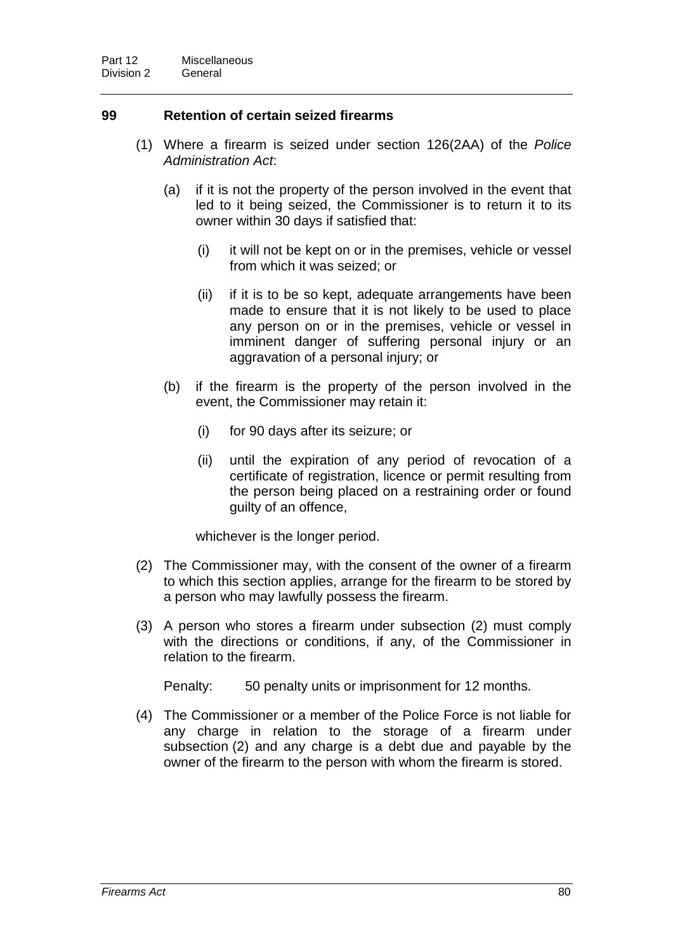# **99 Retention of certain seized firearms**

- (1) Where a firearm is seized under section 126(2AA) of the *Police Administration Act*:
	- (a) if it is not the property of the person involved in the event that led to it being seized, the Commissioner is to return it to its owner within 30 days if satisfied that:
		- (i) it will not be kept on or in the premises, vehicle or vessel from which it was seized; or
		- (ii) if it is to be so kept, adequate arrangements have been made to ensure that it is not likely to be used to place any person on or in the premises, vehicle or vessel in imminent danger of suffering personal injury or an aggravation of a personal injury; or
	- (b) if the firearm is the property of the person involved in the event, the Commissioner may retain it:
		- (i) for 90 days after its seizure; or
		- (ii) until the expiration of any period of revocation of a certificate of registration, licence or permit resulting from the person being placed on a restraining order or found guilty of an offence,

whichever is the longer period.

- (2) The Commissioner may, with the consent of the owner of a firearm to which this section applies, arrange for the firearm to be stored by a person who may lawfully possess the firearm.
- (3) A person who stores a firearm under subsection (2) must comply with the directions or conditions, if any, of the Commissioner in relation to the firearm.

Penalty: 50 penalty units or imprisonment for 12 months.

(4) The Commissioner or a member of the Police Force is not liable for any charge in relation to the storage of a firearm under subsection (2) and any charge is a debt due and payable by the owner of the firearm to the person with whom the firearm is stored.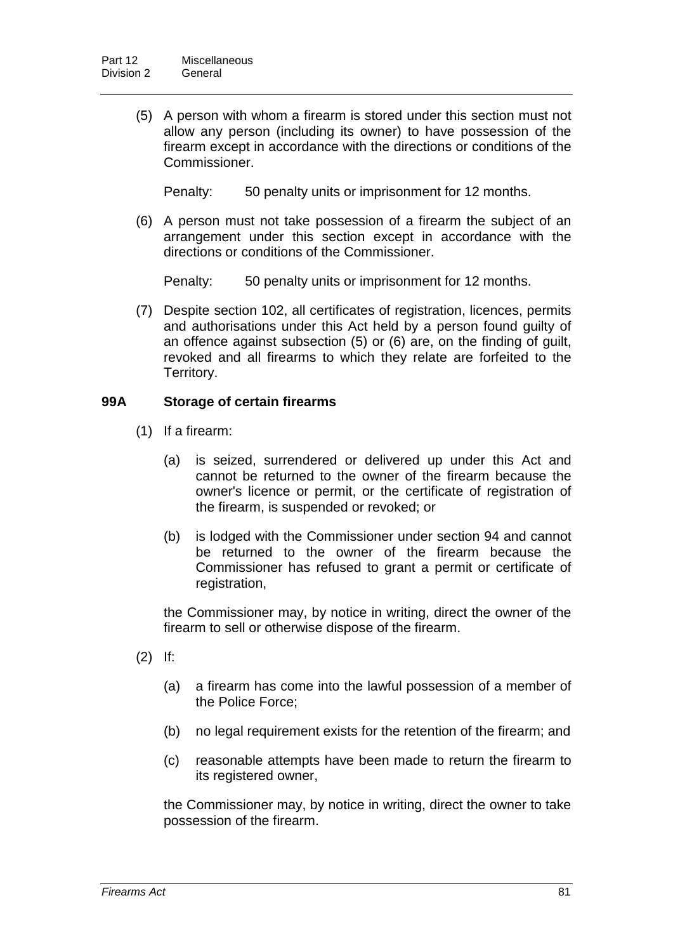(5) A person with whom a firearm is stored under this section must not allow any person (including its owner) to have possession of the firearm except in accordance with the directions or conditions of the Commissioner.

Penalty: 50 penalty units or imprisonment for 12 months.

(6) A person must not take possession of a firearm the subject of an arrangement under this section except in accordance with the directions or conditions of the Commissioner.

Penalty: 50 penalty units or imprisonment for 12 months.

(7) Despite section 102, all certificates of registration, licences, permits and authorisations under this Act held by a person found guilty of an offence against subsection (5) or (6) are, on the finding of guilt, revoked and all firearms to which they relate are forfeited to the Territory.

# **99A Storage of certain firearms**

- (1) If a firearm:
	- (a) is seized, surrendered or delivered up under this Act and cannot be returned to the owner of the firearm because the owner's licence or permit, or the certificate of registration of the firearm, is suspended or revoked; or
	- (b) is lodged with the Commissioner under section 94 and cannot be returned to the owner of the firearm because the Commissioner has refused to grant a permit or certificate of registration,

the Commissioner may, by notice in writing, direct the owner of the firearm to sell or otherwise dispose of the firearm.

- (2) If:
	- (a) a firearm has come into the lawful possession of a member of the Police Force;
	- (b) no legal requirement exists for the retention of the firearm; and
	- (c) reasonable attempts have been made to return the firearm to its registered owner,

the Commissioner may, by notice in writing, direct the owner to take possession of the firearm.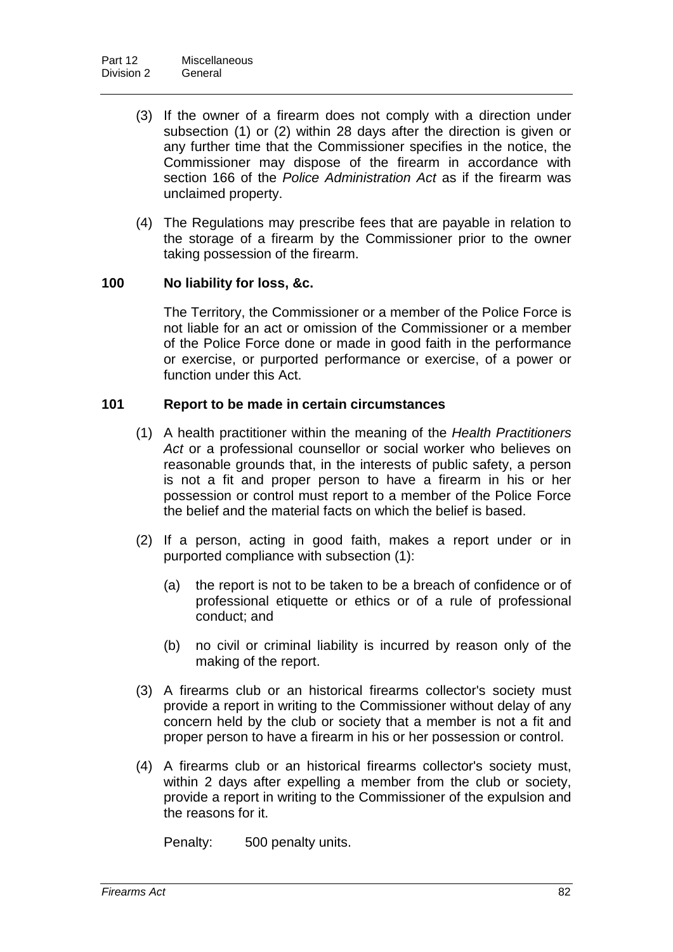- (3) If the owner of a firearm does not comply with a direction under subsection (1) or (2) within 28 days after the direction is given or any further time that the Commissioner specifies in the notice, the Commissioner may dispose of the firearm in accordance with section 166 of the *Police Administration Act* as if the firearm was unclaimed property.
- (4) The Regulations may prescribe fees that are payable in relation to the storage of a firearm by the Commissioner prior to the owner taking possession of the firearm.

# **100 No liability for loss, &c.**

The Territory, the Commissioner or a member of the Police Force is not liable for an act or omission of the Commissioner or a member of the Police Force done or made in good faith in the performance or exercise, or purported performance or exercise, of a power or function under this Act.

#### **101 Report to be made in certain circumstances**

- (1) A health practitioner within the meaning of the *Health Practitioners Act* or a professional counsellor or social worker who believes on reasonable grounds that, in the interests of public safety, a person is not a fit and proper person to have a firearm in his or her possession or control must report to a member of the Police Force the belief and the material facts on which the belief is based.
- (2) If a person, acting in good faith, makes a report under or in purported compliance with subsection (1):
	- (a) the report is not to be taken to be a breach of confidence or of professional etiquette or ethics or of a rule of professional conduct; and
	- (b) no civil or criminal liability is incurred by reason only of the making of the report.
- (3) A firearms club or an historical firearms collector's society must provide a report in writing to the Commissioner without delay of any concern held by the club or society that a member is not a fit and proper person to have a firearm in his or her possession or control.
- (4) A firearms club or an historical firearms collector's society must, within 2 days after expelling a member from the club or society, provide a report in writing to the Commissioner of the expulsion and the reasons for it.

Penalty: 500 penalty units.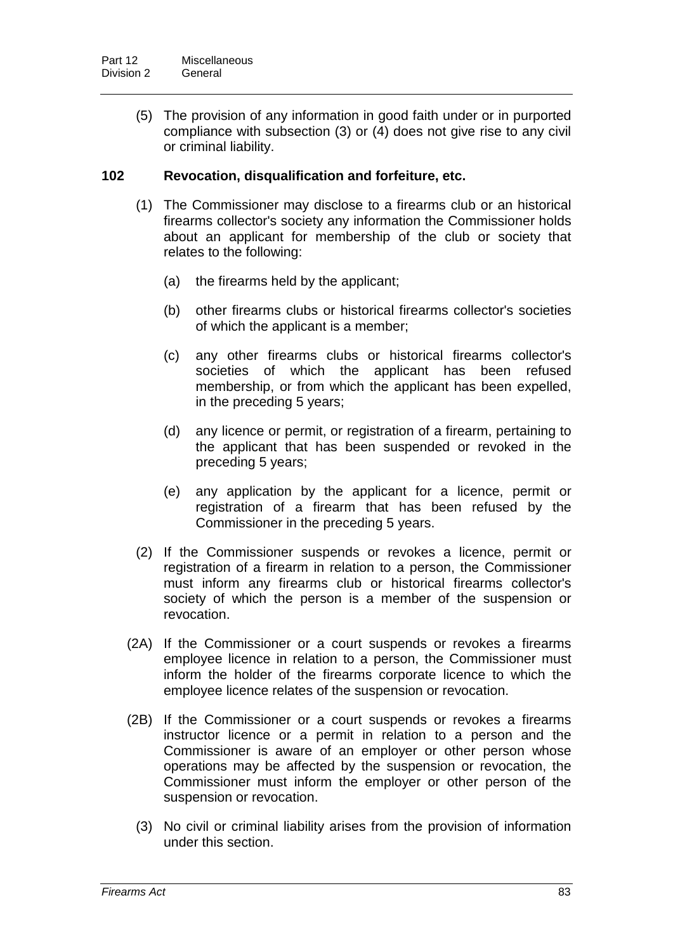(5) The provision of any information in good faith under or in purported compliance with subsection (3) or (4) does not give rise to any civil or criminal liability.

# **102 Revocation, disqualification and forfeiture, etc.**

- (1) The Commissioner may disclose to a firearms club or an historical firearms collector's society any information the Commissioner holds about an applicant for membership of the club or society that relates to the following:
	- (a) the firearms held by the applicant;
	- (b) other firearms clubs or historical firearms collector's societies of which the applicant is a member;
	- (c) any other firearms clubs or historical firearms collector's societies of which the applicant has been refused membership, or from which the applicant has been expelled, in the preceding 5 years;
	- (d) any licence or permit, or registration of a firearm, pertaining to the applicant that has been suspended or revoked in the preceding 5 years;
	- (e) any application by the applicant for a licence, permit or registration of a firearm that has been refused by the Commissioner in the preceding 5 years.
- (2) If the Commissioner suspends or revokes a licence, permit or registration of a firearm in relation to a person, the Commissioner must inform any firearms club or historical firearms collector's society of which the person is a member of the suspension or revocation.
- (2A) If the Commissioner or a court suspends or revokes a firearms employee licence in relation to a person, the Commissioner must inform the holder of the firearms corporate licence to which the employee licence relates of the suspension or revocation.
- (2B) If the Commissioner or a court suspends or revokes a firearms instructor licence or a permit in relation to a person and the Commissioner is aware of an employer or other person whose operations may be affected by the suspension or revocation, the Commissioner must inform the employer or other person of the suspension or revocation.
	- (3) No civil or criminal liability arises from the provision of information under this section.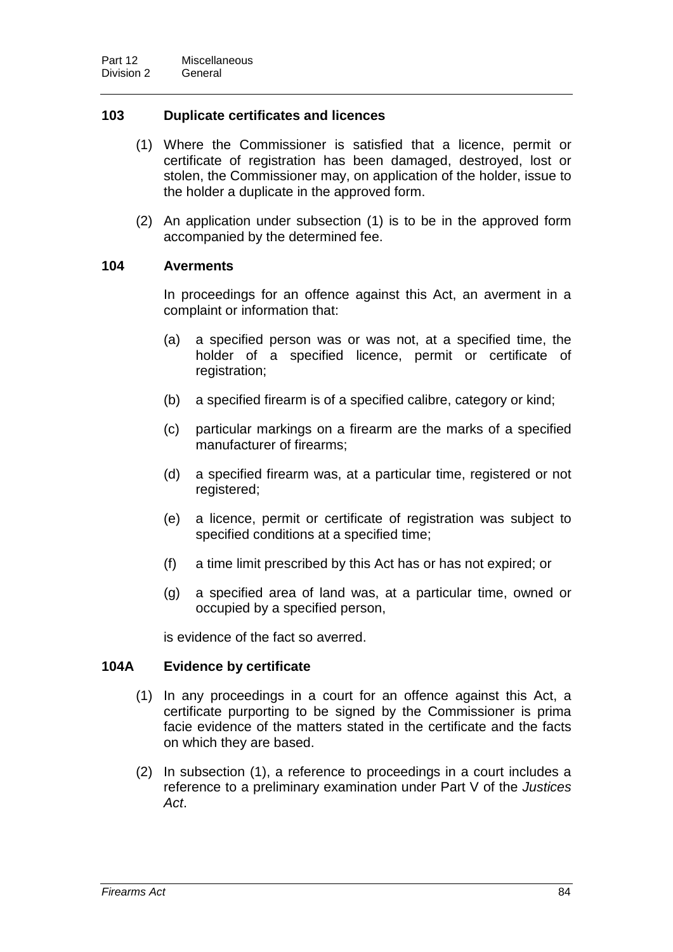# **103 Duplicate certificates and licences**

- (1) Where the Commissioner is satisfied that a licence, permit or certificate of registration has been damaged, destroyed, lost or stolen, the Commissioner may, on application of the holder, issue to the holder a duplicate in the approved form.
- (2) An application under subsection (1) is to be in the approved form accompanied by the determined fee.

#### **104 Averments**

In proceedings for an offence against this Act, an averment in a complaint or information that:

- (a) a specified person was or was not, at a specified time, the holder of a specified licence, permit or certificate of registration;
- (b) a specified firearm is of a specified calibre, category or kind;
- (c) particular markings on a firearm are the marks of a specified manufacturer of firearms;
- (d) a specified firearm was, at a particular time, registered or not registered;
- (e) a licence, permit or certificate of registration was subject to specified conditions at a specified time;
- (f) a time limit prescribed by this Act has or has not expired; or
- (g) a specified area of land was, at a particular time, owned or occupied by a specified person,

is evidence of the fact so averred.

#### **104A Evidence by certificate**

- (1) In any proceedings in a court for an offence against this Act, a certificate purporting to be signed by the Commissioner is prima facie evidence of the matters stated in the certificate and the facts on which they are based.
- (2) In subsection (1), a reference to proceedings in a court includes a reference to a preliminary examination under Part V of the *Justices Act*.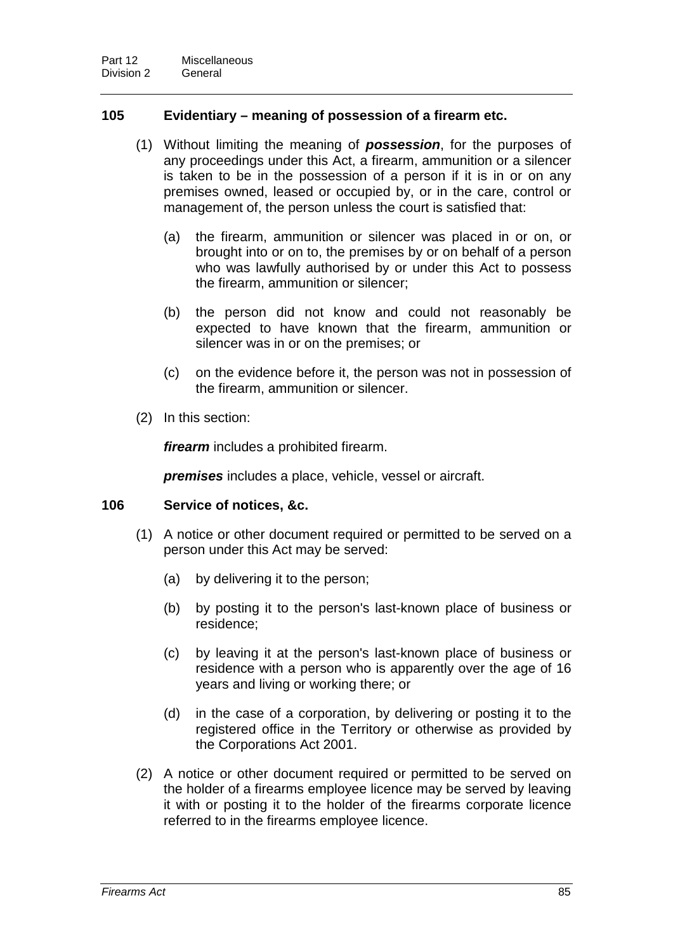# **105 Evidentiary – meaning of possession of a firearm etc.**

- (1) Without limiting the meaning of *possession*, for the purposes of any proceedings under this Act, a firearm, ammunition or a silencer is taken to be in the possession of a person if it is in or on any premises owned, leased or occupied by, or in the care, control or management of, the person unless the court is satisfied that:
	- (a) the firearm, ammunition or silencer was placed in or on, or brought into or on to, the premises by or on behalf of a person who was lawfully authorised by or under this Act to possess the firearm, ammunition or silencer;
	- (b) the person did not know and could not reasonably be expected to have known that the firearm, ammunition or silencer was in or on the premises; or
	- (c) on the evidence before it, the person was not in possession of the firearm, ammunition or silencer.
- (2) In this section:

*firearm* includes a prohibited firearm.

*premises* includes a place, vehicle, vessel or aircraft.

#### **106 Service of notices, &c.**

- (1) A notice or other document required or permitted to be served on a person under this Act may be served:
	- (a) by delivering it to the person;
	- (b) by posting it to the person's last-known place of business or residence;
	- (c) by leaving it at the person's last-known place of business or residence with a person who is apparently over the age of 16 years and living or working there; or
	- (d) in the case of a corporation, by delivering or posting it to the registered office in the Territory or otherwise as provided by the Corporations Act 2001.
- (2) A notice or other document required or permitted to be served on the holder of a firearms employee licence may be served by leaving it with or posting it to the holder of the firearms corporate licence referred to in the firearms employee licence.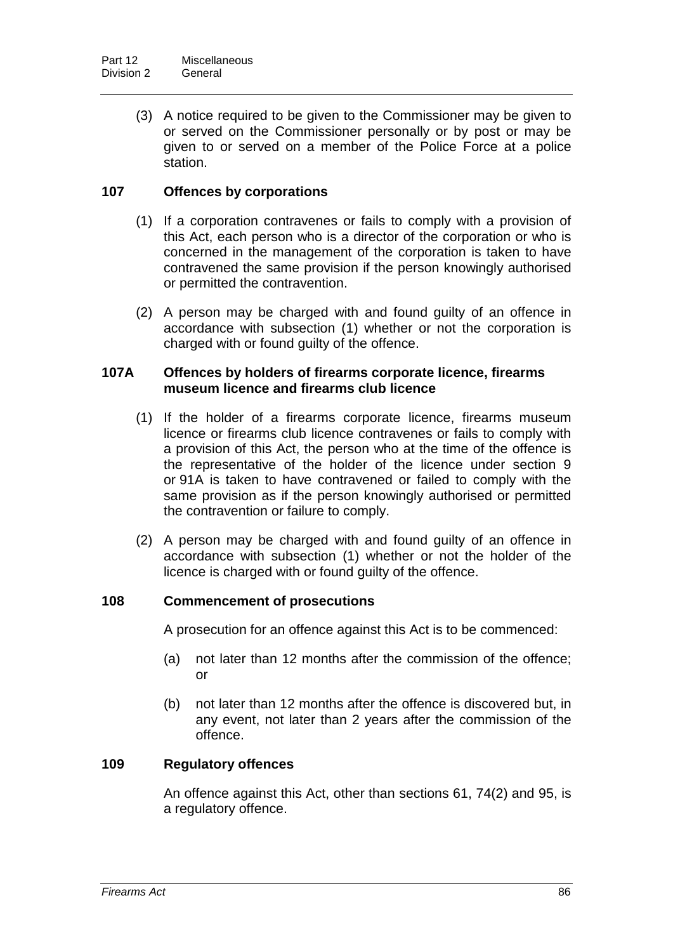(3) A notice required to be given to the Commissioner may be given to or served on the Commissioner personally or by post or may be given to or served on a member of the Police Force at a police station.

# **107 Offences by corporations**

- (1) If a corporation contravenes or fails to comply with a provision of this Act, each person who is a director of the corporation or who is concerned in the management of the corporation is taken to have contravened the same provision if the person knowingly authorised or permitted the contravention.
- (2) A person may be charged with and found guilty of an offence in accordance with subsection (1) whether or not the corporation is charged with or found guilty of the offence.

# **107A Offences by holders of firearms corporate licence, firearms museum licence and firearms club licence**

- (1) If the holder of a firearms corporate licence, firearms museum licence or firearms club licence contravenes or fails to comply with a provision of this Act, the person who at the time of the offence is the representative of the holder of the licence under section 9 or 91A is taken to have contravened or failed to comply with the same provision as if the person knowingly authorised or permitted the contravention or failure to comply.
- (2) A person may be charged with and found guilty of an offence in accordance with subsection (1) whether or not the holder of the licence is charged with or found guilty of the offence.

# **108 Commencement of prosecutions**

A prosecution for an offence against this Act is to be commenced:

- (a) not later than 12 months after the commission of the offence; or
- (b) not later than 12 months after the offence is discovered but, in any event, not later than 2 years after the commission of the offence.

# **109 Regulatory offences**

An offence against this Act, other than sections 61, 74(2) and 95, is a regulatory offence.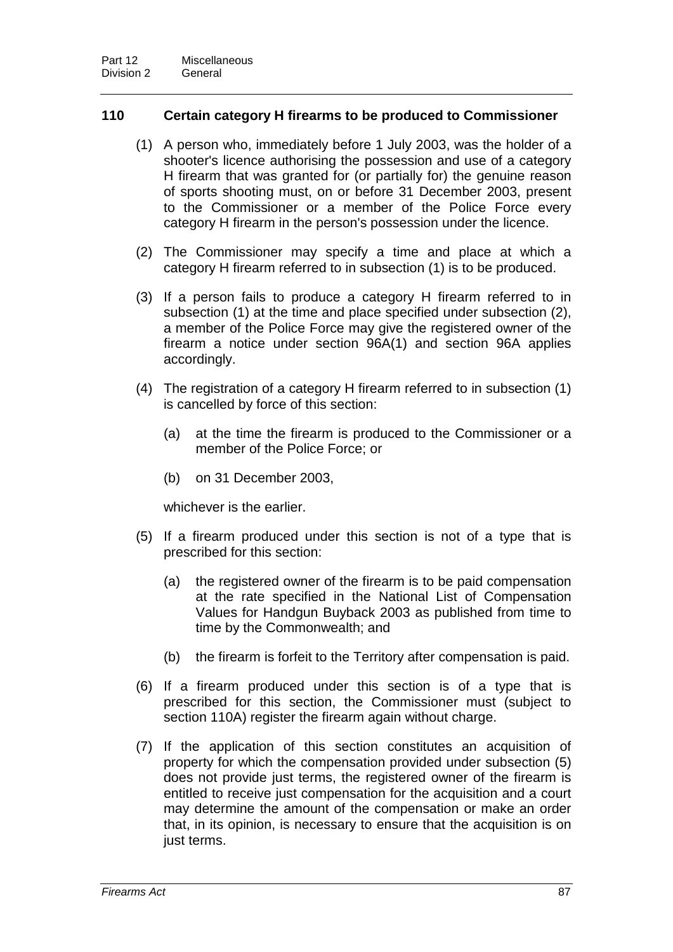# **110 Certain category H firearms to be produced to Commissioner**

- (1) A person who, immediately before 1 July 2003, was the holder of a shooter's licence authorising the possession and use of a category H firearm that was granted for (or partially for) the genuine reason of sports shooting must, on or before 31 December 2003, present to the Commissioner or a member of the Police Force every category H firearm in the person's possession under the licence.
- (2) The Commissioner may specify a time and place at which a category H firearm referred to in subsection (1) is to be produced.
- (3) If a person fails to produce a category H firearm referred to in subsection (1) at the time and place specified under subsection (2), a member of the Police Force may give the registered owner of the firearm a notice under section 96A(1) and section 96A applies accordingly.
- (4) The registration of a category H firearm referred to in subsection (1) is cancelled by force of this section:
	- (a) at the time the firearm is produced to the Commissioner or a member of the Police Force; or
	- (b) on 31 December 2003,

whichever is the earlier.

- (5) If a firearm produced under this section is not of a type that is prescribed for this section:
	- (a) the registered owner of the firearm is to be paid compensation at the rate specified in the National List of Compensation Values for Handgun Buyback 2003 as published from time to time by the Commonwealth; and
	- (b) the firearm is forfeit to the Territory after compensation is paid.
- (6) If a firearm produced under this section is of a type that is prescribed for this section, the Commissioner must (subject to section 110A) register the firearm again without charge.
- (7) If the application of this section constitutes an acquisition of property for which the compensation provided under subsection (5) does not provide just terms, the registered owner of the firearm is entitled to receive just compensation for the acquisition and a court may determine the amount of the compensation or make an order that, in its opinion, is necessary to ensure that the acquisition is on just terms.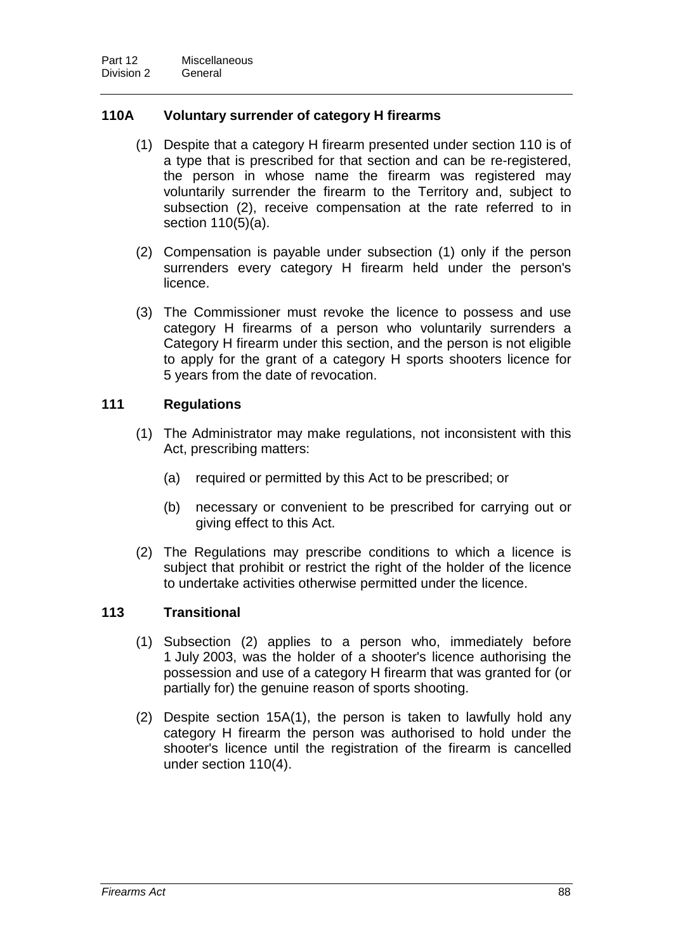# **110A Voluntary surrender of category H firearms**

- (1) Despite that a category H firearm presented under section 110 is of a type that is prescribed for that section and can be re-registered, the person in whose name the firearm was registered may voluntarily surrender the firearm to the Territory and, subject to subsection (2), receive compensation at the rate referred to in section 110(5)(a).
- (2) Compensation is payable under subsection (1) only if the person surrenders every category H firearm held under the person's licence.
- (3) The Commissioner must revoke the licence to possess and use category H firearms of a person who voluntarily surrenders a Category H firearm under this section, and the person is not eligible to apply for the grant of a category H sports shooters licence for 5 years from the date of revocation.

# **111 Regulations**

- (1) The Administrator may make regulations, not inconsistent with this Act, prescribing matters:
	- (a) required or permitted by this Act to be prescribed; or
	- (b) necessary or convenient to be prescribed for carrying out or giving effect to this Act.
- (2) The Regulations may prescribe conditions to which a licence is subject that prohibit or restrict the right of the holder of the licence to undertake activities otherwise permitted under the licence.

# **113 Transitional**

- (1) Subsection (2) applies to a person who, immediately before 1 July 2003, was the holder of a shooter's licence authorising the possession and use of a category H firearm that was granted for (or partially for) the genuine reason of sports shooting.
- (2) Despite section 15A(1), the person is taken to lawfully hold any category H firearm the person was authorised to hold under the shooter's licence until the registration of the firearm is cancelled under section 110(4).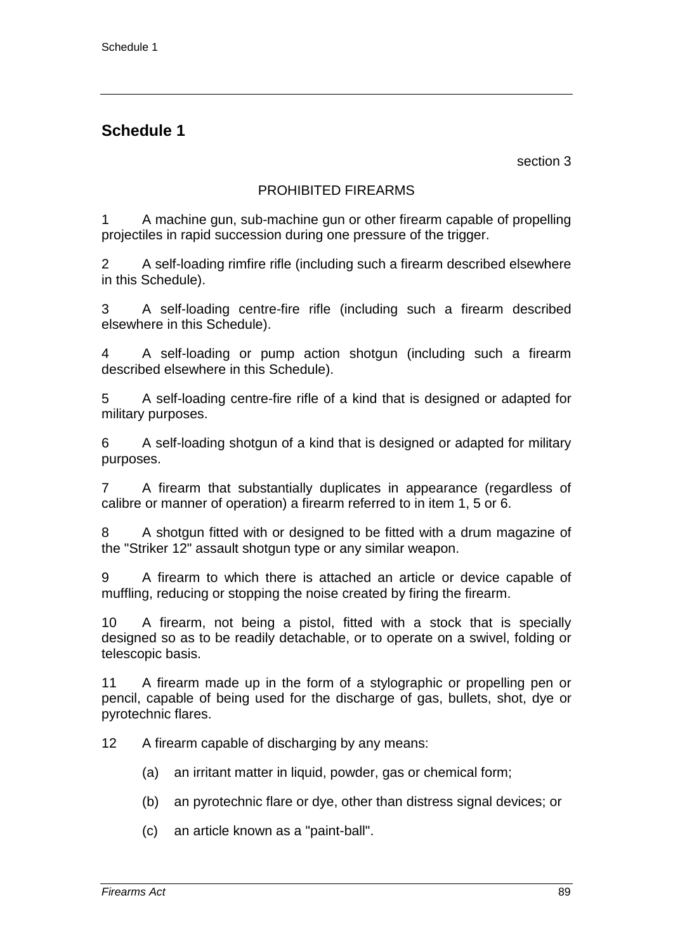section 3

# PROHIBITED FIREARMS

1 A machine gun, sub-machine gun or other firearm capable of propelling projectiles in rapid succession during one pressure of the trigger.

2 A self-loading rimfire rifle (including such a firearm described elsewhere in this Schedule).

3 A self-loading centre-fire rifle (including such a firearm described elsewhere in this Schedule).

4 A self-loading or pump action shotgun (including such a firearm described elsewhere in this Schedule).

5 A self-loading centre-fire rifle of a kind that is designed or adapted for military purposes.

6 A self-loading shotgun of a kind that is designed or adapted for military purposes.

7 A firearm that substantially duplicates in appearance (regardless of calibre or manner of operation) a firearm referred to in item 1, 5 or 6.

8 A shotgun fitted with or designed to be fitted with a drum magazine of the "Striker 12" assault shotgun type or any similar weapon.

9 A firearm to which there is attached an article or device capable of muffling, reducing or stopping the noise created by firing the firearm.

10 A firearm, not being a pistol, fitted with a stock that is specially designed so as to be readily detachable, or to operate on a swivel, folding or telescopic basis.

11 A firearm made up in the form of a stylographic or propelling pen or pencil, capable of being used for the discharge of gas, bullets, shot, dye or pyrotechnic flares.

12 A firearm capable of discharging by any means:

- (a) an irritant matter in liquid, powder, gas or chemical form;
- (b) an pyrotechnic flare or dye, other than distress signal devices; or
- (c) an article known as a "paint-ball".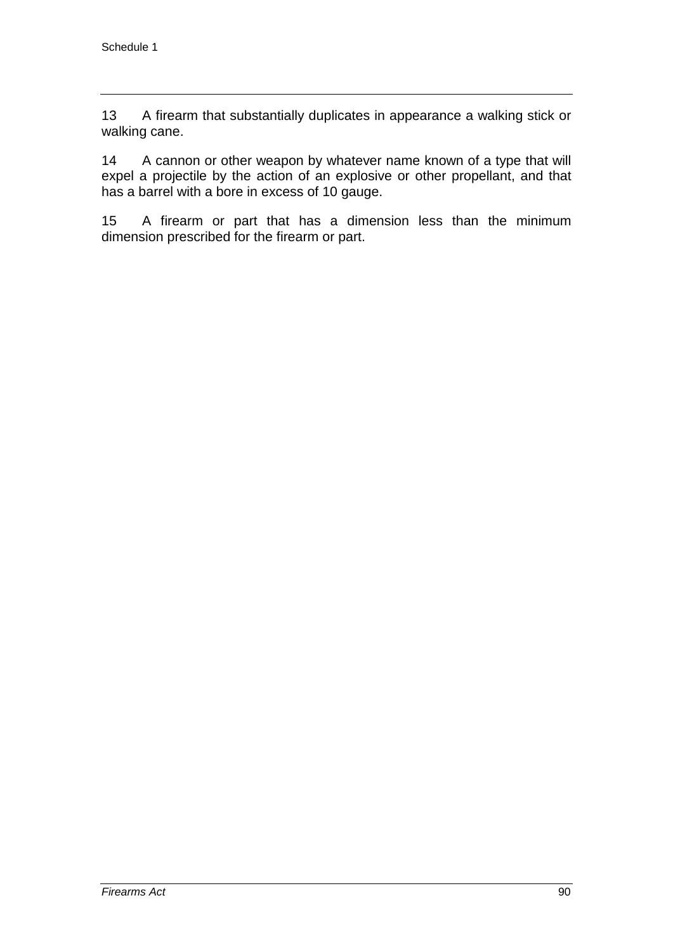13 A firearm that substantially duplicates in appearance a walking stick or walking cane.

14 A cannon or other weapon by whatever name known of a type that will expel a projectile by the action of an explosive or other propellant, and that has a barrel with a bore in excess of 10 gauge.

15 A firearm or part that has a dimension less than the minimum dimension prescribed for the firearm or part.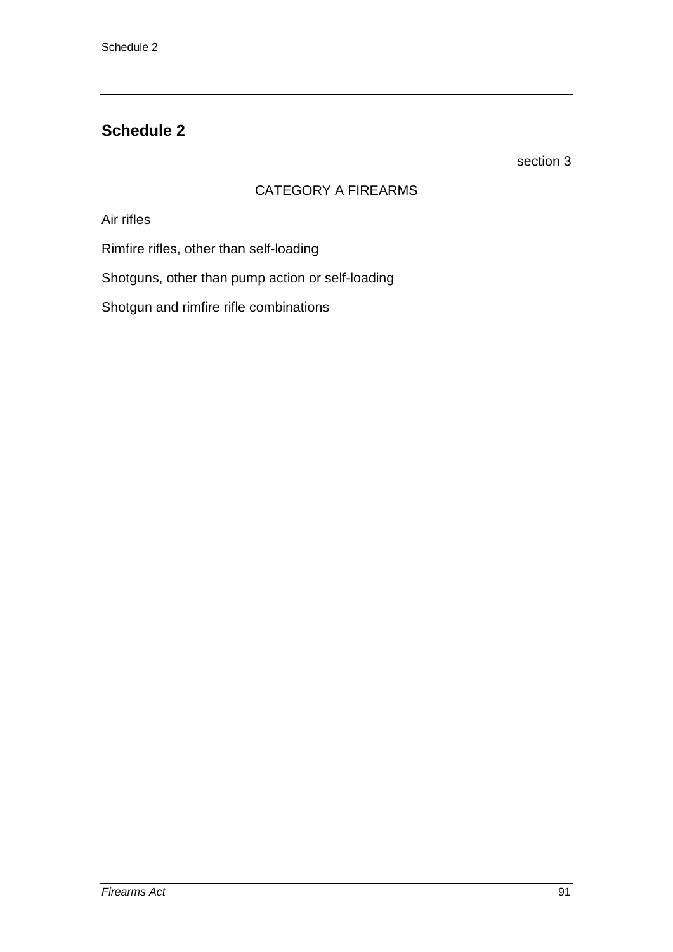section 3

# CATEGORY A FIREARMS

Air rifles

Rimfire rifles, other than self-loading

Shotguns, other than pump action or self-loading

Shotgun and rimfire rifle combinations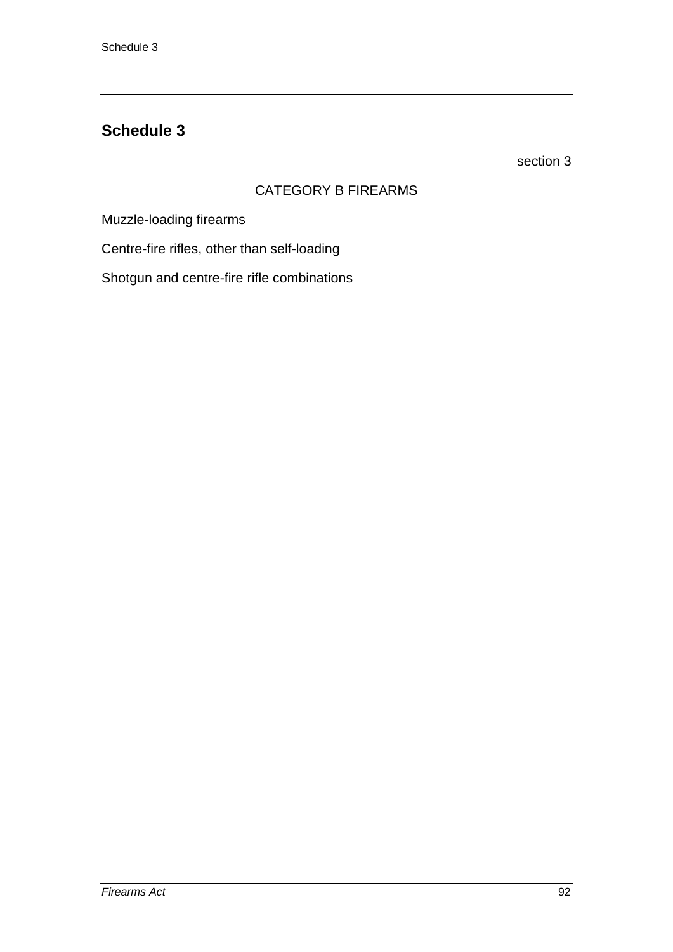section 3

# CATEGORY B FIREARMS

Muzzle-loading firearms

Centre-fire rifles, other than self-loading

Shotgun and centre-fire rifle combinations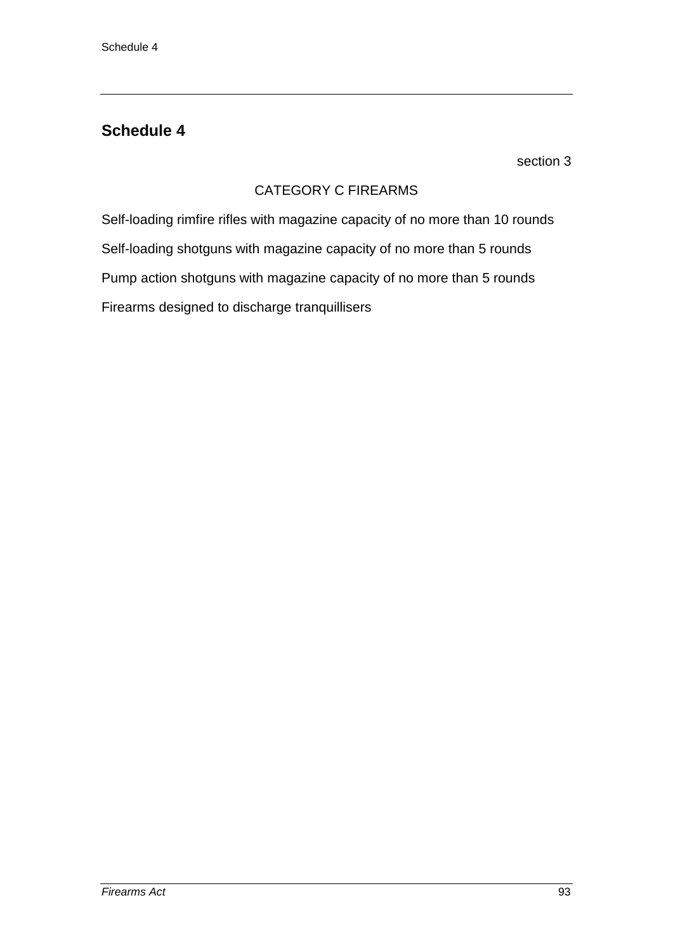section 3

# CATEGORY C FIREARMS

Self-loading rimfire rifles with magazine capacity of no more than 10 rounds Self-loading shotguns with magazine capacity of no more than 5 rounds Pump action shotguns with magazine capacity of no more than 5 rounds Firearms designed to discharge tranquillisers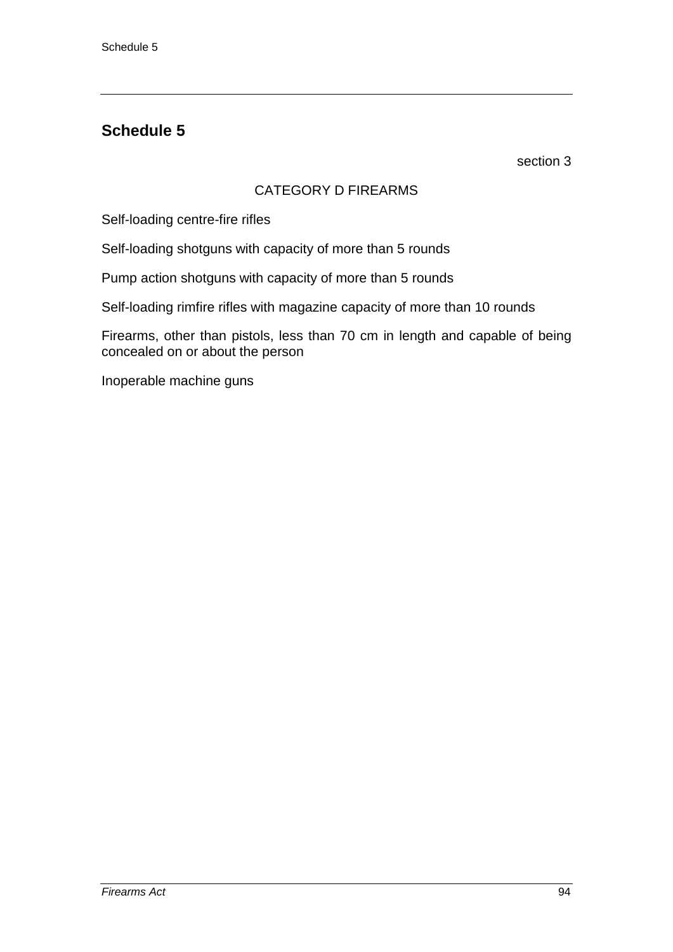section 3

# CATEGORY D FIREARMS

Self-loading centre-fire rifles

Self-loading shotguns with capacity of more than 5 rounds

Pump action shotguns with capacity of more than 5 rounds

Self-loading rimfire rifles with magazine capacity of more than 10 rounds

Firearms, other than pistols, less than 70 cm in length and capable of being concealed on or about the person

Inoperable machine guns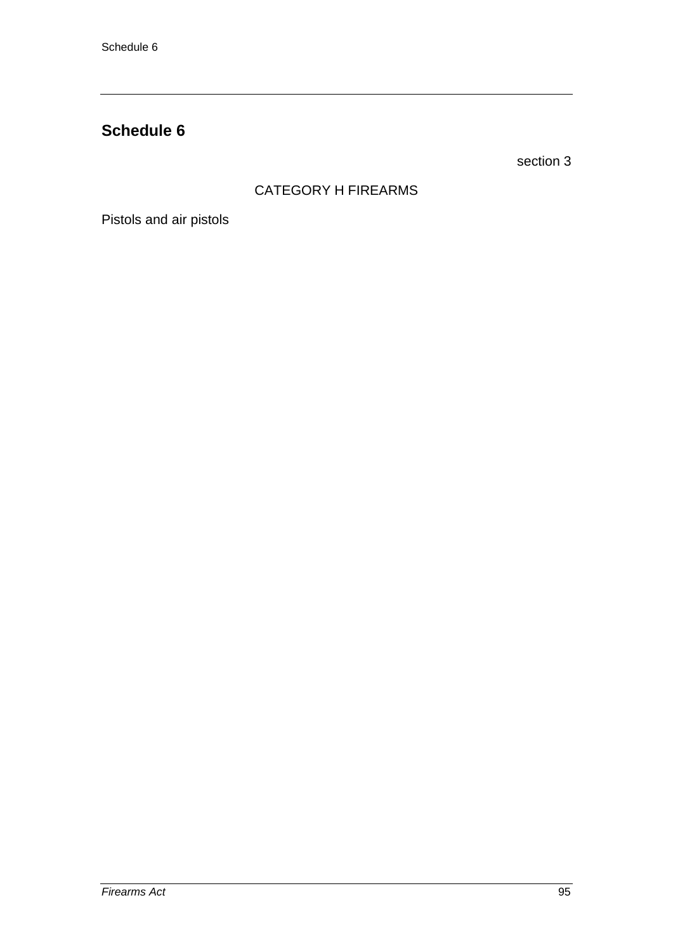section 3

# CATEGORY H FIREARMS

Pistols and air pistols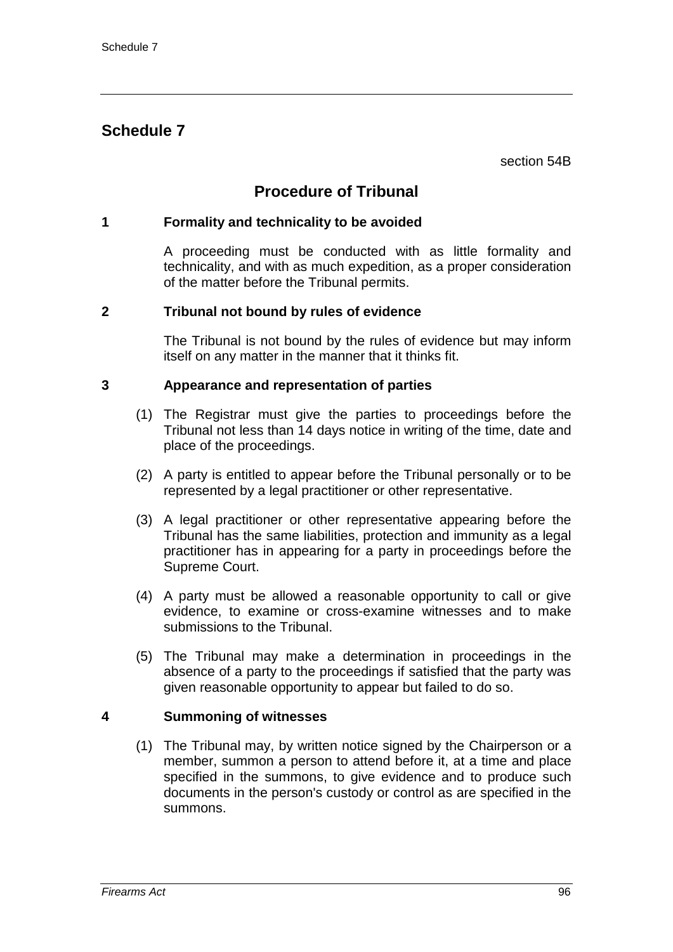section 54B

# **Procedure of Tribunal**

# **1 Formality and technicality to be avoided**

A proceeding must be conducted with as little formality and technicality, and with as much expedition, as a proper consideration of the matter before the Tribunal permits.

# **2 Tribunal not bound by rules of evidence**

The Tribunal is not bound by the rules of evidence but may inform itself on any matter in the manner that it thinks fit.

# **3 Appearance and representation of parties**

- (1) The Registrar must give the parties to proceedings before the Tribunal not less than 14 days notice in writing of the time, date and place of the proceedings.
- (2) A party is entitled to appear before the Tribunal personally or to be represented by a legal practitioner or other representative.
- (3) A legal practitioner or other representative appearing before the Tribunal has the same liabilities, protection and immunity as a legal practitioner has in appearing for a party in proceedings before the Supreme Court.
- (4) A party must be allowed a reasonable opportunity to call or give evidence, to examine or cross-examine witnesses and to make submissions to the Tribunal.
- (5) The Tribunal may make a determination in proceedings in the absence of a party to the proceedings if satisfied that the party was given reasonable opportunity to appear but failed to do so.

# **4 Summoning of witnesses**

(1) The Tribunal may, by written notice signed by the Chairperson or a member, summon a person to attend before it, at a time and place specified in the summons, to give evidence and to produce such documents in the person's custody or control as are specified in the summons.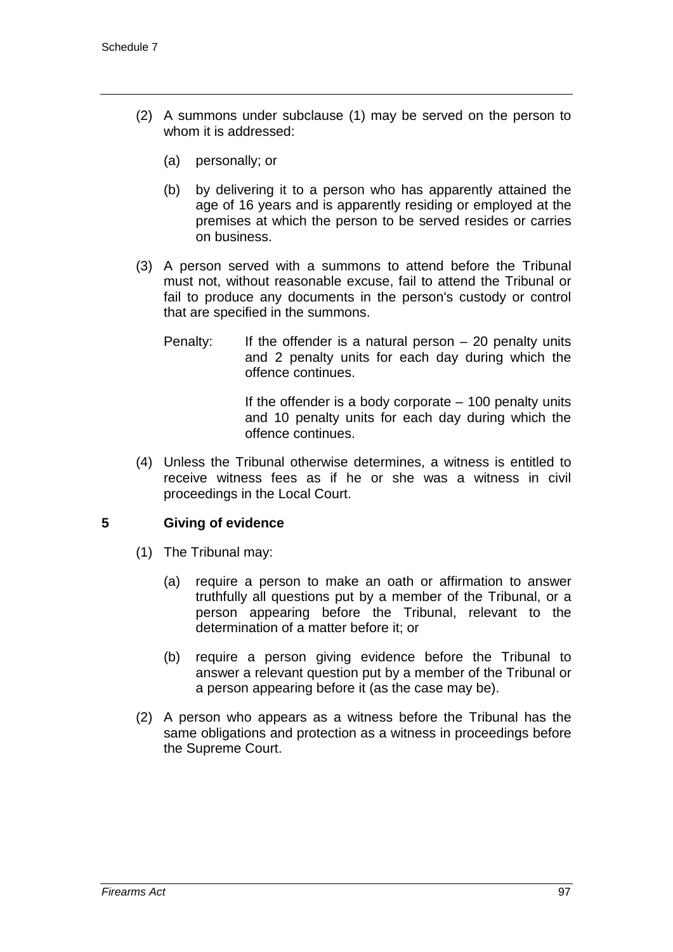- (2) A summons under subclause (1) may be served on the person to whom it is addressed:
	- (a) personally; or
	- (b) by delivering it to a person who has apparently attained the age of 16 years and is apparently residing or employed at the premises at which the person to be served resides or carries on business.
- (3) A person served with a summons to attend before the Tribunal must not, without reasonable excuse, fail to attend the Tribunal or fail to produce any documents in the person's custody or control that are specified in the summons.
	- Penalty: If the offender is a natural person  $-20$  penalty units and 2 penalty units for each day during which the offence continues.

If the offender is a body corporate  $-100$  penalty units and 10 penalty units for each day during which the offence continues.

(4) Unless the Tribunal otherwise determines, a witness is entitled to receive witness fees as if he or she was a witness in civil proceedings in the Local Court.

# **5 Giving of evidence**

- (1) The Tribunal may:
	- (a) require a person to make an oath or affirmation to answer truthfully all questions put by a member of the Tribunal, or a person appearing before the Tribunal, relevant to the determination of a matter before it; or
	- (b) require a person giving evidence before the Tribunal to answer a relevant question put by a member of the Tribunal or a person appearing before it (as the case may be).
- (2) A person who appears as a witness before the Tribunal has the same obligations and protection as a witness in proceedings before the Supreme Court.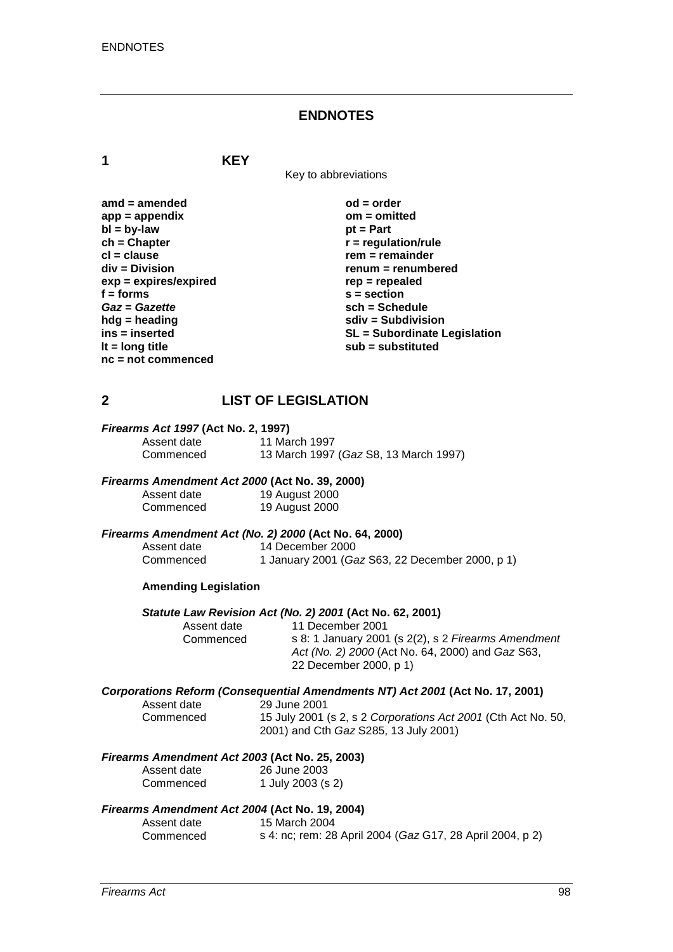#### **ENDNOTES**

**1 KEY**

Key to abbreviations

| amd = amended         |
|-----------------------|
| $app = appendix$      |
| $bl = by-law$         |
| $ch = Chapter$        |
| cl = clause           |
| div = Division        |
| exp = expires/expired |
| f = forms             |
| Gaz = Gazette         |
| hdg = heading         |
| ins = inserted        |
| It = long title       |
| nc = not commenced    |

 $od = order$ **app = appendix om = omitted** *pt* **= Part**  $\mathbf{r}$  = regulation/rule **cl = clause rem = remainder div = Division renum = renumbered exp = expires/expired rep = repealed f = forms s = section** *Gaz* **=** *Gazette* **sch = Schedule hdg = heading sdiv = Subdivision ins = inserted SL = Subordinate Legislation lt = long title sub = substituted**

# **2 LIST OF LEGISLATION**

# *Firearms Act 1997* **(Act No. 2, 1997)**

Assent date 11 March 1997<br>Commenced 13 March 1997 13 March 1997 (*Gaz* S8, 13 March 1997)

#### *Firearms Amendment Act 2000* **(Act No. 39, 2000)**

Assent date 19 August 2000<br>Commenced 19 August 2000 19 August 2000

# *Firearms Amendment Act (No. 2) 2000* **(Act No. 64, 2000)**

Assent date 14 December 2000<br>Commenced 1 January 2001 (Ga 1 January 2001 (*Gaz* S63, 22 December 2000, p 1)

#### **Amending Legislation**

# *Statute Law Revision Act (No. 2) 2001* **(Act No. 62, 2001)**

Assent date 11 December 2001<br>Commenced s 8: 1 January 2001 Commenced s 8: 1 January 2001 (s 2(2), s 2 *Firearms Amendment Act (No. 2) 2000* (Act No. 64, 2000) and *Gaz* S63, 22 December 2000, p 1)

#### *Corporations Reform (Consequential Amendments NT) Act 2001* **(Act No. 17, 2001)**

| Assent date |  |
|-------------|--|
| Commenced   |  |

29 June 2001 15 July 2001 (s 2, s 2 *Corporations Act 2001* (Cth Act No. 50, 2001) and Cth *Gaz* S285, 13 July 2001)

#### *Firearms Amendment Act 2003* **(Act No. 25, 2003)**

| Assent date | 26 June 2003      |
|-------------|-------------------|
| Commenced   | 1 July 2003 (s 2) |

#### *Firearms Amendment Act 2004* **(Act No. 19, 2004)**

| Assent date | 15 March 2004                                             |
|-------------|-----------------------------------------------------------|
| Commenced   | s 4: nc; rem: 28 April 2004 (Gaz G17, 28 April 2004, p 2) |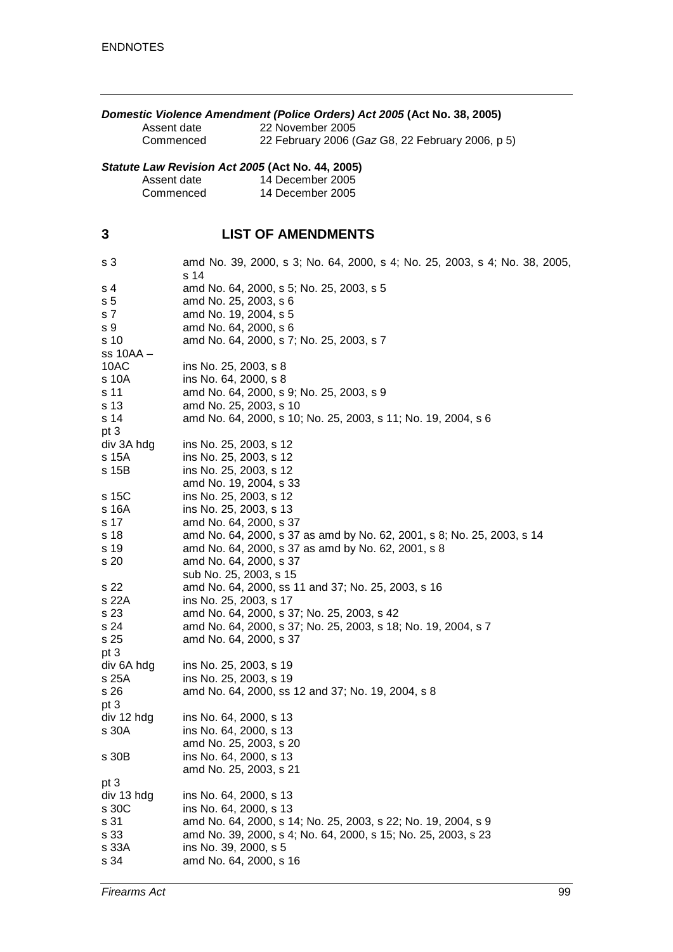| Domestic Violence Amendment (Police Orders) Act 2005 (Act No. 38, 2005)<br>22 November 2005<br>Assent date<br>22 February 2006 (Gaz G8, 22 February 2006, p 5)<br>Commenced |                                                                                                                                                                                                                                       |  |
|-----------------------------------------------------------------------------------------------------------------------------------------------------------------------------|---------------------------------------------------------------------------------------------------------------------------------------------------------------------------------------------------------------------------------------|--|
| Statute Law Revision Act 2005 (Act No. 44, 2005)<br>14 December 2005<br>Assent date<br>Commenced<br>14 December 2005                                                        |                                                                                                                                                                                                                                       |  |
| 3                                                                                                                                                                           | <b>LIST OF AMENDMENTS</b>                                                                                                                                                                                                             |  |
| s 3                                                                                                                                                                         | amd No. 39, 2000, s 3; No. 64, 2000, s 4; No. 25, 2003, s 4; No. 38, 2005,<br>s 14                                                                                                                                                    |  |
| s 4<br>s <sub>5</sub><br>s 7<br>s 9<br>s 10                                                                                                                                 | amd No. 64, 2000, s 5; No. 25, 2003, s 5<br>amd No. 25, 2003, s 6<br>amd No. 19, 2004, s 5<br>amd No. 64, 2000, s 6<br>amd No. 64, 2000, s 7; No. 25, 2003, s 7                                                                       |  |
| $ss$ 10AA $-$<br>10AC<br>s 10A<br>s 11                                                                                                                                      | ins No. 25, 2003, s 8<br>ins No. 64, 2000, s 8<br>amd No. 64, 2000, s 9; No. 25, 2003, s 9                                                                                                                                            |  |
| s 13<br>s 14<br>pt 3                                                                                                                                                        | amd No. 25, 2003, s 10<br>amd No. 64, 2000, s 10; No. 25, 2003, s 11; No. 19, 2004, s 6                                                                                                                                               |  |
| div 3A hdg<br>s 15A<br>s 15B                                                                                                                                                | ins No. 25, 2003, s 12<br>ins No. 25, 2003, s 12<br>ins No. 25, 2003, s 12<br>amd No. 19, 2004, s 33                                                                                                                                  |  |
| s 15C<br>s 16A<br>s 17                                                                                                                                                      | ins No. 25, 2003, s 12<br>ins No. 25, 2003, s 13<br>amd No. 64, 2000, s 37                                                                                                                                                            |  |
| s 18<br>s 19<br>s 20                                                                                                                                                        | amd No. 64, 2000, s 37 as amd by No. 62, 2001, s 8; No. 25, 2003, s 14<br>amd No. 64, 2000, s 37 as amd by No. 62, 2001, s 8<br>amd No. 64, 2000, s 37<br>sub No. 25, 2003, s 15                                                      |  |
| s 22<br>s 22A<br>s 23                                                                                                                                                       | amd No. 64, 2000, ss 11 and 37; No. 25, 2003, s 16<br>ins No. 25, 2003, s 17<br>amd No. 64, 2000, s 37; No. 25, 2003, s 42                                                                                                            |  |
| s 24<br>s 25<br>pt 3                                                                                                                                                        | amd No. 64, 2000, s 37; No. 25, 2003, s 18; No. 19, 2004, s 7<br>amd No. 64, 2000, s 37                                                                                                                                               |  |
| div 6A hdg<br>s 25A<br>s 26<br>pt 3                                                                                                                                         | ins No. 25, 2003, s 19<br>ins No. 25, 2003, s 19<br>amd No. 64, 2000, ss 12 and 37; No. 19, 2004, s 8                                                                                                                                 |  |
| div 12 hdg<br>s 30A                                                                                                                                                         | ins No. 64, 2000, s 13<br>ins No. 64, 2000, s 13<br>amd No. 25, 2003, s 20                                                                                                                                                            |  |
| s 30B                                                                                                                                                                       | ins No. 64, 2000, s 13<br>amd No. 25, 2003, s 21                                                                                                                                                                                      |  |
| pt 3<br>div 13 hdg<br>s 30C<br>s 31<br>s 33<br>s 33A<br>s 34                                                                                                                | ins No. 64, 2000, s 13<br>ins No. 64, 2000, s 13<br>amd No. 64, 2000, s 14; No. 25, 2003, s 22; No. 19, 2004, s 9<br>amd No. 39, 2000, s 4; No. 64, 2000, s 15; No. 25, 2003, s 23<br>ins No. 39, 2000, s 5<br>amd No. 64, 2000, s 16 |  |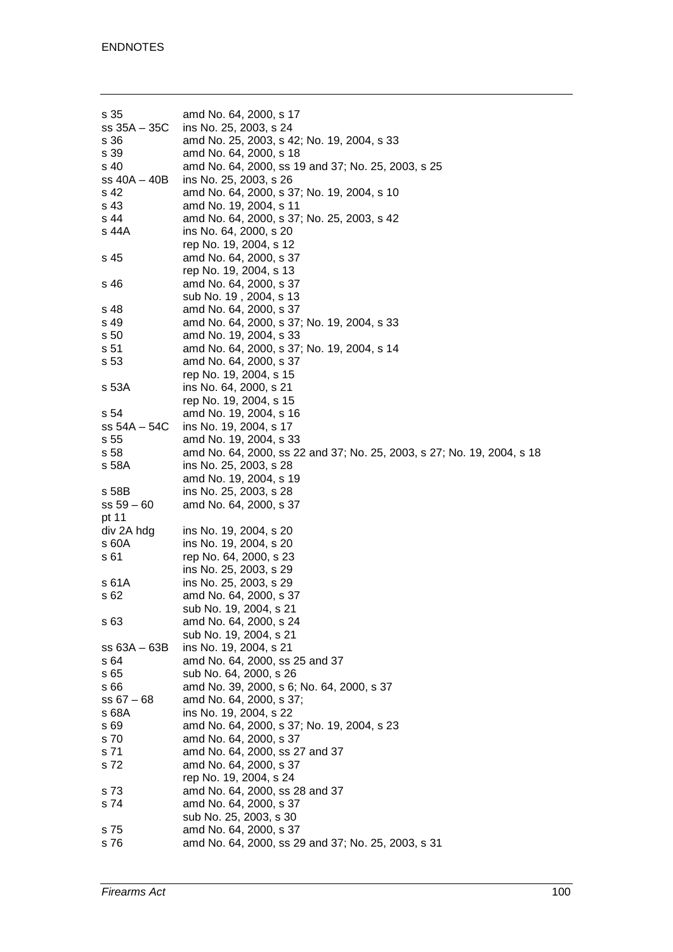| s 35<br>$ss 35A - 35C$ | amd No. 64, 2000, s 17<br>ins No. 25, 2003, s 24                             |
|------------------------|------------------------------------------------------------------------------|
| s 36<br>s 39           | amd No. 25, 2003, s 42; No. 19, 2004, s 33<br>amd No. 64, 2000, s 18         |
| s 40<br>ss 40A - 40B   | amd No. 64, 2000, ss 19 and 37; No. 25, 2003, s 25<br>ins No. 25, 2003, s 26 |
| s 42                   | amd No. 64, 2000, s 37; No. 19, 2004, s 10                                   |
| s 43                   | amd No. 19, 2004, s 11                                                       |
| s 44                   | amd No. 64, 2000, s 37; No. 25, 2003, s 42                                   |
| s 44A                  | ins No. 64, 2000, s 20                                                       |
| s 45                   | rep No. 19, 2004, s 12<br>amd No. 64, 2000, s 37                             |
|                        | rep No. 19, 2004, s 13                                                       |
| s 46                   | amd No. 64, 2000, s 37                                                       |
|                        | sub No. 19, 2004, s 13                                                       |
| s 48                   | amd No. 64, 2000, s 37                                                       |
| s 49                   | amd No. 64, 2000, s 37; No. 19, 2004, s 33                                   |
| s 50<br>s 51           | amd No. 19, 2004, s 33<br>amd No. 64, 2000, s 37; No. 19, 2004, s 14         |
| s 53                   | amd No. 64, 2000, s 37                                                       |
|                        | rep No. 19, 2004, s 15                                                       |
| s 53A                  | ins No. 64, 2000, s 21                                                       |
|                        | rep No. 19, 2004, s 15                                                       |
| s 54                   | amd No. 19, 2004, s 16                                                       |
| ss 54A - 54C<br>s 55   | ins No. 19, 2004, s 17<br>amd No. 19, 2004, s 33                             |
| s 58                   | amd No. 64, 2000, ss 22 and 37; No. 25, 2003, s 27; No. 19, 2004, s 18       |
| s 58A                  | ins No. 25, 2003, s 28                                                       |
|                        | amd No. 19, 2004, s 19                                                       |
| s 58B                  | ins No. 25, 2003, s 28                                                       |
| $ss 59 - 60$           | amd No. 64, 2000, s 37                                                       |
| pt 11<br>div 2A hdg    | ins No. 19, 2004, s 20                                                       |
| s 60A                  | ins No. 19, 2004, s 20                                                       |
| s 61                   | rep No. 64, 2000, s 23                                                       |
|                        | ins No. 25, 2003, s 29                                                       |
| s 61A                  | ins No. 25, 2003, s 29                                                       |
| s 62                   | amd No. 64, 2000, s 37                                                       |
| s 63                   | sub No. 19, 2004, s 21<br>amd No. 64, 2000, s 24                             |
|                        | sub No. 19, 2004, s 21                                                       |
| $ss 63A - 63B$         | ins No. 19, 2004, s 21                                                       |
| s 64                   | amd No. 64, 2000, ss 25 and 37                                               |
| s 65                   | sub No. 64, 2000, s 26                                                       |
| s 66                   | amd No. 39, 2000, s 6; No. 64, 2000, s 37                                    |
| $ss 67 - 68$<br>s 68A  | amd No. 64, 2000, s 37;<br>ins No. 19, 2004, s 22                            |
| s 69                   | amd No. 64, 2000, s 37; No. 19, 2004, s 23                                   |
| s 70                   | amd No. 64, 2000, s 37                                                       |
| s 71                   | amd No. 64, 2000, ss 27 and 37                                               |
| s 72                   | amd No. 64, 2000, s 37                                                       |
|                        | rep No. 19, 2004, s 24                                                       |
| s 73                   | amd No. 64, 2000, ss 28 and 37                                               |
| s 74                   | amd No. 64, 2000, s 37<br>sub No. 25, 2003, s 30                             |
| s 75                   | amd No. 64, 2000, s 37                                                       |
| s 76                   | amd No. 64, 2000, ss 29 and 37; No. 25, 2003, s 31                           |